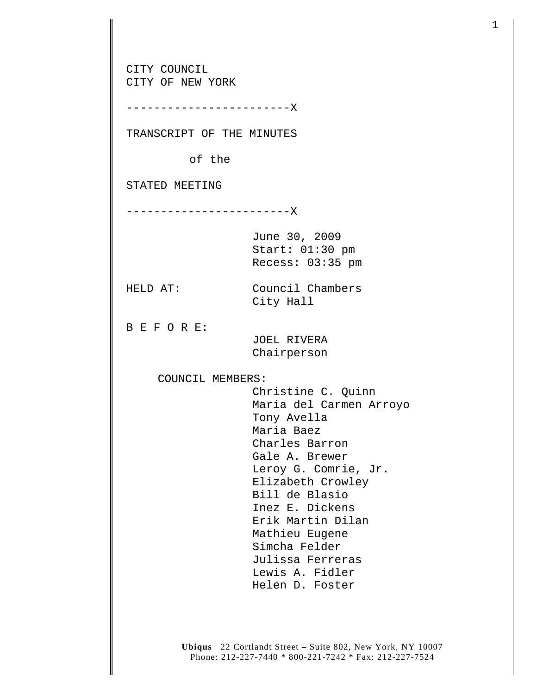CITY COUNCIL CITY OF NEW YORK ------------------------X TRANSCRIPT OF THE MINUTES of the STATED MEETING ------------------------X June 30, 2009 Start: 01:30 pm Recess: 03:35 pm HELD AT: Council Chambers City Hall B E F O R E: JOEL RIVERA Chairperson COUNCIL MEMBERS: Christine C. Quinn Maria del Carmen Arroyo Tony Avella Maria Baez Charles Barron Gale A. Brewer Leroy G. Comrie, Jr. Elizabeth Crowley Bill de Blasio Inez E. Dickens Erik Martin Dilan Mathieu Eugene Simcha Felder Julissa Ferreras Lewis A. Fidler Helen D. Foster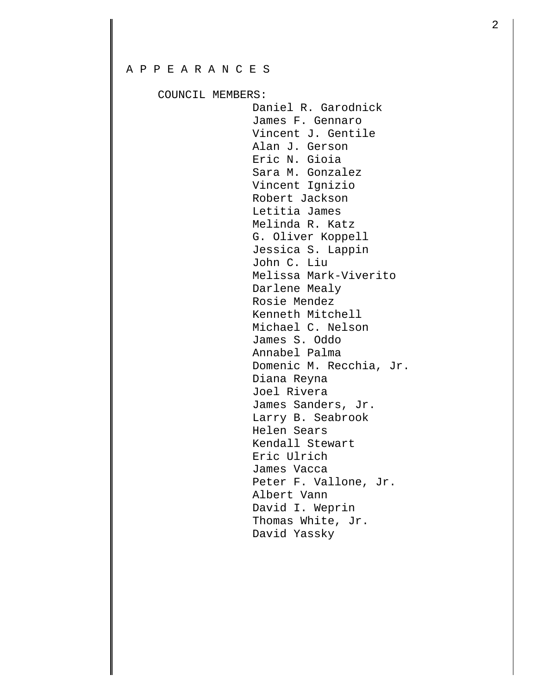## A P P E A R A N C E S

COUNCIL MEMBERS:

 Daniel R. Garodnick James F. Gennaro Vincent J. Gentile Alan J. Gerson Eric N. Gioia Sara M. Gonzalez Vincent Ignizio Robert Jackson Letitia James Melinda R. Katz G. Oliver Koppell Jessica S. Lappin John C. Liu Melissa Mark-Viverito Darlene Mealy Rosie Mendez Kenneth Mitchell Michael C. Nelson James S. Oddo Annabel Palma Domenic M. Recchia, Jr. Diana Reyna Joel Rivera James Sanders, Jr. Larry B. Seabrook Helen Sears Kendall Stewart Eric Ulrich James Vacca Peter F. Vallone, Jr. Albert Vann David I. Weprin Thomas White, Jr. David Yassky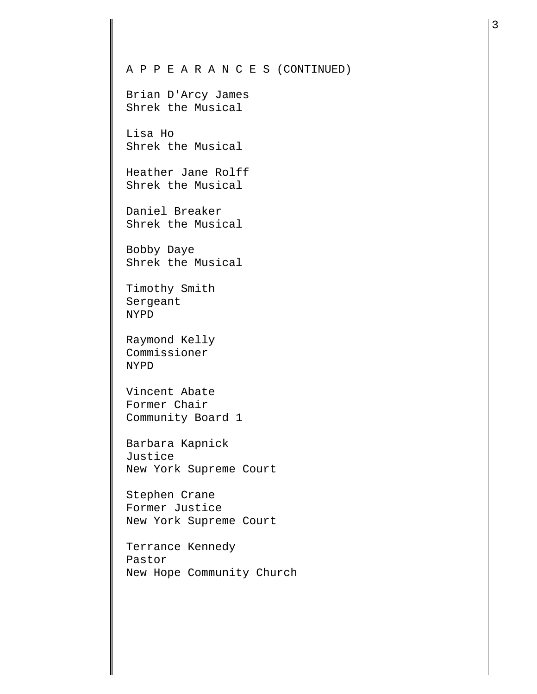## A P P E A R A N C E S (CONTINUED)

Brian D'Arcy James Shrek the Musical

Lisa Ho Shrek the Musical

Heather Jane Rolff Shrek the Musical

Daniel Breaker Shrek the Musical

Bobby Daye Shrek the Musical

Timothy Smith Sergeant NYPD

Raymond Kelly Commissioner NYPD

Vincent Abate Former Chair Community Board 1

Barbara Kapnick Justice New York Supreme Court

Stephen Crane Former Justice New York Supreme Court

Terrance Kennedy Pastor New Hope Community Church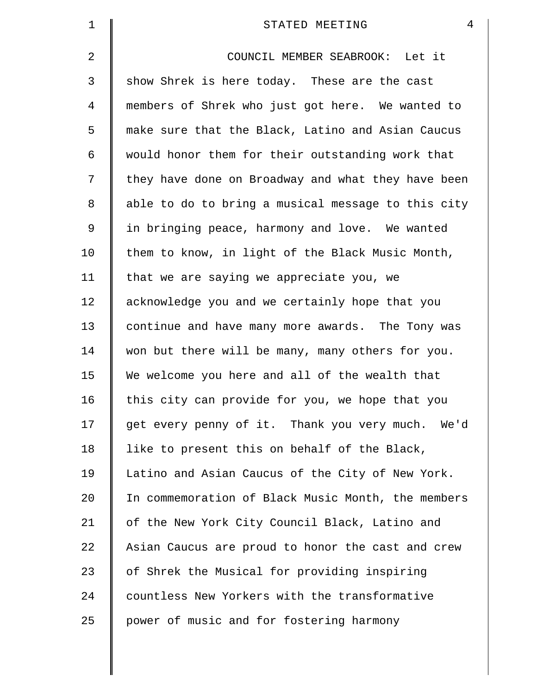| $\mathbf 1$    | $\overline{4}$<br>STATED MEETING                   |
|----------------|----------------------------------------------------|
| $\overline{2}$ | COUNCIL MEMBER SEABROOK: Let it                    |
| 3              | show Shrek is here today. These are the cast       |
| 4              | members of Shrek who just got here. We wanted to   |
| 5              | make sure that the Black, Latino and Asian Caucus  |
| 6              | would honor them for their outstanding work that   |
| 7              | they have done on Broadway and what they have been |
| 8              | able to do to bring a musical message to this city |
| 9              | in bringing peace, harmony and love. We wanted     |
| 10             | them to know, in light of the Black Music Month,   |
| 11             | that we are saying we appreciate you, we           |
| 12             | acknowledge you and we certainly hope that you     |
| 13             | continue and have many more awards. The Tony was   |
| 14             | won but there will be many, many others for you.   |
| 15             | We welcome you here and all of the wealth that     |
| 16             | this city can provide for you, we hope that you    |
| 17             | get every penny of it. Thank you very much. We'd   |
| 18             | like to present this on behalf of the Black,       |
| 19             | Latino and Asian Caucus of the City of New York.   |
| 20             | In commemoration of Black Music Month, the members |
| 21             | of the New York City Council Black, Latino and     |
| 22             | Asian Caucus are proud to honor the cast and crew  |
| 23             | of Shrek the Musical for providing inspiring       |
| 24             | countless New Yorkers with the transformative      |
| 25             | power of music and for fostering harmony           |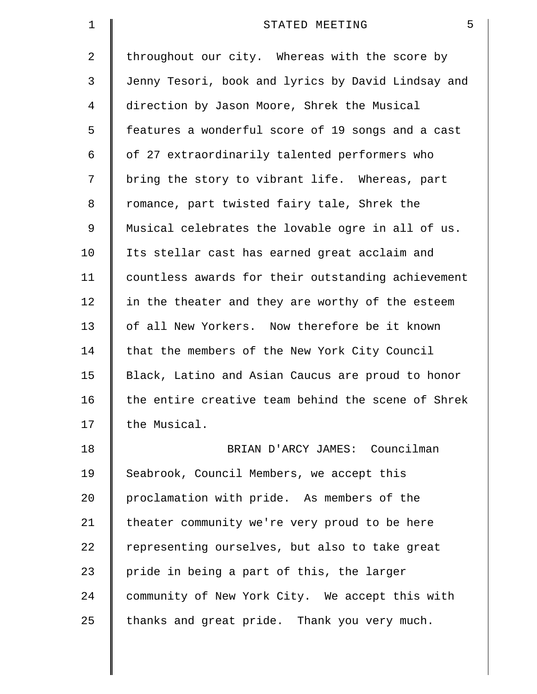| 1  | 5<br>STATED MEETING                                |
|----|----------------------------------------------------|
| 2  | throughout our city. Whereas with the score by     |
| 3  | Jenny Tesori, book and lyrics by David Lindsay and |
| 4  | direction by Jason Moore, Shrek the Musical        |
| 5  | features a wonderful score of 19 songs and a cast  |
| 6  | of 27 extraordinarily talented performers who      |
| 7  | bring the story to vibrant life. Whereas, part     |
| 8  | romance, part twisted fairy tale, Shrek the        |
| 9  | Musical celebrates the lovable ogre in all of us.  |
| 10 | Its stellar cast has earned great acclaim and      |
| 11 | countless awards for their outstanding achievement |
| 12 | in the theater and they are worthy of the esteem   |
| 13 | of all New Yorkers. Now therefore be it known      |
| 14 | that the members of the New York City Council      |
| 15 | Black, Latino and Asian Caucus are proud to honor  |
| 16 | the entire creative team behind the scene of Shrek |
| 17 | the Musical.                                       |
| 18 | BRIAN D'ARCY JAMES: Councilman                     |
| 19 | Seabrook, Council Members, we accept this          |
| 20 | proclamation with pride. As members of the         |
| 21 | theater community we're very proud to be here      |
| 22 | representing ourselves, but also to take great     |
| 23 | pride in being a part of this, the larger          |
| 24 | community of New York City. We accept this with    |
| 25 | thanks and great pride. Thank you very much.       |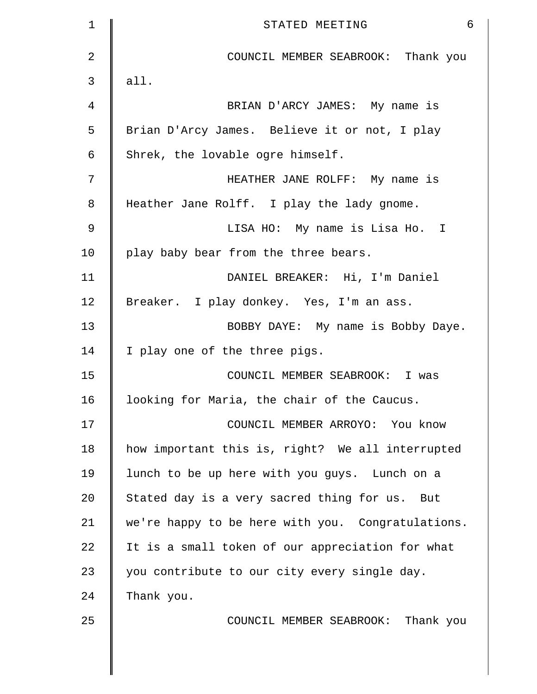| 1  | 6<br>STATED MEETING                               |
|----|---------------------------------------------------|
| 2  | COUNCIL MEMBER SEABROOK: Thank you                |
| 3  | all.                                              |
| 4  | BRIAN D'ARCY JAMES: My name is                    |
| 5  | Brian D'Arcy James. Believe it or not, I play     |
| 6  | Shrek, the lovable ogre himself.                  |
| 7  | HEATHER JANE ROLFF: My name is                    |
| 8  | Heather Jane Rolff. I play the lady gnome.        |
| 9  | LISA HO: My name is Lisa Ho. I                    |
| 10 | play baby bear from the three bears.              |
| 11 | DANIEL BREAKER: Hi, I'm Daniel                    |
| 12 | Breaker. I play donkey. Yes, I'm an ass.          |
| 13 | BOBBY DAYE: My name is Bobby Daye.                |
| 14 | I play one of the three pigs.                     |
| 15 | COUNCIL MEMBER SEABROOK: I was                    |
| 16 | looking for Maria, the chair of the Caucus.       |
| 17 | COUNCIL MEMBER ARROYO: You know                   |
| 18 | how important this is, right? We all interrupted  |
| 19 | lunch to be up here with you guys. Lunch on a     |
| 20 | Stated day is a very sacred thing for us. But     |
| 21 | we're happy to be here with you. Congratulations. |
| 22 | It is a small token of our appreciation for what  |
| 23 | you contribute to our city every single day.      |
| 24 | Thank you.                                        |
| 25 | COUNCIL MEMBER SEABROOK: Thank you                |
|    |                                                   |
|    |                                                   |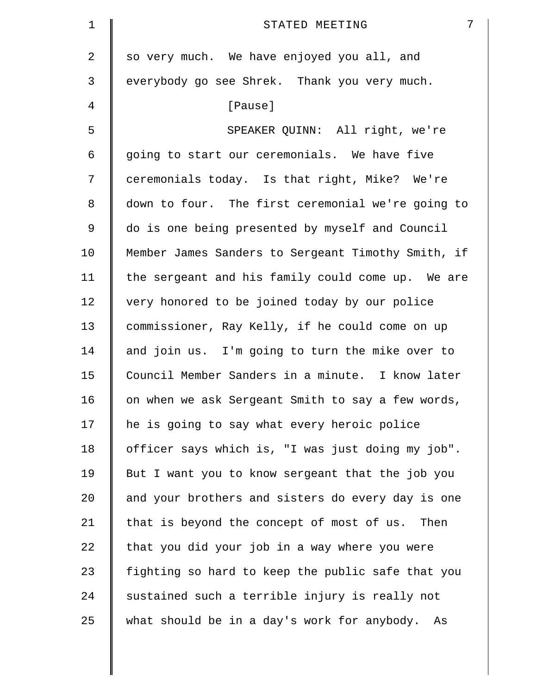| $\mathbf 1$ | 7<br>STATED MEETING                                |
|-------------|----------------------------------------------------|
| 2           | so very much. We have enjoyed you all, and         |
| 3           | everybody go see Shrek. Thank you very much.       |
| 4           | [Pause]                                            |
| 5           | SPEAKER QUINN: All right, we're                    |
| 6           | going to start our ceremonials. We have five       |
| 7           | ceremonials today. Is that right, Mike? We're      |
| 8           | down to four. The first ceremonial we're going to  |
| 9           | do is one being presented by myself and Council    |
| 10          | Member James Sanders to Sergeant Timothy Smith, if |
| 11          | the sergeant and his family could come up. We are  |
| 12          | very honored to be joined today by our police      |
| 13          | commissioner, Ray Kelly, if he could come on up    |
| 14          | and join us. I'm going to turn the mike over to    |
| 15          | Council Member Sanders in a minute. I know later   |
| 16          | on when we ask Sergeant Smith to say a few words,  |
| 17          | he is going to say what every heroic police        |
| 18          | officer says which is, "I was just doing my job".  |
| 19          | But I want you to know sergeant that the job you   |
| 20          | and your brothers and sisters do every day is one  |
| 21          | that is beyond the concept of most of us. Then     |
| 22          | that you did your job in a way where you were      |
| 23          | fighting so hard to keep the public safe that you  |
| 24          | sustained such a terrible injury is really not     |
| 25          | what should be in a day's work for anybody.<br>As  |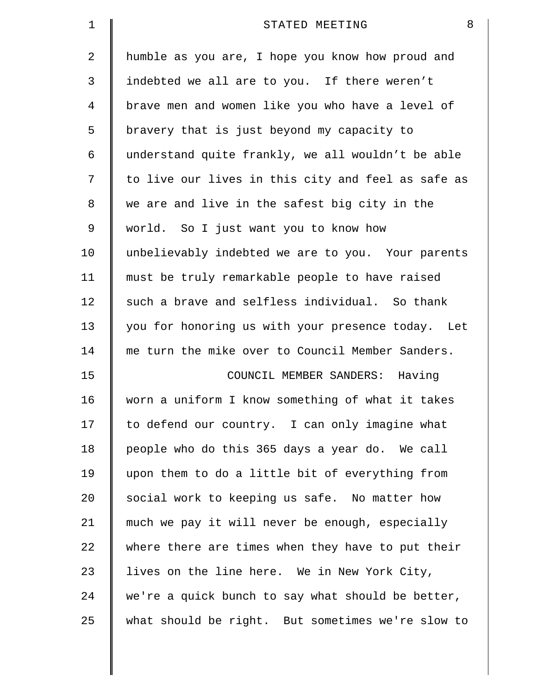| $\mathbf 1$    | 8<br>STATED MEETING                                |
|----------------|----------------------------------------------------|
| $\overline{a}$ | humble as you are, I hope you know how proud and   |
| 3              | indebted we all are to you. If there weren't       |
| 4              | brave men and women like you who have a level of   |
| 5              | bravery that is just beyond my capacity to         |
| 6              | understand quite frankly, we all wouldn't be able  |
| 7              | to live our lives in this city and feel as safe as |
| 8              | we are and live in the safest big city in the      |
| 9              | world. So I just want you to know how              |
| 10             | unbelievably indebted we are to you. Your parents  |
| 11             | must be truly remarkable people to have raised     |
| 12             | such a brave and selfless individual. So thank     |
| 13             | you for honoring us with your presence today. Let  |
| 14             | me turn the mike over to Council Member Sanders.   |
| 15             | COUNCIL MEMBER SANDERS: Having                     |
| 16             | worn a uniform I know something of what it takes   |
| 17             | to defend our country. I can only imagine what     |
| 18             | people who do this 365 days a year do. We call     |
| 19             | upon them to do a little bit of everything from    |
| 20             | social work to keeping us safe. No matter how      |
| 21             | much we pay it will never be enough, especially    |
| 22             | where there are times when they have to put their  |
| 23             | lives on the line here. We in New York City,       |
| 24             | we're a quick bunch to say what should be better,  |
| 25             | what should be right. But sometimes we're slow to  |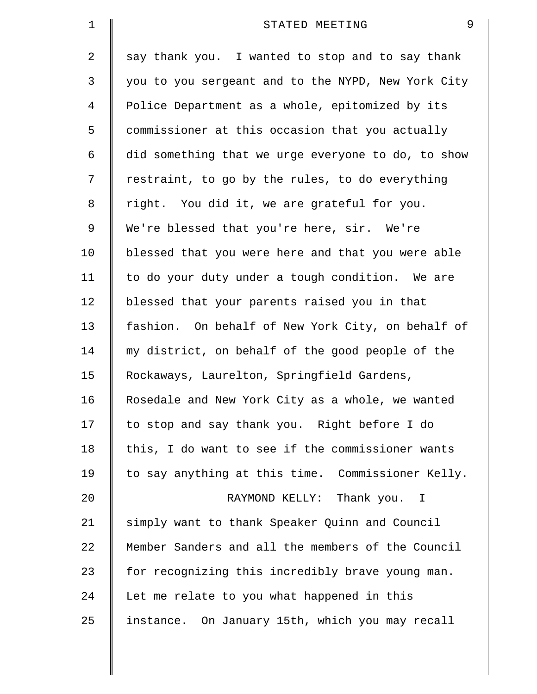| $\mathbf 1$    | 9<br>STATED MEETING                                |
|----------------|----------------------------------------------------|
| $\overline{2}$ | say thank you. I wanted to stop and to say thank   |
| 3              | you to you sergeant and to the NYPD, New York City |
| 4              | Police Department as a whole, epitomized by its    |
| 5              | commissioner at this occasion that you actually    |
| 6              | did something that we urge everyone to do, to show |
| 7              | restraint, to go by the rules, to do everything    |
| 8              | right. You did it, we are grateful for you.        |
| 9              | We're blessed that you're here, sir. We're         |
| 10             | blessed that you were here and that you were able  |
| 11             | to do your duty under a tough condition. We are    |
| 12             | blessed that your parents raised you in that       |
| 13             | fashion. On behalf of New York City, on behalf of  |
| 14             | my district, on behalf of the good people of the   |
| 15             | Rockaways, Laurelton, Springfield Gardens,         |
| 16             | Rosedale and New York City as a whole, we wanted   |
| 17             | to stop and say thank you. Right before I do       |
| 18             | this, I do want to see if the commissioner wants   |
| 19             | to say anything at this time. Commissioner Kelly.  |
| 20             | RAYMOND KELLY: Thank you. I                        |
| 21             | simply want to thank Speaker Quinn and Council     |
| 22             | Member Sanders and all the members of the Council  |
| 23             | for recognizing this incredibly brave young man.   |
| 24             | Let me relate to you what happened in this         |
| 25             | instance. On January 15th, which you may recall    |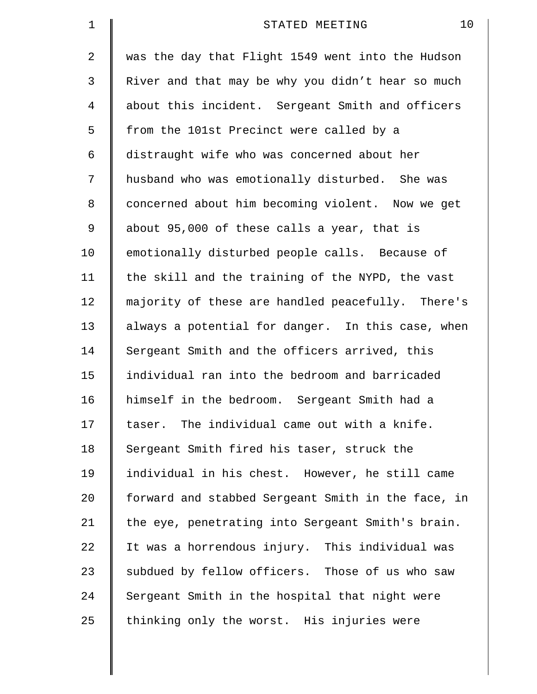| $\mathbf 1$ | 10<br>STATED MEETING                               |
|-------------|----------------------------------------------------|
| 2           | was the day that Flight 1549 went into the Hudson  |
| 3           | River and that may be why you didn't hear so much  |
| 4           | about this incident. Sergeant Smith and officers   |
| 5           | from the 101st Precinct were called by a           |
| 6           | distraught wife who was concerned about her        |
| 7           | husband who was emotionally disturbed. She was     |
| 8           | concerned about him becoming violent. Now we get   |
| 9           | about 95,000 of these calls a year, that is        |
| 10          | emotionally disturbed people calls. Because of     |
| 11          | the skill and the training of the NYPD, the vast   |
| 12          | majority of these are handled peacefully. There's  |
| 13          | always a potential for danger. In this case, when  |
| 14          | Sergeant Smith and the officers arrived, this      |
| 15          | individual ran into the bedroom and barricaded     |
| 16          | himself in the bedroom. Sergeant Smith had a       |
| 17          | taser. The individual came out with a knife.       |
| 18          | Sergeant Smith fired his taser, struck the         |
| 19          | individual in his chest. However, he still came    |
| 20          | forward and stabbed Sergeant Smith in the face, in |
| 21          | the eye, penetrating into Sergeant Smith's brain.  |
| 22          | It was a horrendous injury. This individual was    |
| 23          | subdued by fellow officers. Those of us who saw    |
| 24          | Sergeant Smith in the hospital that night were     |
| 25          | thinking only the worst. His injuries were         |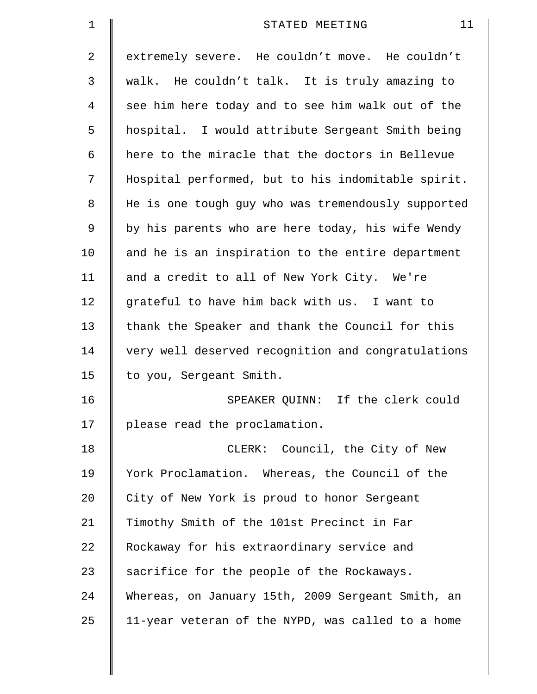| $\mathbf 1$    | 11<br>STATED MEETING                               |
|----------------|----------------------------------------------------|
| 2              | extremely severe. He couldn't move. He couldn't    |
| 3              | walk. He couldn't talk. It is truly amazing to     |
| $\overline{4}$ | see him here today and to see him walk out of the  |
| 5              | hospital. I would attribute Sergeant Smith being   |
| 6              | here to the miracle that the doctors in Bellevue   |
| 7              | Hospital performed, but to his indomitable spirit. |
| 8              | He is one tough guy who was tremendously supported |
| 9              | by his parents who are here today, his wife Wendy  |
| 10             | and he is an inspiration to the entire department  |
| 11             | and a credit to all of New York City. We're        |
| 12             | grateful to have him back with us. I want to       |
| 13             | thank the Speaker and thank the Council for this   |
| 14             | very well deserved recognition and congratulations |
| 15             | to you, Sergeant Smith.                            |
| 16             | If the clerk could<br>SPEAKER QUINN:               |
| 17             | please read the proclamation.                      |
| 18             | CLERK: Council, the City of New                    |
| 19             | York Proclamation. Whereas, the Council of the     |
| 20             | City of New York is proud to honor Sergeant        |
| 21             | Timothy Smith of the 101st Precinct in Far         |
| 22             | Rockaway for his extraordinary service and         |
| 23             | sacrifice for the people of the Rockaways.         |
| 24             | Whereas, on January 15th, 2009 Sergeant Smith, an  |
| 25             | 11-year veteran of the NYPD, was called to a home  |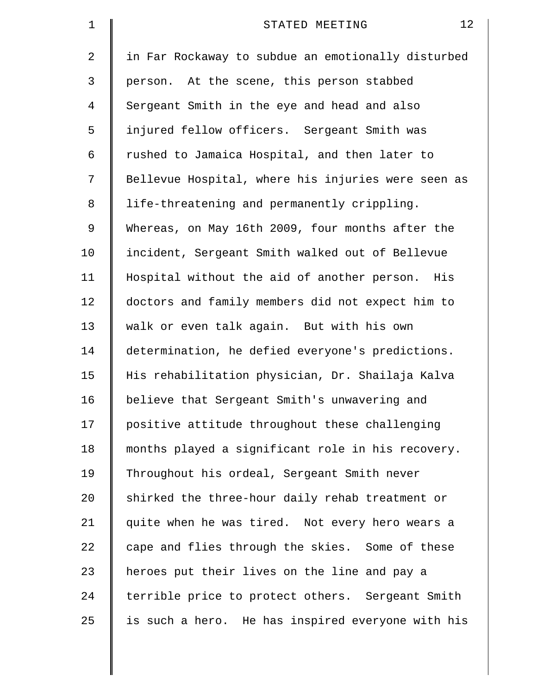| 1              | 12<br>STATED MEETING                               |
|----------------|----------------------------------------------------|
| 2              | in Far Rockaway to subdue an emotionally disturbed |
| 3              | person. At the scene, this person stabbed          |
| $\overline{4}$ | Sergeant Smith in the eye and head and also        |
| 5              | injured fellow officers. Sergeant Smith was        |
| 6              | rushed to Jamaica Hospital, and then later to      |
| 7              | Bellevue Hospital, where his injuries were seen as |
| $\,8\,$        | life-threatening and permanently crippling.        |
| 9              | Whereas, on May 16th 2009, four months after the   |
| 10             | incident, Sergeant Smith walked out of Bellevue    |
| 11             | Hospital without the aid of another person. His    |
| 12             | doctors and family members did not expect him to   |
| 13             | walk or even talk again. But with his own          |
| 14             | determination, he defied everyone's predictions.   |
| 15             | His rehabilitation physician, Dr. Shailaja Kalva   |
| 16             | believe that Sergeant Smith's unwavering and       |
| 17             | positive attitude throughout these challenging     |
| 18             | months played a significant role in his recovery.  |
| 19             | Throughout his ordeal, Sergeant Smith never        |
| 20             | shirked the three-hour daily rehab treatment or    |
| 21             | quite when he was tired. Not every hero wears a    |
| 22             | cape and flies through the skies. Some of these    |
| 23             | heroes put their lives on the line and pay a       |
| 24             | terrible price to protect others. Sergeant Smith   |
| 25             | is such a hero. He has inspired everyone with his  |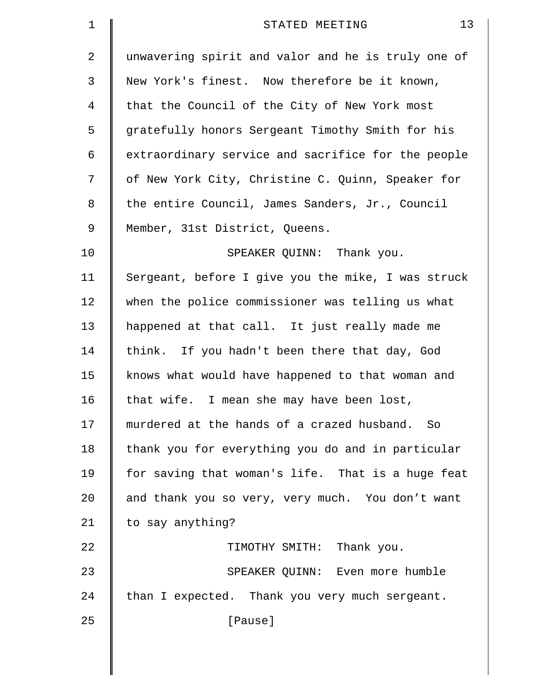| $\mathbf 1$    | 13<br>STATED MEETING                               |
|----------------|----------------------------------------------------|
| 2              | unwavering spirit and valor and he is truly one of |
| 3              | New York's finest. Now therefore be it known,      |
| $\overline{4}$ | that the Council of the City of New York most      |
| 5              | gratefully honors Sergeant Timothy Smith for his   |
| 6              | extraordinary service and sacrifice for the people |
| 7              | of New York City, Christine C. Quinn, Speaker for  |
| 8              | the entire Council, James Sanders, Jr., Council    |
| 9              | Member, 31st District, Queens.                     |
| 10             | SPEAKER QUINN: Thank you.                          |
| 11             | Sergeant, before I give you the mike, I was struck |
| 12             | when the police commissioner was telling us what   |
| 13             | happened at that call. It just really made me      |
| 14             | think. If you hadn't been there that day, God      |
| 15             | knows what would have happened to that woman and   |
| 16             | that wife. I mean she may have been lost,          |
| 17             | murdered at the hands of a crazed husband. So      |
| 18             | thank you for everything you do and in particular  |
| 19             | for saving that woman's life. That is a huge feat  |
| 20             | and thank you so very, very much. You don't want   |
| 21             | to say anything?                                   |
| 22             | TIMOTHY SMITH: Thank you.                          |
| 23             | SPEAKER QUINN: Even more humble                    |
| 24             | than I expected. Thank you very much sergeant.     |
| 25             | [Pause]                                            |
|                |                                                    |

 $\parallel$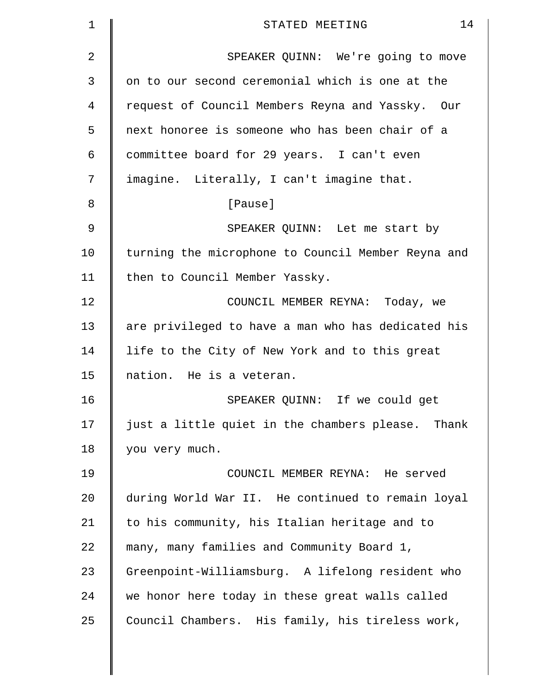| $\mathbf 1$ | 14<br>STATED MEETING                               |
|-------------|----------------------------------------------------|
| 2           | SPEAKER QUINN: We're going to move                 |
| 3           | on to our second ceremonial which is one at the    |
| 4           | request of Council Members Reyna and Yassky. Our   |
| 5           | next honoree is someone who has been chair of a    |
| 6           | committee board for 29 years. I can't even         |
| 7           | imagine. Literally, I can't imagine that.          |
| 8           | [Pause]                                            |
| 9           | SPEAKER QUINN: Let me start by                     |
| 10          | turning the microphone to Council Member Reyna and |
| 11          | then to Council Member Yassky.                     |
| 12          | COUNCIL MEMBER REYNA: Today, we                    |
| 13          | are privileged to have a man who has dedicated his |
| 14          | life to the City of New York and to this great     |
| 15          | nation. He is a veteran.                           |
| 16          | SPEAKER QUINN: If we could get                     |
| 17          | just a little quiet in the chambers please. Thank  |
| 18          | you very much.                                     |
| 19          | COUNCIL MEMBER REYNA: He served                    |
| 20          | during World War II. He continued to remain loyal  |
| 21          | to his community, his Italian heritage and to      |
| 22          | many, many families and Community Board 1,         |
| 23          | Greenpoint-Williamsburg. A lifelong resident who   |
| 24          | we honor here today in these great walls called    |
| 25          | Council Chambers. His family, his tireless work,   |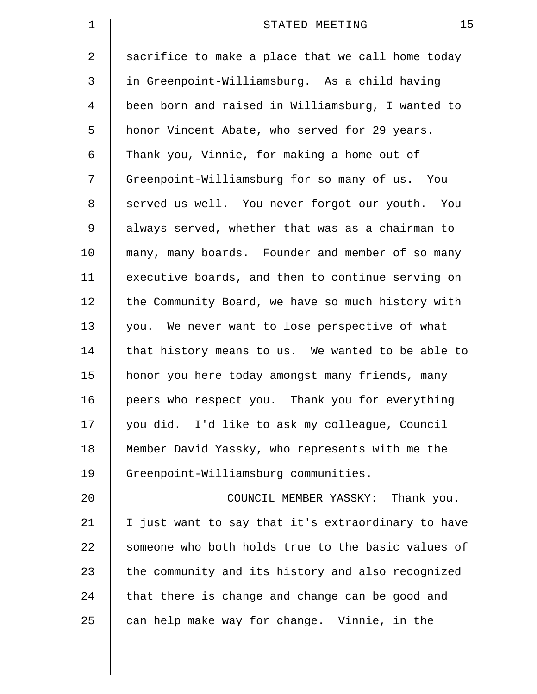| $\mathbf 1$ | 15<br>STATED MEETING                               |
|-------------|----------------------------------------------------|
| 2           | sacrifice to make a place that we call home today  |
| 3           | in Greenpoint-Williamsburg. As a child having      |
| 4           | been born and raised in Williamsburg, I wanted to  |
| 5           | honor Vincent Abate, who served for 29 years.      |
| 6           | Thank you, Vinnie, for making a home out of        |
| 7           | Greenpoint-Williamsburg for so many of us. You     |
| 8           | served us well. You never forgot our youth. You    |
| 9           | always served, whether that was as a chairman to   |
| 10          | many, many boards. Founder and member of so many   |
| 11          | executive boards, and then to continue serving on  |
| 12          | the Community Board, we have so much history with  |
| 13          | you. We never want to lose perspective of what     |
| 14          | that history means to us. We wanted to be able to  |
| 15          | honor you here today amongst many friends, many    |
| 16          | peers who respect you. Thank you for everything    |
| 17          | you did. I'd like to ask my colleague, Council     |
| 18          | Member David Yassky, who represents with me the    |
| 19          | Greenpoint-Williamsburg communities.               |
| 20          | COUNCIL MEMBER YASSKY: Thank you.                  |
| 21          | I just want to say that it's extraordinary to have |
| 22          | someone who both holds true to the basic values of |
| 23          | the community and its history and also recognized  |
| 24          | that there is change and change can be good and    |
| 25          | can help make way for change. Vinnie, in the       |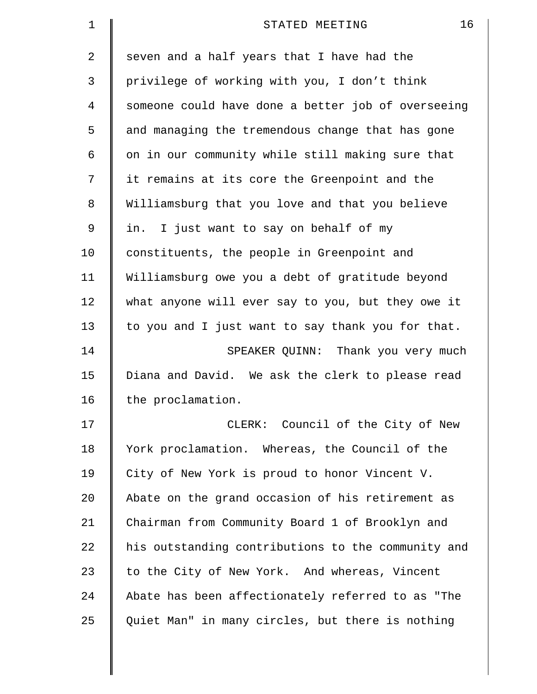| $\mathbf 1$ | 16<br>STATED MEETING                               |
|-------------|----------------------------------------------------|
| 2           | seven and a half years that I have had the         |
| 3           | privilege of working with you, I don't think       |
| 4           | someone could have done a better job of overseeing |
| 5           | and managing the tremendous change that has gone   |
| 6           | on in our community while still making sure that   |
| 7           | it remains at its core the Greenpoint and the      |
| 8           | Williamsburg that you love and that you believe    |
| 9           | in. I just want to say on behalf of my             |
| 10          | constituents, the people in Greenpoint and         |
| 11          | Williamsburg owe you a debt of gratitude beyond    |
| 12          | what anyone will ever say to you, but they owe it  |
| 13          | to you and I just want to say thank you for that.  |
| 14          | SPEAKER QUINN: Thank you very much                 |
| 15          | Diana and David. We ask the clerk to please read   |
| 16          | the proclamation.                                  |
| 17          | CLERK: Council of the City of New                  |
| 18          | York proclamation. Whereas, the Council of the     |
| 19          | City of New York is proud to honor Vincent V.      |
| 20          | Abate on the grand occasion of his retirement as   |
| 21          | Chairman from Community Board 1 of Brooklyn and    |
| 22          | his outstanding contributions to the community and |
| 23          | to the City of New York. And whereas, Vincent      |
| 24          | Abate has been affectionately referred to as "The  |
| 25          | Quiet Man" in many circles, but there is nothing   |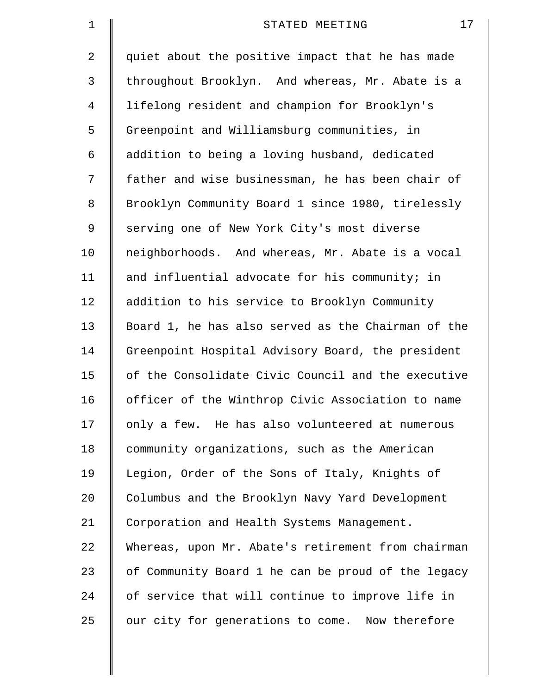| $\mathbf 1$ | 17<br>STATED MEETING                               |
|-------------|----------------------------------------------------|
| 2           | quiet about the positive impact that he has made   |
| 3           | throughout Brooklyn. And whereas, Mr. Abate is a   |
| 4           | lifelong resident and champion for Brooklyn's      |
| 5           | Greenpoint and Williamsburg communities, in        |
| 6           | addition to being a loving husband, dedicated      |
| 7           | father and wise businessman, he has been chair of  |
| 8           | Brooklyn Community Board 1 since 1980, tirelessly  |
| 9           | serving one of New York City's most diverse        |
| 10          | neighborhoods. And whereas, Mr. Abate is a vocal   |
| 11          | and influential advocate for his community; in     |
| 12          | addition to his service to Brooklyn Community      |
| 13          | Board 1, he has also served as the Chairman of the |
| 14          | Greenpoint Hospital Advisory Board, the president  |
| 15          | of the Consolidate Civic Council and the executive |
| 16          | officer of the Winthrop Civic Association to name  |
| 17          | only a few. He has also volunteered at numerous    |
| 18          | community organizations, such as the American      |
| 19          | Legion, Order of the Sons of Italy, Knights of     |
| 20          | Columbus and the Brooklyn Navy Yard Development    |
| 21          | Corporation and Health Systems Management.         |
| 22          | Whereas, upon Mr. Abate's retirement from chairman |
| 23          | of Community Board 1 he can be proud of the legacy |
| 24          | of service that will continue to improve life in   |
| 25          | our city for generations to come. Now therefore    |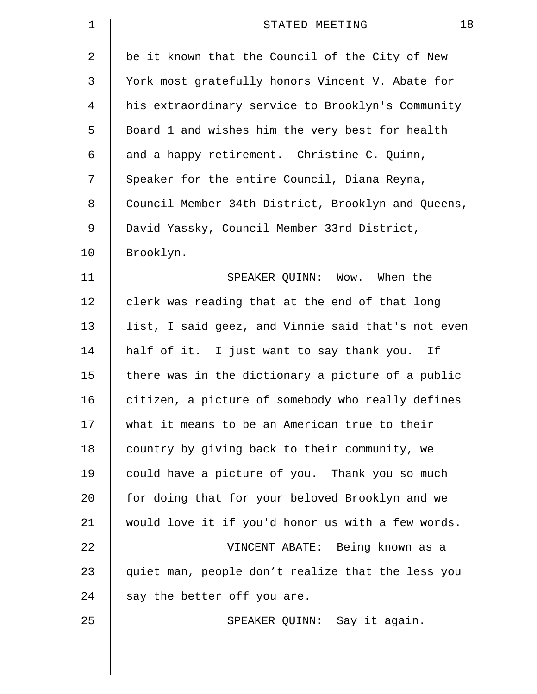| $\mathbf 1$ | 18<br>STATED MEETING                               |
|-------------|----------------------------------------------------|
| 2           | be it known that the Council of the City of New    |
| 3           | York most gratefully honors Vincent V. Abate for   |
| 4           | his extraordinary service to Brooklyn's Community  |
| 5           | Board 1 and wishes him the very best for health    |
| 6           | and a happy retirement. Christine C. Quinn,        |
| 7           | Speaker for the entire Council, Diana Reyna,       |
| 8           | Council Member 34th District, Brooklyn and Queens, |
| 9           | David Yassky, Council Member 33rd District,        |
| 10          | Brooklyn.                                          |
| 11          | SPEAKER QUINN: Wow. When the                       |
| 12          | clerk was reading that at the end of that long     |
| 13          | list, I said geez, and Vinnie said that's not even |
| 14          | half of it. I just want to say thank you.<br>Ιf    |
| 15          | there was in the dictionary a picture of a public  |
| 16          | citizen, a picture of somebody who really defines  |
| 17          | what it means to be an American true to their      |
| 18          | country by giving back to their community, we      |
| 19          | could have a picture of you. Thank you so much     |
| 20          | for doing that for your beloved Brooklyn and we    |
| 21          | would love it if you'd honor us with a few words.  |
| 22          | VINCENT ABATE: Being known as a                    |
| 23          | quiet man, people don't realize that the less you  |
| 24          | say the better off you are.                        |
| 25          | SPEAKER QUINN: Say it again.                       |
|             |                                                    |
|             |                                                    |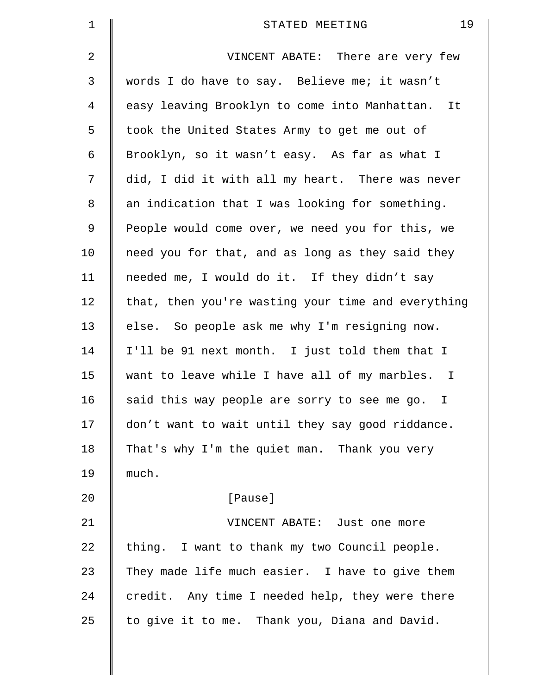| 1  | 19<br>STATED MEETING                                         |
|----|--------------------------------------------------------------|
| 2  | VINCENT ABATE: There are very few                            |
| 3  | words I do have to say. Believe me; it wasn't                |
| 4  | easy leaving Brooklyn to come into Manhattan. It             |
| 5  | took the United States Army to get me out of                 |
| 6  | Brooklyn, so it wasn't easy. As far as what I                |
| 7  | did, I did it with all my heart. There was never             |
| 8  | an indication that I was looking for something.              |
| 9  | People would come over, we need you for this, we             |
| 10 | need you for that, and as long as they said they             |
| 11 | needed me, I would do it. If they didn't say                 |
| 12 | that, then you're wasting your time and everything           |
| 13 | else. So people ask me why I'm resigning now.                |
| 14 | I'll be 91 next month. I just told them that I               |
| 15 | want to leave while I have all of my marbles. I              |
| 16 | said this way people are sorry to see me go.<br>$\mathbf{I}$ |
| 17 | don't want to wait until they say good riddance.             |
| 18 | That's why I'm the quiet man. Thank you very                 |
| 19 | much.                                                        |
| 20 | [Pause]                                                      |
| 21 | VINCENT ABATE: Just one more                                 |
| 22 | thing. I want to thank my two Council people.                |
| 23 | They made life much easier. I have to give them              |
| 24 | credit. Any time I needed help, they were there              |
| 25 | to give it to me. Thank you, Diana and David.                |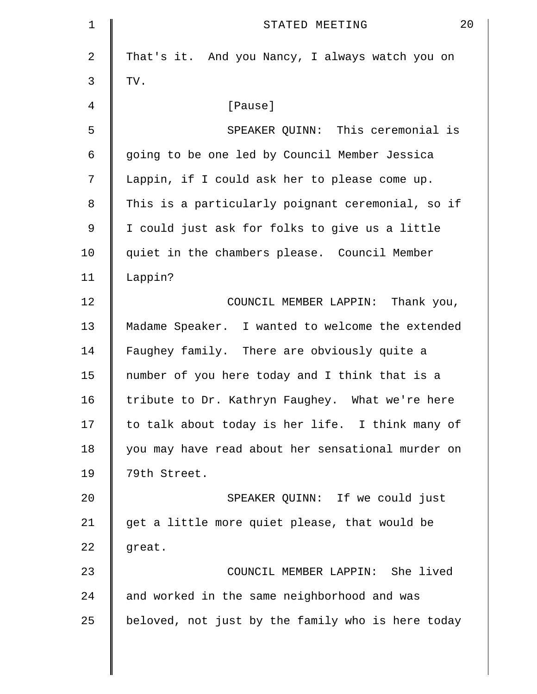| $\mathbf 1$    | 20<br>STATED MEETING                              |
|----------------|---------------------------------------------------|
| $\overline{2}$ | That's it. And you Nancy, I always watch you on   |
| 3              | TV.                                               |
| 4              | [Pause]                                           |
| 5              | SPEAKER QUINN: This ceremonial is                 |
| 6              | going to be one led by Council Member Jessica     |
| 7              | Lappin, if I could ask her to please come up.     |
| 8              | This is a particularly poignant ceremonial, so if |
| 9              | I could just ask for folks to give us a little    |
| 10             | quiet in the chambers please. Council Member      |
| 11             | Lappin?                                           |
| 12             | COUNCIL MEMBER LAPPIN: Thank you,                 |
| 13             | Madame Speaker. I wanted to welcome the extended  |
| 14             | Faughey family. There are obviously quite a       |
| 15             | number of you here today and I think that is a    |
| 16             | tribute to Dr. Kathryn Faughey. What we're here   |
| 17             | to talk about today is her life. I think many of  |
| 18             | you may have read about her sensational murder on |
| 19             | 79th Street.                                      |
| 20             | SPEAKER QUINN: If we could just                   |
| 21             | get a little more quiet please, that would be     |
| 22             | great.                                            |
| 23             | COUNCIL MEMBER LAPPIN: She lived                  |
| 24             | and worked in the same neighborhood and was       |
| 25             | beloved, not just by the family who is here today |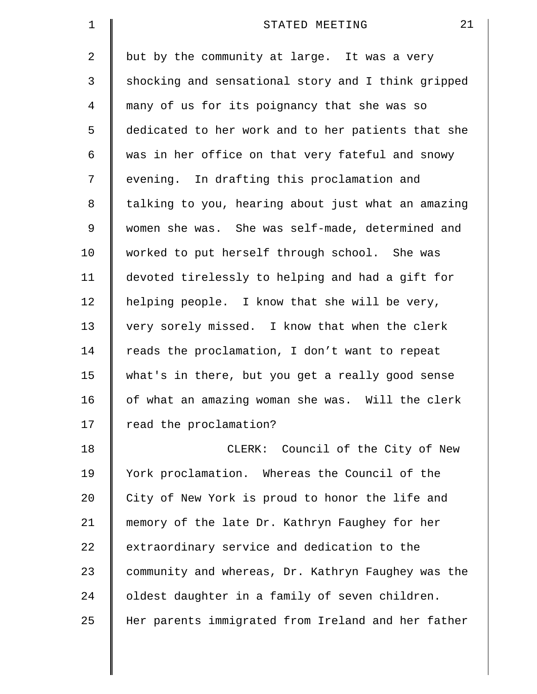| 1  | 21<br>STATED MEETING                               |
|----|----------------------------------------------------|
| 2  | but by the community at large. It was a very       |
| 3  | shocking and sensational story and I think gripped |
| 4  | many of us for its poignancy that she was so       |
| 5  | dedicated to her work and to her patients that she |
| 6  | was in her office on that very fateful and snowy   |
| 7  | evening. In drafting this proclamation and         |
| 8  | talking to you, hearing about just what an amazing |
| 9  | women she was. She was self-made, determined and   |
| 10 | worked to put herself through school. She was      |
| 11 | devoted tirelessly to helping and had a gift for   |
| 12 | helping people. I know that she will be very,      |
| 13 | very sorely missed. I know that when the clerk     |
| 14 | reads the proclamation, I don't want to repeat     |
| 15 | what's in there, but you get a really good sense   |
| 16 | of what an amazing woman she was. Will the clerk   |
| 17 | read the proclamation?                             |
| 18 | CLERK: Council of the City of New                  |
| 19 | York proclamation. Whereas the Council of the      |
| 20 | City of New York is proud to honor the life and    |
| 21 | memory of the late Dr. Kathryn Faughey for her     |
| 22 | extraordinary service and dedication to the        |
| 23 | community and whereas, Dr. Kathryn Faughey was the |
| 24 | oldest daughter in a family of seven children.     |
| 25 | Her parents immigrated from Ireland and her father |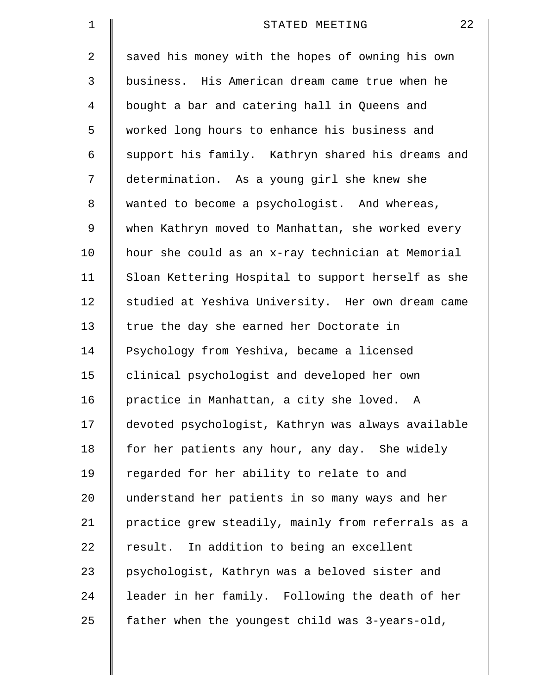| $\mathbf 1$ | 22<br>STATED MEETING                               |
|-------------|----------------------------------------------------|
| 2           | saved his money with the hopes of owning his own   |
| 3           | business. His American dream came true when he     |
| 4           | bought a bar and catering hall in Queens and       |
| 5           | worked long hours to enhance his business and      |
| 6           | support his family. Kathryn shared his dreams and  |
| 7           | determination. As a young girl she knew she        |
| 8           | wanted to become a psychologist. And whereas,      |
| 9           | when Kathryn moved to Manhattan, she worked every  |
| 10          | hour she could as an x-ray technician at Memorial  |
| 11          | Sloan Kettering Hospital to support herself as she |
| 12          | studied at Yeshiva University. Her own dream came  |
| 13          | true the day she earned her Doctorate in           |
| 14          | Psychology from Yeshiva, became a licensed         |
| 15          | clinical psychologist and developed her own        |
| 16          | practice in Manhattan, a city she loved. A         |
| 17          | devoted psychologist, Kathryn was always available |
| 18          | for her patients any hour, any day. She widely     |
| 19          | regarded for her ability to relate to and          |
| 20          | understand her patients in so many ways and her    |
| 21          | practice grew steadily, mainly from referrals as a |
| 22          | result. In addition to being an excellent          |
| 23          | psychologist, Kathryn was a beloved sister and     |
| 24          | leader in her family. Following the death of her   |
| 25          | father when the youngest child was 3-years-old,    |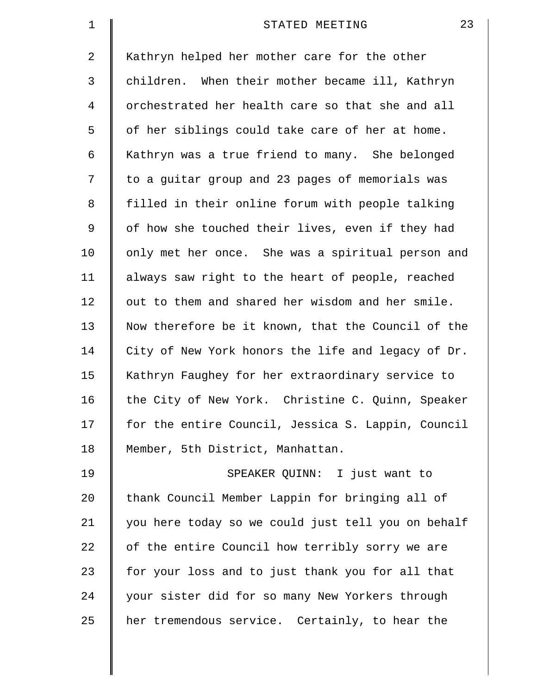| $\mathbf 1$ | 23<br>STATED MEETING                               |
|-------------|----------------------------------------------------|
| 2           | Kathryn helped her mother care for the other       |
| 3           | children. When their mother became ill, Kathryn    |
| 4           | orchestrated her health care so that she and all   |
| 5           | of her siblings could take care of her at home.    |
| 6           | Kathryn was a true friend to many. She belonged    |
| 7           | to a guitar group and 23 pages of memorials was    |
| 8           | filled in their online forum with people talking   |
| 9           | of how she touched their lives, even if they had   |
| 10          | only met her once. She was a spiritual person and  |
| 11          | always saw right to the heart of people, reached   |
| 12          | out to them and shared her wisdom and her smile.   |
| 13          | Now therefore be it known, that the Council of the |
| 14          | City of New York honors the life and legacy of Dr. |
| 15          | Kathryn Faughey for her extraordinary service to   |
| 16          | the City of New York. Christine C. Quinn, Speaker  |
| 17          | for the entire Council, Jessica S. Lappin, Council |
| 18          | Member, 5th District, Manhattan.                   |
| 19          | SPEAKER QUINN: I just want to                      |
| 20          | thank Council Member Lappin for bringing all of    |
| 21          | you here today so we could just tell you on behalf |
| 22          | of the entire Council how terribly sorry we are    |
| 23          | for your loss and to just thank you for all that   |
| 24          | your sister did for so many New Yorkers through    |
| 25          | her tremendous service. Certainly, to hear the     |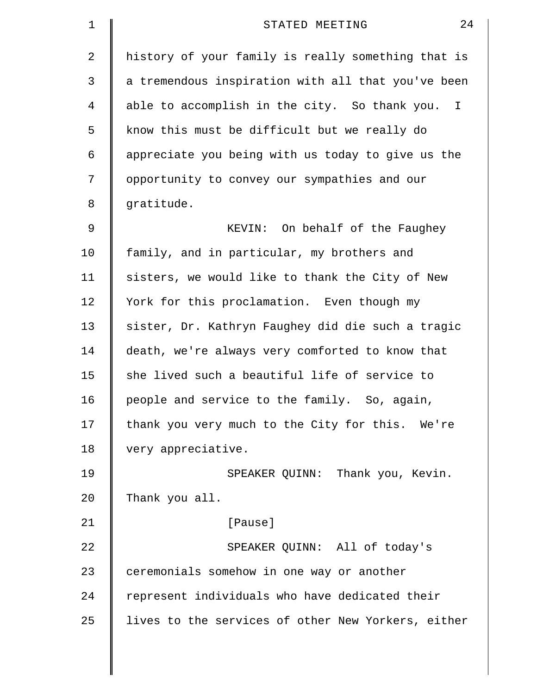| 1           | 24<br>STATED MEETING                                         |
|-------------|--------------------------------------------------------------|
| 2           | history of your family is really something that is           |
| 3           | a tremendous inspiration with all that you've been           |
| 4           | able to accomplish in the city. So thank you.<br>$\mathbf I$ |
| 5           | know this must be difficult but we really do                 |
| 6           | appreciate you being with us today to give us the            |
| 7           | opportunity to convey our sympathies and our                 |
| 8           | gratitude.                                                   |
| $\mathsf 9$ | KEVIN: On behalf of the Faughey                              |
| 10          | family, and in particular, my brothers and                   |
| 11          | sisters, we would like to thank the City of New              |
| 12          | York for this proclamation. Even though my                   |
| 13          | sister, Dr. Kathryn Faughey did die such a tragic            |
| 14          | death, we're always very comforted to know that              |
| 15          | she lived such a beautiful life of service to                |
| 16          | people and service to the family. So, again,                 |
| 17          | thank you very much to the City for this. We're              |
| 18          | very appreciative.                                           |
| 19          | SPEAKER QUINN: Thank you, Kevin.                             |
| 20          | Thank you all.                                               |
| 21          | [Pause]                                                      |
| 22          | SPEAKER QUINN: All of today's                                |
| 23          | ceremonials somehow in one way or another                    |
| 24          | represent individuals who have dedicated their               |
| 25          | lives to the services of other New Yorkers, either           |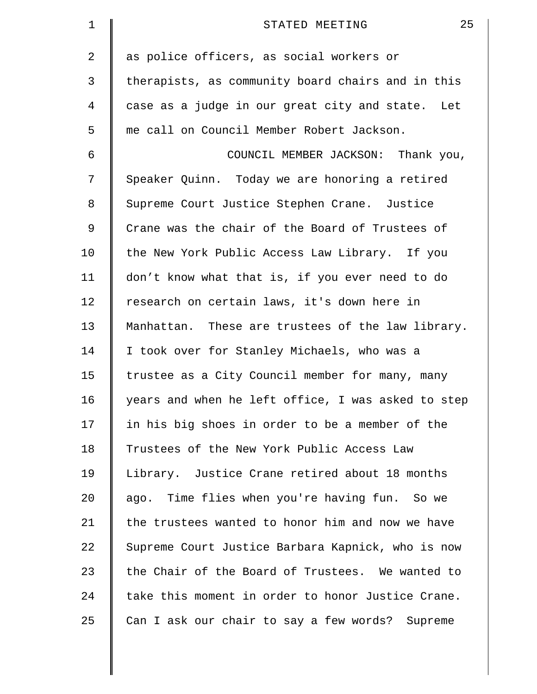| 1  | 25<br>STATED MEETING                               |
|----|----------------------------------------------------|
| 2  | as police officers, as social workers or           |
| 3  | therapists, as community board chairs and in this  |
| 4  | case as a judge in our great city and state. Let   |
| 5  | me call on Council Member Robert Jackson.          |
| 6  | COUNCIL MEMBER JACKSON: Thank you,                 |
| 7  | Speaker Quinn. Today we are honoring a retired     |
| 8  | Supreme Court Justice Stephen Crane. Justice       |
| 9  | Crane was the chair of the Board of Trustees of    |
| 10 | the New York Public Access Law Library. If you     |
| 11 | don't know what that is, if you ever need to do    |
| 12 | research on certain laws, it's down here in        |
| 13 | Manhattan. These are trustees of the law library.  |
| 14 | I took over for Stanley Michaels, who was a        |
| 15 | trustee as a City Council member for many, many    |
| 16 | years and when he left office, I was asked to step |
| 17 | in his big shoes in order to be a member of the    |
| 18 | Trustees of the New York Public Access Law         |
| 19 | Library. Justice Crane retired about 18 months     |
| 20 | ago. Time flies when you're having fun. So we      |
| 21 | the trustees wanted to honor him and now we have   |
| 22 | Supreme Court Justice Barbara Kapnick, who is now  |
| 23 | the Chair of the Board of Trustees. We wanted to   |
| 24 | take this moment in order to honor Justice Crane.  |
| 25 | Can I ask our chair to say a few words? Supreme    |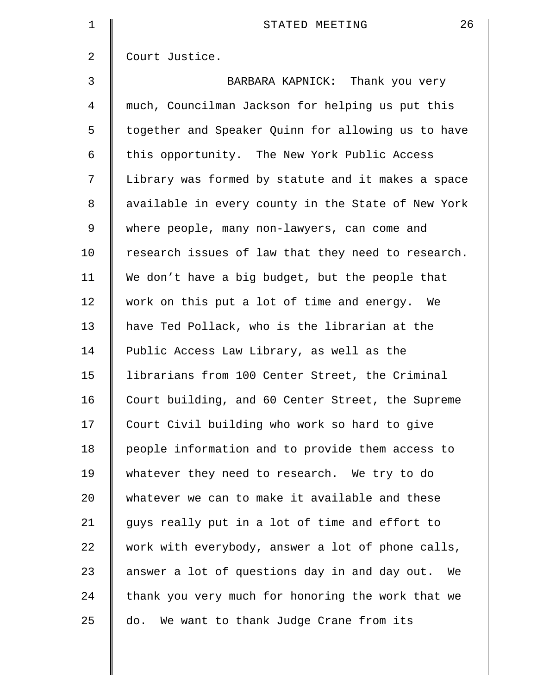| $\mathbf 1$ | 26<br>STATED MEETING                                |
|-------------|-----------------------------------------------------|
| 2           | Court Justice.                                      |
| 3           | BARBARA KAPNICK: Thank you very                     |
| 4           | much, Councilman Jackson for helping us put this    |
| 5           | together and Speaker Quinn for allowing us to have  |
| 6           | this opportunity. The New York Public Access        |
| 7           | Library was formed by statute and it makes a space  |
| 8           | available in every county in the State of New York  |
| 9           | where people, many non-lawyers, can come and        |
| 10          | research issues of law that they need to research.  |
| 11          | We don't have a big budget, but the people that     |
| 12          | work on this put a lot of time and energy. We       |
| 13          | have Ted Pollack, who is the librarian at the       |
| 14          | Public Access Law Library, as well as the           |
| 15          | librarians from 100 Center Street, the Criminal     |
| 16          | Court building, and 60 Center Street, the Supreme   |
| 17          | Court Civil building who work so hard to give       |
| 18          | people information and to provide them access to    |
| 19          | whatever they need to research. We try to do        |
| $20 \,$     | whatever we can to make it available and these      |
| 21          | guys really put in a lot of time and effort to      |
| 22          | work with everybody, answer a lot of phone calls,   |
| 23          | answer a lot of questions day in and day out.<br>We |
| 24          | thank you very much for honoring the work that we   |
| 25          | do. We want to thank Judge Crane from its           |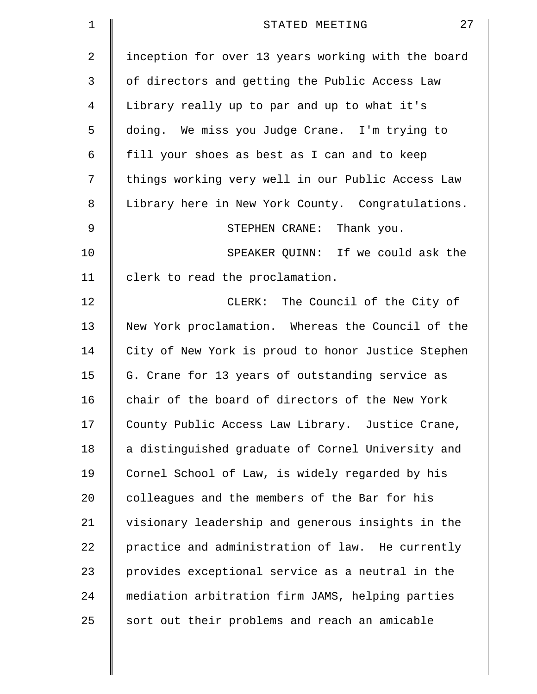| $\mathbf 1$    | 27<br>STATED MEETING                               |
|----------------|----------------------------------------------------|
| $\overline{a}$ | inception for over 13 years working with the board |
| 3              | of directors and getting the Public Access Law     |
| 4              | Library really up to par and up to what it's       |
| 5              | doing. We miss you Judge Crane. I'm trying to      |
| 6              | fill your shoes as best as I can and to keep       |
| 7              | things working very well in our Public Access Law  |
| 8              | Library here in New York County. Congratulations.  |
| 9              | STEPHEN CRANE: Thank you.                          |
| 10             | SPEAKER QUINN: If we could ask the                 |
| 11             | clerk to read the proclamation.                    |
| 12             | CLERK: The Council of the City of                  |
| 13             | New York proclamation. Whereas the Council of the  |
| 14             | City of New York is proud to honor Justice Stephen |
| 15             | G. Crane for 13 years of outstanding service as    |
| 16             | chair of the board of directors of the New York    |
| 17             | County Public Access Law Library. Justice Crane,   |
| 18             | a distinguished graduate of Cornel University and  |
| 19             | Cornel School of Law, is widely regarded by his    |
| 20             | colleagues and the members of the Bar for his      |
| 21             | visionary leadership and generous insights in the  |
| 22             | practice and administration of law. He currently   |
| 23             | provides exceptional service as a neutral in the   |
| 24             | mediation arbitration firm JAMS, helping parties   |
| 25             | sort out their problems and reach an amicable      |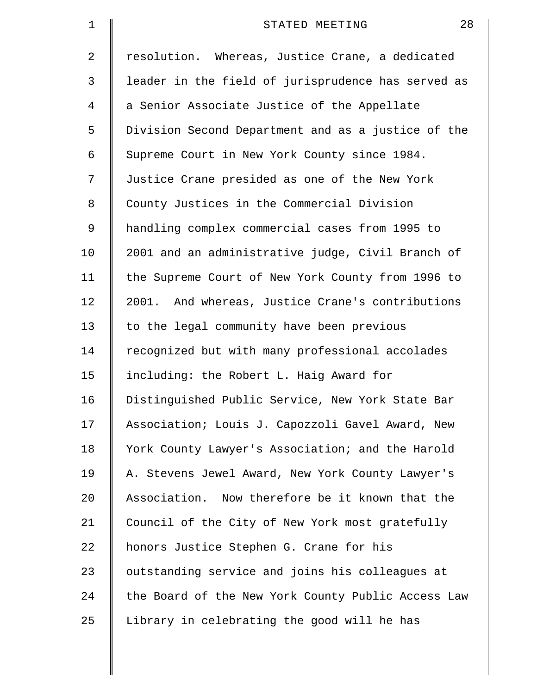| $\mathbf 1$    | 28<br>STATED MEETING                               |
|----------------|----------------------------------------------------|
| $\overline{a}$ | resolution. Whereas, Justice Crane, a dedicated    |
| 3              | leader in the field of jurisprudence has served as |
| 4              | a Senior Associate Justice of the Appellate        |
| 5              | Division Second Department and as a justice of the |
| 6              | Supreme Court in New York County since 1984.       |
| 7              | Justice Crane presided as one of the New York      |
| 8              | County Justices in the Commercial Division         |
| 9              | handling complex commercial cases from 1995 to     |
| 10             | 2001 and an administrative judge, Civil Branch of  |
| 11             | the Supreme Court of New York County from 1996 to  |
| 12             | 2001. And whereas, Justice Crane's contributions   |
| 13             | to the legal community have been previous          |
| 14             | recognized but with many professional accolades    |
| 15             | including: the Robert L. Haig Award for            |
| 16             | Distinguished Public Service, New York State Bar   |
| 17             | Association; Louis J. Capozzoli Gavel Award, New   |
| 18             | York County Lawyer's Association; and the Harold   |
| 19             | A. Stevens Jewel Award, New York County Lawyer's   |
| 20             | Association. Now therefore be it known that the    |
| 21             | Council of the City of New York most gratefully    |
| 22             | honors Justice Stephen G. Crane for his            |
| 23             | outstanding service and joins his colleagues at    |
| 24             | the Board of the New York County Public Access Law |
| 25             | Library in celebrating the good will he has        |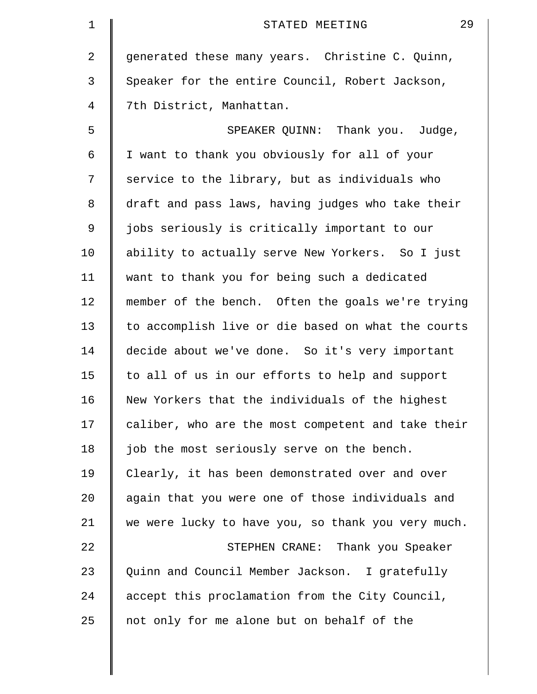| $\mathbf 1$    | 29<br>STATED MEETING                               |
|----------------|----------------------------------------------------|
| $\overline{2}$ | generated these many years. Christine C. Quinn,    |
| 3              | Speaker for the entire Council, Robert Jackson,    |
| 4              | 7th District, Manhattan.                           |
| 5              | SPEAKER QUINN: Thank you. Judge,                   |
| 6              | I want to thank you obviously for all of your      |
| 7              | service to the library, but as individuals who     |
| 8              | draft and pass laws, having judges who take their  |
| 9              | jobs seriously is critically important to our      |
| 10             | ability to actually serve New Yorkers. So I just   |
| 11             | want to thank you for being such a dedicated       |
| 12             | member of the bench. Often the goals we're trying  |
| 13             | to accomplish live or die based on what the courts |
| 14             | decide about we've done. So it's very important    |
| 15             | to all of us in our efforts to help and support    |
| 16             | New Yorkers that the individuals of the highest    |
| 17             | caliber, who are the most competent and take their |
| 18             | job the most seriously serve on the bench.         |
| 19             | Clearly, it has been demonstrated over and over    |
| 20             | again that you were one of those individuals and   |
| 21             | we were lucky to have you, so thank you very much. |
| 22             | STEPHEN CRANE: Thank you Speaker                   |
| 23             | Quinn and Council Member Jackson. I gratefully     |
| 24             | accept this proclamation from the City Council,    |
| 25             | not only for me alone but on behalf of the         |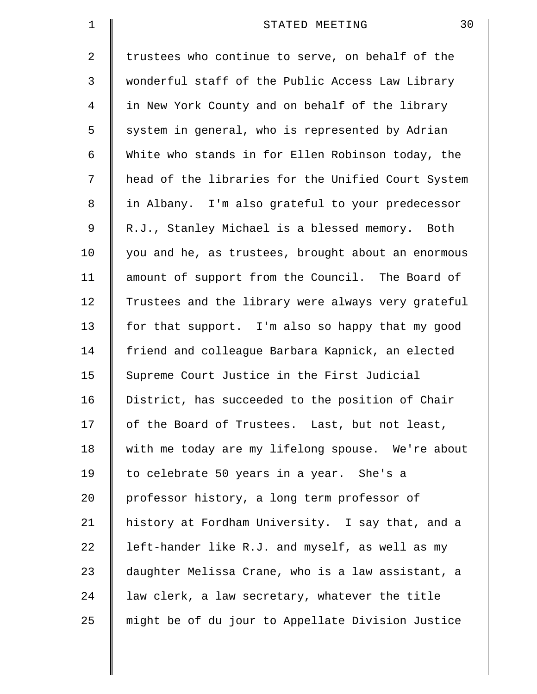| $\mathbf 1$    | 30<br>STATED MEETING                               |
|----------------|----------------------------------------------------|
| $\overline{a}$ | trustees who continue to serve, on behalf of the   |
| 3              | wonderful staff of the Public Access Law Library   |
| $\overline{4}$ | in New York County and on behalf of the library    |
| 5              | system in general, who is represented by Adrian    |
| 6              | White who stands in for Ellen Robinson today, the  |
| 7              | head of the libraries for the Unified Court System |
| 8              | in Albany. I'm also grateful to your predecessor   |
| 9              | R.J., Stanley Michael is a blessed memory. Both    |
| 10             | you and he, as trustees, brought about an enormous |
| 11             | amount of support from the Council. The Board of   |
| 12             | Trustees and the library were always very grateful |
| 13             | for that support. I'm also so happy that my good   |
| 14             | friend and colleague Barbara Kapnick, an elected   |
| 15             | Supreme Court Justice in the First Judicial        |
| 16             | District, has succeeded to the position of Chair   |
| 17             | of the Board of Trustees. Last, but not least,     |
| 18             | with me today are my lifelong spouse. We're about  |
| 19             | to celebrate 50 years in a year. She's a           |
| 20             | professor history, a long term professor of        |
| 21             | history at Fordham University. I say that, and a   |
| 22             | left-hander like R.J. and myself, as well as my    |
| 23             | daughter Melissa Crane, who is a law assistant, a  |
| 24             | law clerk, a law secretary, whatever the title     |
| 25             | might be of du jour to Appellate Division Justice  |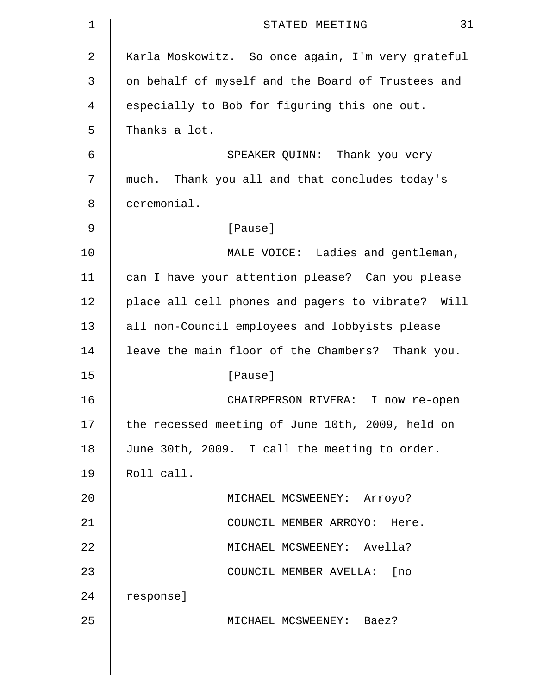| $\mathbf 1$ | 31<br>STATED MEETING                              |
|-------------|---------------------------------------------------|
| 2           | Karla Moskowitz. So once again, I'm very grateful |
| 3           | on behalf of myself and the Board of Trustees and |
| 4           | especially to Bob for figuring this one out.      |
| 5           | Thanks a lot.                                     |
| 6           | SPEAKER QUINN: Thank you very                     |
| 7           | much. Thank you all and that concludes today's    |
| 8           | ceremonial.                                       |
| 9           | [Pause]                                           |
| 10          | MALE VOICE: Ladies and gentleman,                 |
| 11          | can I have your attention please? Can you please  |
| 12          | place all cell phones and pagers to vibrate? Will |
| 13          | all non-Council employees and lobbyists please    |
| 14          | leave the main floor of the Chambers? Thank you.  |
| 15          | [Pause]                                           |
| 16          | CHAIRPERSON RIVERA:<br>I now re-open              |
| 17          | the recessed meeting of June 10th, 2009, held on  |
| 18          | June 30th, 2009. I call the meeting to order.     |
| 19          | Roll call.                                        |
| 20          | MICHAEL MCSWEENEY: Arroyo?                        |
| 21          | COUNCIL MEMBER ARROYO: Here.                      |
| 22          | MICHAEL MCSWEENEY: Avella?                        |
| 23          | COUNCIL MEMBER AVELLA: [no                        |
| 24          | response]                                         |
| 25          | MICHAEL MCSWEENEY: Baez?                          |
|             |                                                   |
|             |                                                   |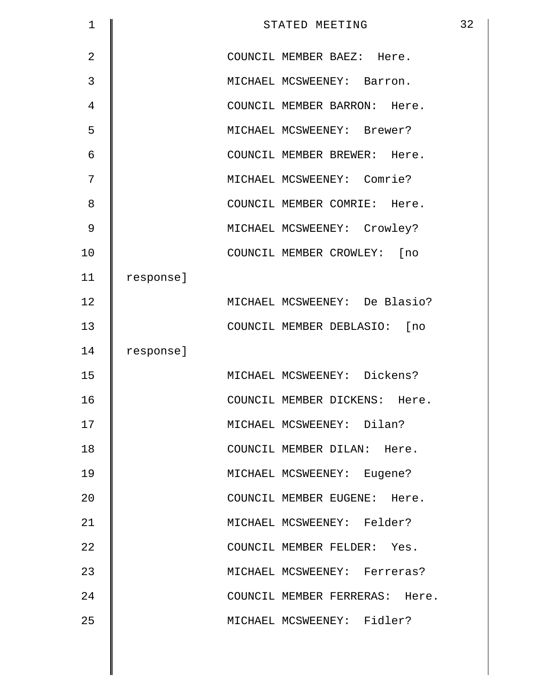| 1              |           | STATED MEETING                 | 32 |
|----------------|-----------|--------------------------------|----|
| $\overline{2}$ |           | COUNCIL MEMBER BAEZ: Here.     |    |
| $\mathsf{3}$   |           | MICHAEL MCSWEENEY: Barron.     |    |
| 4              |           | COUNCIL MEMBER BARRON: Here.   |    |
| 5              |           | MICHAEL MCSWEENEY: Brewer?     |    |
| 6              |           | COUNCIL MEMBER BREWER: Here.   |    |
| 7              |           | MICHAEL MCSWEENEY: Comrie?     |    |
| 8              |           | COUNCIL MEMBER COMRIE: Here.   |    |
| 9              |           | MICHAEL MCSWEENEY: Crowley?    |    |
| 10             |           | COUNCIL MEMBER CROWLEY: [no    |    |
| 11             | response] |                                |    |
| 12             |           | MICHAEL MCSWEENEY: De Blasio?  |    |
| 13             |           | COUNCIL MEMBER DEBLASIO: [no   |    |
| 14             | response] |                                |    |
| 15             |           | MICHAEL MCSWEENEY: Dickens?    |    |
| 16             |           | COUNCIL MEMBER DICKENS: Here.  |    |
| 17             |           | MICHAEL MCSWEENEY: Dilan?      |    |
| 18             |           | COUNCIL MEMBER DILAN: Here.    |    |
| 19             |           | MICHAEL MCSWEENEY: Eugene?     |    |
| 20             |           | COUNCIL MEMBER EUGENE: Here.   |    |
| 21             |           | MICHAEL MCSWEENEY: Felder?     |    |
| 22             |           | COUNCIL MEMBER FELDER: Yes.    |    |
| 23             |           | MICHAEL MCSWEENEY: Ferreras?   |    |
| 24             |           | COUNCIL MEMBER FERRERAS: Here. |    |
| 25             |           | MICHAEL MCSWEENEY: Fidler?     |    |
|                |           |                                |    |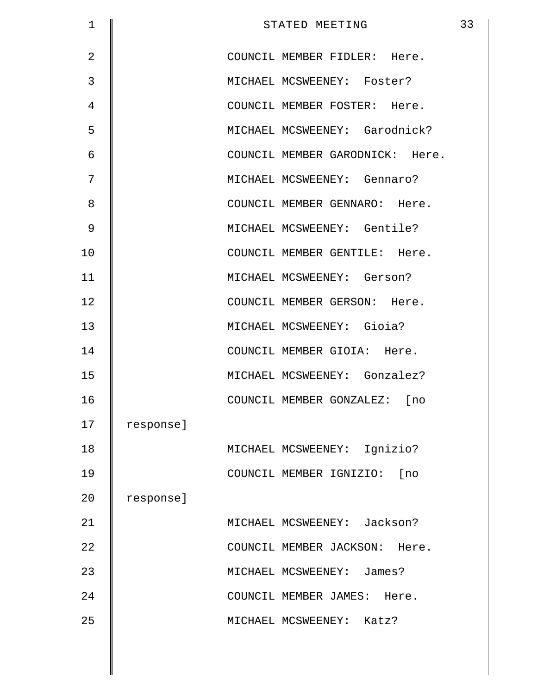| $\mathbf 1$    |           | STATED MEETING                  | 33 |
|----------------|-----------|---------------------------------|----|
| $\overline{2}$ |           | COUNCIL MEMBER FIDLER: Here.    |    |
| 3              |           | MICHAEL MCSWEENEY: Foster?      |    |
| 4              |           | COUNCIL MEMBER FOSTER: Here.    |    |
| 5              |           | MICHAEL MCSWEENEY: Garodnick?   |    |
| 6              |           | COUNCIL MEMBER GARODNICK: Here. |    |
| 7              |           | MICHAEL MCSWEENEY: Gennaro?     |    |
| 8              |           | COUNCIL MEMBER GENNARO: Here.   |    |
| 9              |           | MICHAEL MCSWEENEY: Gentile?     |    |
| 10             |           | COUNCIL MEMBER GENTILE: Here.   |    |
| 11             |           | MICHAEL MCSWEENEY: Gerson?      |    |
| 12             |           | COUNCIL MEMBER GERSON: Here.    |    |
| 13             |           | MICHAEL MCSWEENEY: Gioia?       |    |
| 14             |           | COUNCIL MEMBER GIOIA: Here.     |    |
| 15             |           | MICHAEL MCSWEENEY: Gonzalez?    |    |
| 16             |           | COUNCIL MEMBER GONZALEZ: [no    |    |
| 17             | response] |                                 |    |
| 18             |           | Ignizio?<br>MICHAEL MCSWEENEY:  |    |
| 19             |           | COUNCIL MEMBER IGNIZIO: [no     |    |
| 20             | response] |                                 |    |
| 21             |           | MICHAEL MCSWEENEY: Jackson?     |    |
| 22             |           | COUNCIL MEMBER JACKSON: Here.   |    |
| 23             |           | MICHAEL MCSWEENEY: James?       |    |
| 24             |           | COUNCIL MEMBER JAMES: Here.     |    |
| 25             |           | MICHAEL MCSWEENEY: Katz?        |    |
|                |           |                                 |    |

 $\parallel$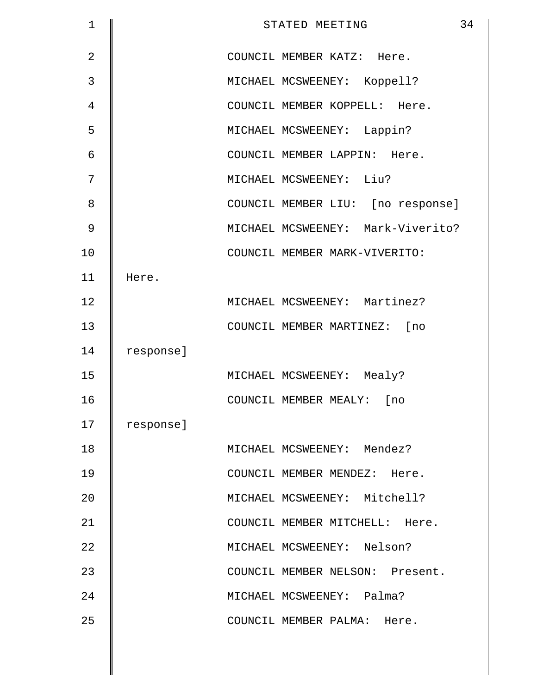| 1              |           | 34<br>STATED MEETING              |
|----------------|-----------|-----------------------------------|
| $\overline{2}$ |           | COUNCIL MEMBER KATZ: Here.        |
| 3              |           | MICHAEL MCSWEENEY: Koppell?       |
| $\overline{4}$ |           | COUNCIL MEMBER KOPPELL: Here.     |
| 5              |           | MICHAEL MCSWEENEY: Lappin?        |
| $\epsilon$     |           | COUNCIL MEMBER LAPPIN: Here.      |
| 7              |           | MICHAEL MCSWEENEY: Liu?           |
| 8              |           | COUNCIL MEMBER LIU: [no response] |
| 9              |           | MICHAEL MCSWEENEY: Mark-Viverito? |
| 10             |           | COUNCIL MEMBER MARK-VIVERITO:     |
| 11             | Here.     |                                   |
| 12             |           | MICHAEL MCSWEENEY: Martinez?      |
| 13             |           | COUNCIL MEMBER MARTINEZ: [no      |
| 14             | response] |                                   |
| 15             |           | MICHAEL MCSWEENEY: Mealy?         |
| 16             |           | COUNCIL MEMBER MEALY: [no         |
| 17             | response] |                                   |
| 18             |           | MICHAEL MCSWEENEY: Mendez?        |
| 19             |           | COUNCIL MEMBER MENDEZ: Here.      |
| 20             |           | MICHAEL MCSWEENEY: Mitchell?      |
| 21             |           | COUNCIL MEMBER MITCHELL: Here.    |
| 22             |           | MICHAEL MCSWEENEY: Nelson?        |
| 23             |           | COUNCIL MEMBER NELSON: Present.   |
| 24             |           | MICHAEL MCSWEENEY: Palma?         |
| 25             |           | COUNCIL MEMBER PALMA: Here.       |

 $\parallel$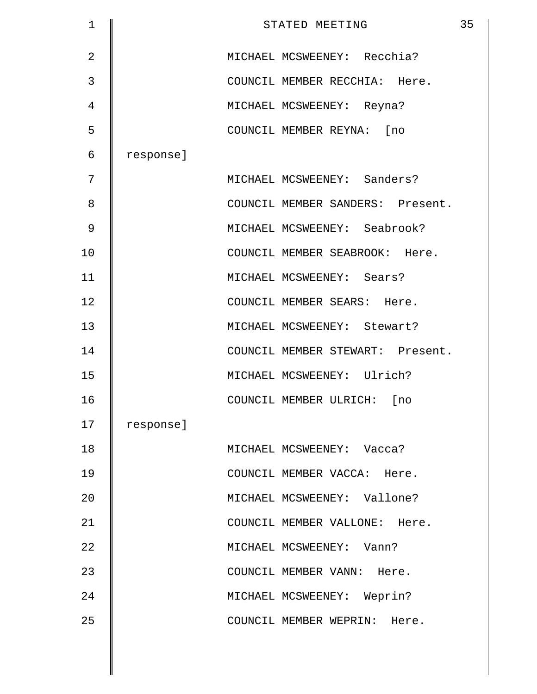| 1              |           | STATED MEETING                   | 35 |
|----------------|-----------|----------------------------------|----|
| $\overline{2}$ |           | MICHAEL MCSWEENEY: Recchia?      |    |
| 3              |           | COUNCIL MEMBER RECCHIA: Here.    |    |
| 4              |           | MICHAEL MCSWEENEY: Reyna?        |    |
| 5              |           | COUNCIL MEMBER REYNA: [no        |    |
| 6              | response] |                                  |    |
| 7              |           | MICHAEL MCSWEENEY: Sanders?      |    |
| 8              |           | COUNCIL MEMBER SANDERS: Present. |    |
| 9              |           | MICHAEL MCSWEENEY: Seabrook?     |    |
| 10             |           | COUNCIL MEMBER SEABROOK: Here.   |    |
| 11             |           | MICHAEL MCSWEENEY: Sears?        |    |
| 12             |           | COUNCIL MEMBER SEARS: Here.      |    |
| 13             |           | MICHAEL MCSWEENEY: Stewart?      |    |
| 14             |           | COUNCIL MEMBER STEWART: Present. |    |
| 15             |           | MICHAEL MCSWEENEY: Ulrich?       |    |
| 16             |           | COUNCIL MEMBER ULRICH: [no       |    |
| 17             | response] |                                  |    |
| 18             |           | MICHAEL MCSWEENEY: Vacca?        |    |
| 19             |           | COUNCIL MEMBER VACCA: Here.      |    |
| 20             |           | MICHAEL MCSWEENEY: Vallone?      |    |
| 21             |           | COUNCIL MEMBER VALLONE: Here.    |    |
| 22             |           | MICHAEL MCSWEENEY: Vann?         |    |
| 23             |           | COUNCIL MEMBER VANN: Here.       |    |
| 24             |           | MICHAEL MCSWEENEY: Weprin?       |    |
| 25             |           | COUNCIL MEMBER WEPRIN: Here.     |    |

║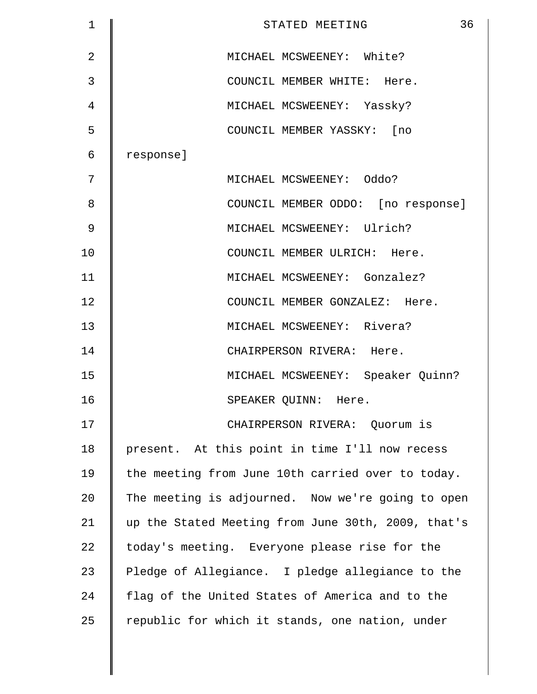| 1  | 36<br>STATED MEETING                               |
|----|----------------------------------------------------|
| 2  | MICHAEL MCSWEENEY: White?                          |
| 3  | COUNCIL MEMBER WHITE: Here.                        |
| 4  | MICHAEL MCSWEENEY: Yassky?                         |
| 5  | COUNCIL MEMBER YASSKY: [no                         |
| 6  | response]                                          |
| 7  | MICHAEL MCSWEENEY: Oddo?                           |
| 8  | COUNCIL MEMBER ODDO: [no response]                 |
| 9  | MICHAEL MCSWEENEY: Ulrich?                         |
| 10 | COUNCIL MEMBER ULRICH: Here.                       |
| 11 | MICHAEL MCSWEENEY: Gonzalez?                       |
| 12 | COUNCIL MEMBER GONZALEZ: Here.                     |
| 13 | MICHAEL MCSWEENEY: Rivera?                         |
| 14 | CHAIRPERSON RIVERA: Here.                          |
| 15 | MICHAEL MCSWEENEY: Speaker Quinn?                  |
| 16 | SPEAKER QUINN: Here.                               |
| 17 | CHAIRPERSON RIVERA: Quorum is                      |
| 18 | present. At this point in time I'll now recess     |
| 19 | the meeting from June 10th carried over to today.  |
| 20 | The meeting is adjourned. Now we're going to open  |
| 21 | up the Stated Meeting from June 30th, 2009, that's |
| 22 | today's meeting. Everyone please rise for the      |
| 23 | Pledge of Allegiance. I pledge allegiance to the   |
| 24 | flag of the United States of America and to the    |
| 25 | republic for which it stands, one nation, under    |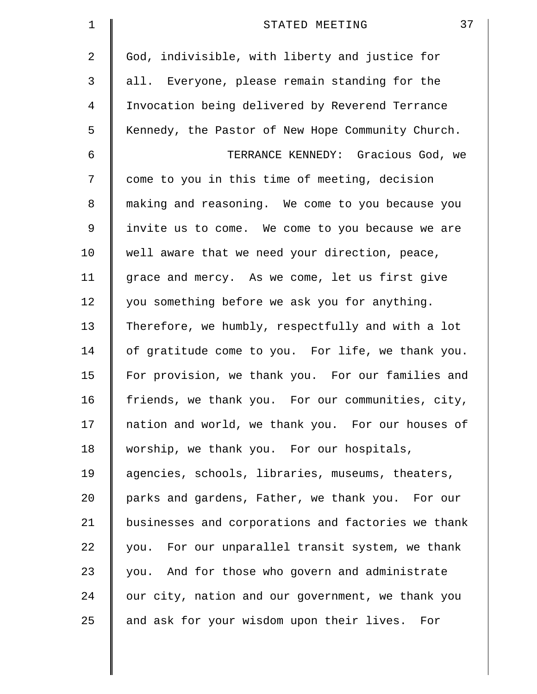| $\mathbf 1$ | 37<br>STATED MEETING                               |
|-------------|----------------------------------------------------|
| 2           | God, indivisible, with liberty and justice for     |
| 3           | all. Everyone, please remain standing for the      |
| 4           | Invocation being delivered by Reverend Terrance    |
| 5           | Kennedy, the Pastor of New Hope Community Church.  |
| 6           | TERRANCE KENNEDY: Gracious God, we                 |
| 7           | come to you in this time of meeting, decision      |
| 8           | making and reasoning. We come to you because you   |
| $\mathsf 9$ | invite us to come. We come to you because we are   |
| 10          | well aware that we need your direction, peace,     |
| 11          | grace and mercy. As we come, let us first give     |
| 12          | you something before we ask you for anything.      |
| 13          | Therefore, we humbly, respectfully and with a lot  |
| 14          | of gratitude come to you. For life, we thank you.  |
| 15          | For provision, we thank you. For our families and  |
| 16          | friends, we thank you. For our communities, city,  |
| 17          | nation and world, we thank you. For our houses of  |
| 18          | worship, we thank you. For our hospitals,          |
| 19          | agencies, schools, libraries, museums, theaters,   |
| 20          | parks and gardens, Father, we thank you. For our   |
| 21          | businesses and corporations and factories we thank |
| 22          | you. For our unparallel transit system, we thank   |
| 23          | you. And for those who govern and administrate     |
| 24          | our city, nation and our government, we thank you  |
| 25          | and ask for your wisdom upon their lives. For      |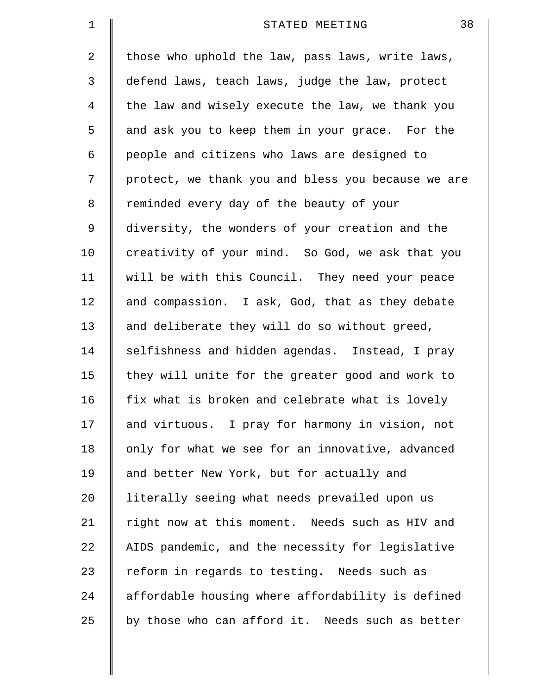| $\mathbf 1$ | 38<br>STATED MEETING                               |
|-------------|----------------------------------------------------|
| 2           | those who uphold the law, pass laws, write laws,   |
| 3           | defend laws, teach laws, judge the law, protect    |
| 4           | the law and wisely execute the law, we thank you   |
| 5           | and ask you to keep them in your grace. For the    |
| 6           | people and citizens who laws are designed to       |
| 7           | protect, we thank you and bless you because we are |
| 8           | reminded every day of the beauty of your           |
| 9           | diversity, the wonders of your creation and the    |
| 10          | creativity of your mind. So God, we ask that you   |
| 11          | will be with this Council. They need your peace    |
| 12          | and compassion. I ask, God, that as they debate    |
| 13          | and deliberate they will do so without greed,      |
| 14          | selfishness and hidden agendas. Instead, I pray    |
| 15          | they will unite for the greater good and work to   |
| 16          | fix what is broken and celebrate what is lovely    |
| 17          | and virtuous. I pray for harmony in vision, not    |
| 18          | only for what we see for an innovative, advanced   |
| 19          | and better New York, but for actually and          |
| 20          | literally seeing what needs prevailed upon us      |
| 21          | right now at this moment. Needs such as HIV and    |
| 22          | AIDS pandemic, and the necessity for legislative   |
| 23          | reform in regards to testing. Needs such as        |
| 24          | affordable housing where affordability is defined  |
| 25          | by those who can afford it. Needs such as better   |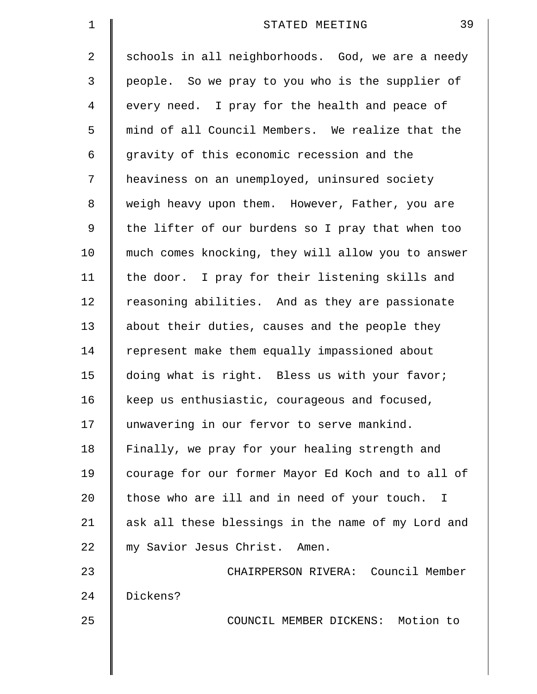| $\mathbf 1$    | 39<br>STATED MEETING                               |
|----------------|----------------------------------------------------|
| $\overline{a}$ | schools in all neighborhoods. God, we are a needy  |
| 3              | people. So we pray to you who is the supplier of   |
| 4              | every need. I pray for the health and peace of     |
| 5              | mind of all Council Members. We realize that the   |
| 6              | gravity of this economic recession and the         |
| 7              | heaviness on an unemployed, uninsured society      |
| 8              | weigh heavy upon them. However, Father, you are    |
| 9              | the lifter of our burdens so I pray that when too  |
| 10             | much comes knocking, they will allow you to answer |
| 11             | the door. I pray for their listening skills and    |
| 12             | reasoning abilities. And as they are passionate    |
| 13             | about their duties, causes and the people they     |
| 14             | represent make them equally impassioned about      |
| 15             | doing what is right. Bless us with your favor;     |
| 16             | keep us enthusiastic, courageous and focused,      |
| 17             | unwavering in our fervor to serve mankind.         |
| 18             | Finally, we pray for your healing strength and     |
| 19             | courage for our former Mayor Ed Koch and to all of |
| 20             | those who are ill and in need of your touch. I     |
| 21             | ask all these blessings in the name of my Lord and |
| 22             | my Savior Jesus Christ. Amen.                      |
| 23             | CHAIRPERSON RIVERA: Council Member                 |
| 24             | Dickens?                                           |
| 25             | COUNCIL MEMBER DICKENS: Motion to                  |
|                |                                                    |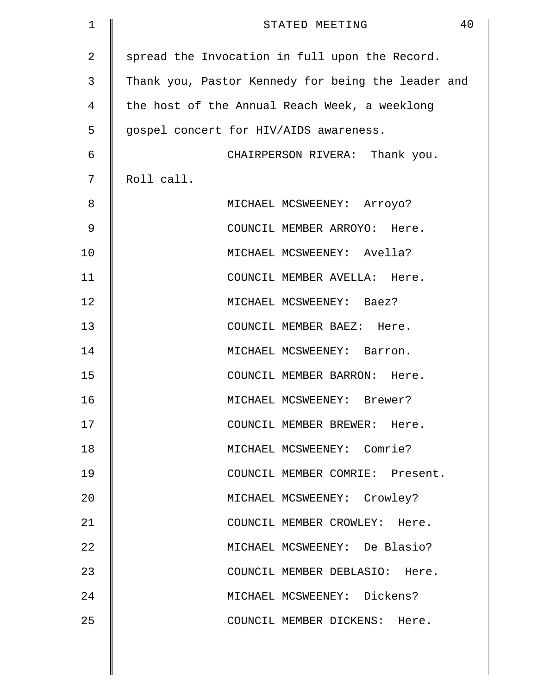| 1              | 40<br>STATED MEETING                               |
|----------------|----------------------------------------------------|
| $\overline{2}$ | spread the Invocation in full upon the Record.     |
| 3              | Thank you, Pastor Kennedy for being the leader and |
| 4              | the host of the Annual Reach Week, a weeklong      |
| 5              | gospel concert for HIV/AIDS awareness.             |
| 6              | CHAIRPERSON RIVERA: Thank you.                     |
| 7              | Roll call.                                         |
| 8              | MICHAEL MCSWEENEY: Arroyo?                         |
| 9              | COUNCIL MEMBER ARROYO: Here.                       |
| 10             | MICHAEL MCSWEENEY: Avella?                         |
| 11             | COUNCIL MEMBER AVELLA: Here.                       |
| 12             | MICHAEL MCSWEENEY: Baez?                           |
| 13             | COUNCIL MEMBER BAEZ: Here.                         |
| 14             | MICHAEL MCSWEENEY: Barron.                         |
| 15             | COUNCIL MEMBER BARRON: Here.                       |
| 16             | MICHAEL MCSWEENEY: Brewer?                         |
| 17             | COUNCIL MEMBER BREWER: Here.                       |
| 18             | MICHAEL MCSWEENEY: Comrie?                         |
| 19             | COUNCIL MEMBER COMRIE: Present.                    |
| 20             | MICHAEL MCSWEENEY: Crowley?                        |
| 21             | COUNCIL MEMBER CROWLEY: Here.                      |
| 22             | MICHAEL MCSWEENEY: De Blasio?                      |
| 23             | COUNCIL MEMBER DEBLASIO: Here.                     |
| 24             | MICHAEL MCSWEENEY: Dickens?                        |
| 25             | COUNCIL MEMBER DICKENS: Here.                      |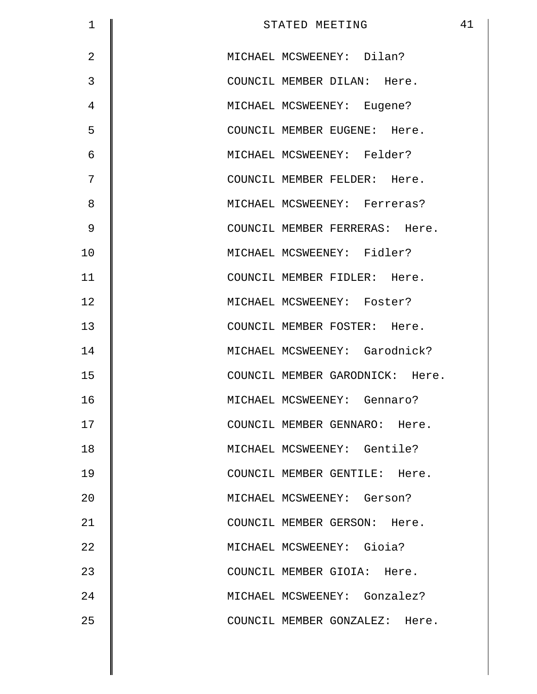| $\mathbf 1$    | STATED MEETING                  | 41 |
|----------------|---------------------------------|----|
| $\overline{2}$ | MICHAEL MCSWEENEY: Dilan?       |    |
| 3              | COUNCIL MEMBER DILAN: Here.     |    |
| 4              | MICHAEL MCSWEENEY: Eugene?      |    |
| 5              | COUNCIL MEMBER EUGENE: Here.    |    |
| 6              | MICHAEL MCSWEENEY: Felder?      |    |
| 7              | COUNCIL MEMBER FELDER: Here.    |    |
| 8              | MICHAEL MCSWEENEY: Ferreras?    |    |
| $\mathcal{G}$  | COUNCIL MEMBER FERRERAS: Here.  |    |
| 10             | MICHAEL MCSWEENEY: Fidler?      |    |
| 11             | COUNCIL MEMBER FIDLER: Here.    |    |
| 12             | MICHAEL MCSWEENEY: Foster?      |    |
| 13             | COUNCIL MEMBER FOSTER: Here.    |    |
| 14             | MICHAEL MCSWEENEY: Garodnick?   |    |
| 15             | COUNCIL MEMBER GARODNICK: Here. |    |
| 16             | MICHAEL MCSWEENEY: Gennaro?     |    |
| 17             | COUNCIL MEMBER GENNARO: Here.   |    |
| 18             | MICHAEL MCSWEENEY: Gentile?     |    |
| 19             | COUNCIL MEMBER GENTILE: Here.   |    |
| 20             | MICHAEL MCSWEENEY: Gerson?      |    |
| 21             | COUNCIL MEMBER GERSON: Here.    |    |
| 22             | MICHAEL MCSWEENEY: Gioia?       |    |
| 23             | COUNCIL MEMBER GIOIA: Here.     |    |
| 24             | MICHAEL MCSWEENEY: Gonzalez?    |    |
| 25             | COUNCIL MEMBER GONZALEZ: Here.  |    |
|                |                                 |    |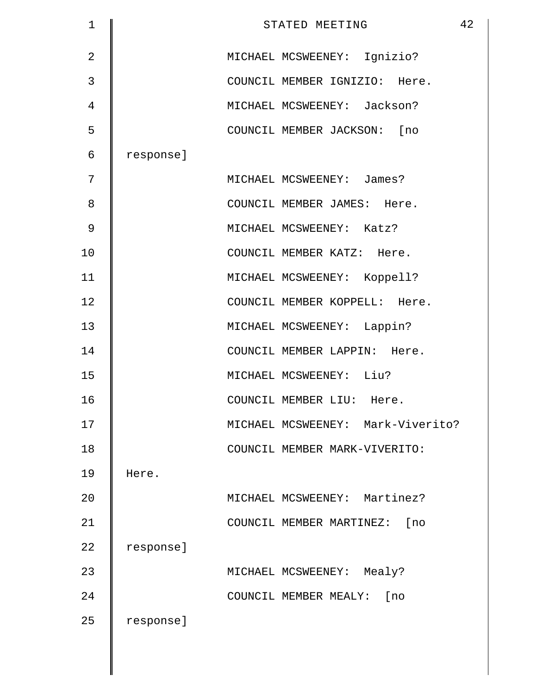| $\mathbf 1$    |           | 42<br>STATED MEETING              |
|----------------|-----------|-----------------------------------|
| $\overline{2}$ |           | MICHAEL MCSWEENEY: Ignizio?       |
| 3              |           | COUNCIL MEMBER IGNIZIO: Here.     |
| $\overline{4}$ |           | MICHAEL MCSWEENEY: Jackson?       |
| 5              |           | COUNCIL MEMBER JACKSON: [no       |
| 6              | response] |                                   |
| 7              |           | MICHAEL MCSWEENEY: James?         |
| 8              |           | COUNCIL MEMBER JAMES: Here.       |
| $\mathsf 9$    |           | MICHAEL MCSWEENEY: Katz?          |
| 10             |           | COUNCIL MEMBER KATZ: Here.        |
| 11             |           | MICHAEL MCSWEENEY: Koppell?       |
| 12             |           | COUNCIL MEMBER KOPPELL: Here.     |
| 13             |           | MICHAEL MCSWEENEY: Lappin?        |
| 14             |           | COUNCIL MEMBER LAPPIN: Here.      |
| 15             |           | MICHAEL MCSWEENEY: Liu?           |
| 16             |           | COUNCIL MEMBER LIU: Here.         |
| 17             |           | MICHAEL MCSWEENEY: Mark-Viverito? |
| 18             |           | COUNCIL MEMBER MARK-VIVERITO:     |
| 19             | Here.     |                                   |
| 20             |           | MICHAEL MCSWEENEY: Martinez?      |
| 21             |           | COUNCIL MEMBER MARTINEZ:<br>[no   |
| 22             | response] |                                   |
| 23             |           | MICHAEL MCSWEENEY: Mealy?         |
| 24             |           | COUNCIL MEMBER MEALY:<br>[no      |
| 25             | response] |                                   |
|                |           |                                   |
|                |           |                                   |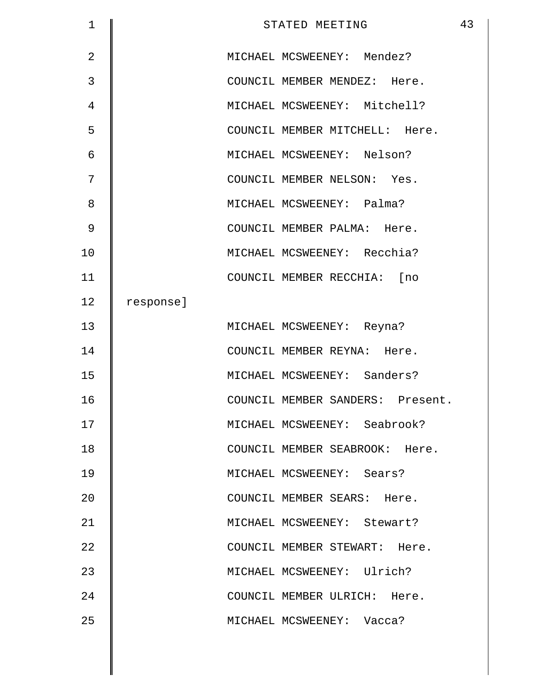| $\mathbf 1$    |           | STATED MEETING                   | 43 |
|----------------|-----------|----------------------------------|----|
| $\overline{2}$ |           | MICHAEL MCSWEENEY: Mendez?       |    |
| 3              |           | COUNCIL MEMBER MENDEZ: Here.     |    |
| 4              |           | MICHAEL MCSWEENEY: Mitchell?     |    |
| 5              |           | COUNCIL MEMBER MITCHELL: Here.   |    |
| 6              |           | MICHAEL MCSWEENEY: Nelson?       |    |
| 7              |           | COUNCIL MEMBER NELSON: Yes.      |    |
| 8              |           | MICHAEL MCSWEENEY: Palma?        |    |
| 9              |           | COUNCIL MEMBER PALMA: Here.      |    |
| 10             |           | MICHAEL MCSWEENEY: Recchia?      |    |
| 11             |           | COUNCIL MEMBER RECCHIA: [no      |    |
| 12             | response] |                                  |    |
| 13             |           | MICHAEL MCSWEENEY: Reyna?        |    |
| 14             |           | COUNCIL MEMBER REYNA: Here.      |    |
| 15             |           | MICHAEL MCSWEENEY: Sanders?      |    |
| 16             |           | COUNCIL MEMBER SANDERS: Present. |    |
| 17             |           | MICHAEL MCSWEENEY: Seabrook?     |    |
| 18             |           | COUNCIL MEMBER SEABROOK: Here.   |    |
| 19             |           | MICHAEL MCSWEENEY: Sears?        |    |
| 20             |           | COUNCIL MEMBER SEARS: Here.      |    |
| 21             |           | MICHAEL MCSWEENEY: Stewart?      |    |
| 22             |           | COUNCIL MEMBER STEWART: Here.    |    |
| 23             |           | MICHAEL MCSWEENEY: Ulrich?       |    |
| 24             |           | COUNCIL MEMBER ULRICH: Here.     |    |
| 25             |           | MICHAEL MCSWEENEY: Vacca?        |    |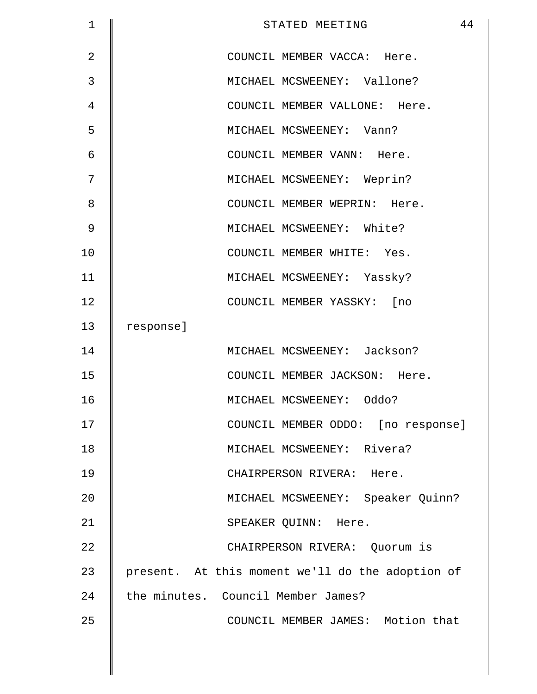| 1  | 44<br>STATED MEETING                             |
|----|--------------------------------------------------|
| 2  | COUNCIL MEMBER VACCA: Here.                      |
| 3  | MICHAEL MCSWEENEY: Vallone?                      |
| 4  | COUNCIL MEMBER VALLONE: Here.                    |
| 5  | MICHAEL MCSWEENEY: Vann?                         |
| 6  | COUNCIL MEMBER VANN: Here.                       |
| 7  | MICHAEL MCSWEENEY: Weprin?                       |
| 8  | COUNCIL MEMBER WEPRIN: Here.                     |
| 9  | MICHAEL MCSWEENEY: White?                        |
| 10 | COUNCIL MEMBER WHITE: Yes.                       |
| 11 | MICHAEL MCSWEENEY: Yassky?                       |
| 12 | COUNCIL MEMBER YASSKY: [no                       |
| 13 | response]                                        |
| 14 | MICHAEL MCSWEENEY: Jackson?                      |
| 15 | COUNCIL MEMBER JACKSON: Here.                    |
| 16 | MICHAEL MCSWEENEY: Oddo?                         |
| 17 | COUNCIL MEMBER ODDO: [no response]               |
| 18 | MICHAEL MCSWEENEY: Rivera?                       |
| 19 | CHAIRPERSON RIVERA: Here.                        |
| 20 | MICHAEL MCSWEENEY: Speaker Quinn?                |
| 21 | SPEAKER QUINN: Here.                             |
| 22 | CHAIRPERSON RIVERA: Quorum is                    |
| 23 | present. At this moment we'll do the adoption of |
| 24 | the minutes. Council Member James?               |
| 25 | COUNCIL MEMBER JAMES: Motion that                |
|    |                                                  |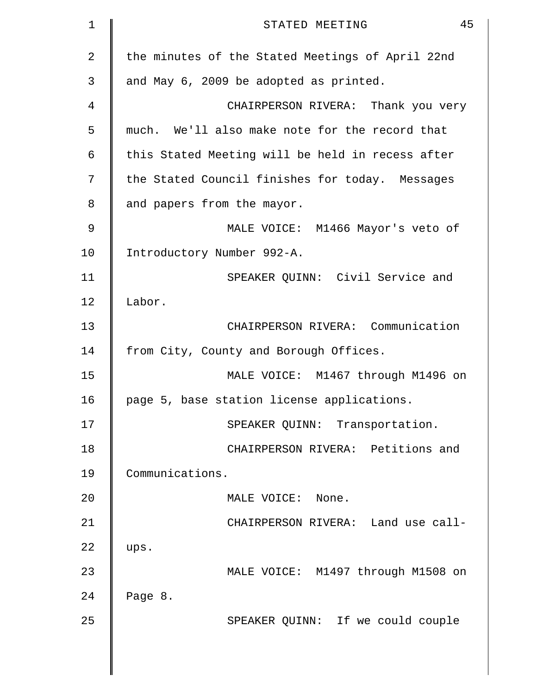| 1  | 45<br>STATED MEETING                             |
|----|--------------------------------------------------|
| 2  | the minutes of the Stated Meetings of April 22nd |
| 3  | and May 6, 2009 be adopted as printed.           |
| 4  | CHAIRPERSON RIVERA: Thank you very               |
| 5  | much. We'll also make note for the record that   |
| 6  | this Stated Meeting will be held in recess after |
| 7  | the Stated Council finishes for today. Messages  |
| 8  | and papers from the mayor.                       |
| 9  | MALE VOICE: M1466 Mayor's veto of                |
| 10 | Introductory Number 992-A.                       |
| 11 | SPEAKER QUINN: Civil Service and                 |
| 12 | Labor.                                           |
| 13 | CHAIRPERSON RIVERA: Communication                |
| 14 | from City, County and Borough Offices.           |
| 15 | MALE VOICE: M1467 through M1496 on               |
| 16 | page 5, base station license applications.       |
| 17 | SPEAKER QUINN: Transportation.                   |
| 18 | CHAIRPERSON RIVERA: Petitions and                |
| 19 | Communications.                                  |
| 20 | MALE VOICE: None.                                |
| 21 | CHAIRPERSON RIVERA: Land use call-               |
| 22 | ups.                                             |
| 23 | MALE VOICE: M1497 through M1508 on               |
| 24 | Page 8.                                          |
| 25 | SPEAKER QUINN: If we could couple                |
|    |                                                  |
|    |                                                  |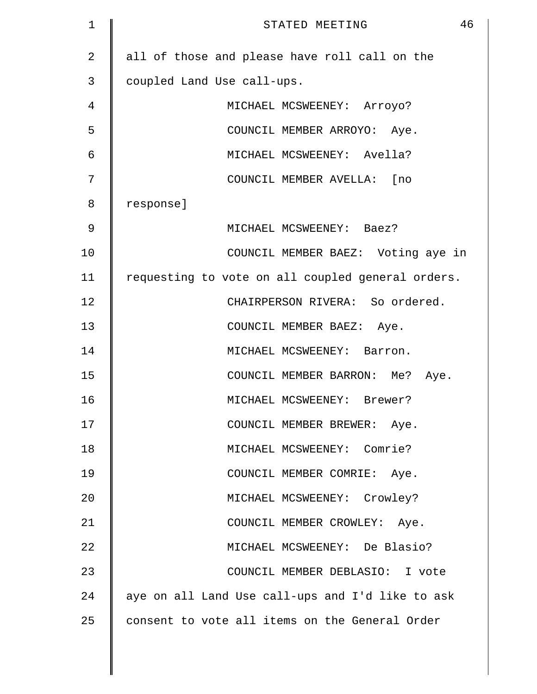| $\mathbf 1$   | 46<br>STATED MEETING                              |
|---------------|---------------------------------------------------|
| 2             | all of those and please have roll call on the     |
| 3             | coupled Land Use call-ups.                        |
| 4             | MICHAEL MCSWEENEY: Arroyo?                        |
| 5             | COUNCIL MEMBER ARROYO: Aye.                       |
| 6             | MICHAEL MCSWEENEY: Avella?                        |
| 7             | COUNCIL MEMBER AVELLA: [no                        |
| 8             | response]                                         |
| $\mathcal{G}$ | MICHAEL MCSWEENEY: Baez?                          |
| 10            | COUNCIL MEMBER BAEZ: Voting aye in                |
| 11            | requesting to vote on all coupled general orders. |
| 12            | CHAIRPERSON RIVERA: So ordered.                   |
| 13            | COUNCIL MEMBER BAEZ: Aye.                         |
| 14            | MICHAEL MCSWEENEY: Barron.                        |
| 15            | COUNCIL MEMBER BARRON: Me? Aye.                   |
| 16            | MICHAEL MCSWEENEY: Brewer?                        |
| 17            | COUNCIL MEMBER BREWER: Aye.                       |
| 18            | MICHAEL MCSWEENEY: Comrie?                        |
| 19            | COUNCIL MEMBER COMRIE: Aye.                       |
| 20            | MICHAEL MCSWEENEY: Crowley?                       |
| 21            | COUNCIL MEMBER CROWLEY: Aye.                      |
| 22            | MICHAEL MCSWEENEY: De Blasio?                     |
| 23            | COUNCIL MEMBER DEBLASIO: I vote                   |
| 24            | aye on all Land Use call-ups and I'd like to ask  |
| 25            | consent to vote all items on the General Order    |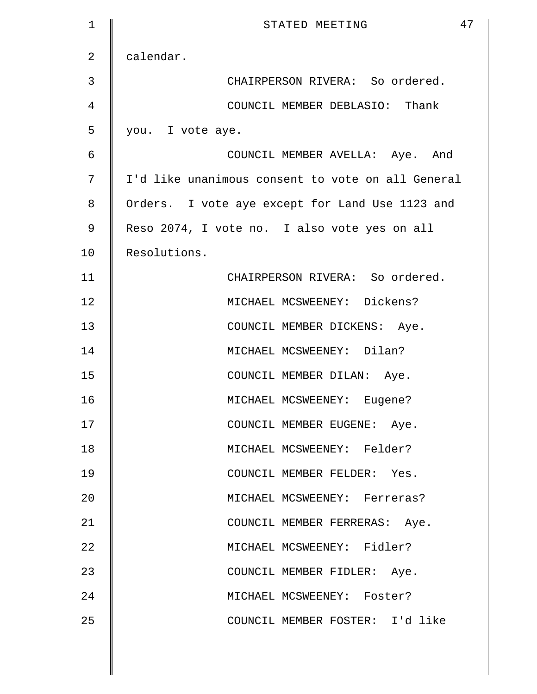| $\mathbf 1$    | 47<br>STATED MEETING                              |
|----------------|---------------------------------------------------|
| $\overline{2}$ | calendar.                                         |
| 3              | CHAIRPERSON RIVERA: So ordered.                   |
| 4              | COUNCIL MEMBER DEBLASIO: Thank                    |
| 5              | you. I vote aye.                                  |
| 6              | COUNCIL MEMBER AVELLA: Aye. And                   |
| 7              | I'd like unanimous consent to vote on all General |
| 8              | Orders. I vote aye except for Land Use 1123 and   |
| 9              | Reso 2074, I vote no. I also vote yes on all      |
| 10             | Resolutions.                                      |
| 11             | CHAIRPERSON RIVERA: So ordered.                   |
| 12             | MICHAEL MCSWEENEY: Dickens?                       |
| 13             | COUNCIL MEMBER DICKENS: Aye.                      |
| 14             | MICHAEL MCSWEENEY: Dilan?                         |
| 15             | COUNCIL MEMBER DILAN: Aye.                        |
| 16             | MICHAEL MCSWEENEY: Eugene?                        |
| 17             | COUNCIL MEMBER EUGENE: Aye.                       |
| 18             | MICHAEL MCSWEENEY: Felder?                        |
| 19             | COUNCIL MEMBER FELDER: Yes.                       |
| 20             | MICHAEL MCSWEENEY: Ferreras?                      |
| 21             | COUNCIL MEMBER FERRERAS: Aye.                     |
| 22             | MICHAEL MCSWEENEY: Fidler?                        |
| 23             | COUNCIL MEMBER FIDLER: Aye.                       |
| 24             | MICHAEL MCSWEENEY: Foster?                        |
| 25             | COUNCIL MEMBER FOSTER: I'd like                   |
|                |                                                   |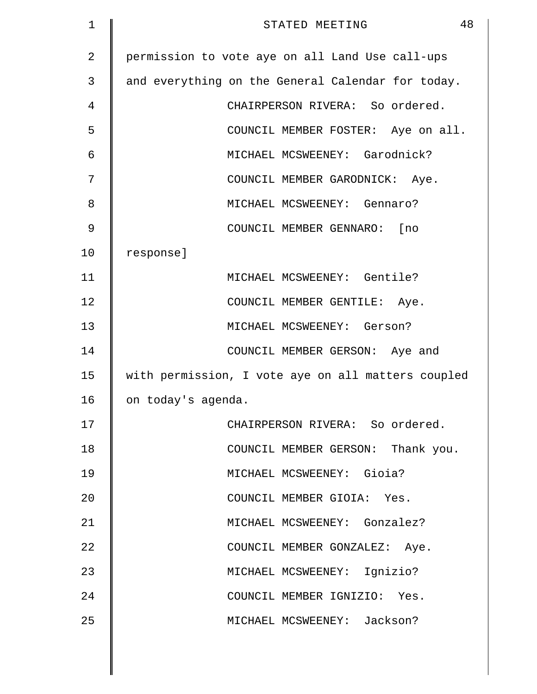| 1  | 48<br>STATED MEETING                               |
|----|----------------------------------------------------|
| 2  | permission to vote aye on all Land Use call-ups    |
| 3  | and everything on the General Calendar for today.  |
| 4  | CHAIRPERSON RIVERA: So ordered.                    |
| 5  | COUNCIL MEMBER FOSTER: Aye on all.                 |
| 6  | MICHAEL MCSWEENEY: Garodnick?                      |
| 7  | COUNCIL MEMBER GARODNICK: Aye.                     |
| 8  | MICHAEL MCSWEENEY: Gennaro?                        |
| 9  | COUNCIL MEMBER GENNARO: [no                        |
| 10 | response]                                          |
| 11 | MICHAEL MCSWEENEY: Gentile?                        |
| 12 | COUNCIL MEMBER GENTILE: Aye.                       |
| 13 | MICHAEL MCSWEENEY: Gerson?                         |
| 14 | COUNCIL MEMBER GERSON: Aye and                     |
| 15 | with permission, I vote aye on all matters coupled |
| 16 | on today's agenda.                                 |
| 17 | CHAIRPERSON RIVERA: So ordered.                    |
| 18 | COUNCIL MEMBER GERSON: Thank you.                  |
| 19 | MICHAEL MCSWEENEY: Gioia?                          |
| 20 | COUNCIL MEMBER GIOIA: Yes.                         |
| 21 | MICHAEL MCSWEENEY: Gonzalez?                       |
| 22 | COUNCIL MEMBER GONZALEZ: Aye.                      |
| 23 | MICHAEL MCSWEENEY: Ignizio?                        |
| 24 | COUNCIL MEMBER IGNIZIO: Yes.                       |
| 25 | MICHAEL MCSWEENEY: Jackson?                        |
|    |                                                    |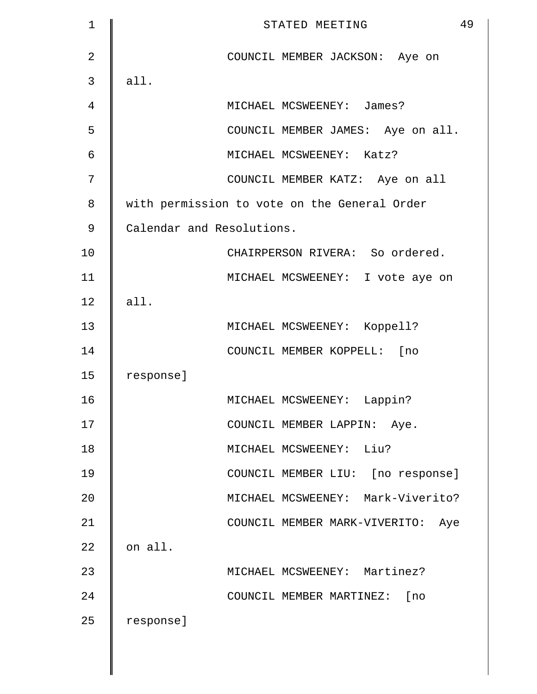| $\mathbf 1$    | 49<br>STATED MEETING                         |
|----------------|----------------------------------------------|
| $\overline{2}$ | COUNCIL MEMBER JACKSON: Aye on               |
| 3              | all.                                         |
| 4              | MICHAEL MCSWEENEY: James?                    |
| 5              | COUNCIL MEMBER JAMES: Aye on all.            |
| 6              | MICHAEL MCSWEENEY: Katz?                     |
| 7              | COUNCIL MEMBER KATZ: Aye on all              |
| 8              | with permission to vote on the General Order |
| 9              | Calendar and Resolutions.                    |
| 10             | CHAIRPERSON RIVERA: So ordered.              |
| 11             | MICHAEL MCSWEENEY: I vote aye on             |
| 12             | all.                                         |
| 13             | MICHAEL MCSWEENEY: Koppell?                  |
| 14             | COUNCIL MEMBER KOPPELL: [no                  |
| 15             | response]                                    |
| 16             | MICHAEL MCSWEENEY: Lappin?                   |
| 17             | COUNCIL MEMBER LAPPIN: Aye.                  |
| 18             | MICHAEL MCSWEENEY: Liu?                      |
| 19             | COUNCIL MEMBER LIU: [no response]            |
| 20             | MICHAEL MCSWEENEY: Mark-Viverito?            |
| 21             | COUNCIL MEMBER MARK-VIVERITO:<br>Aye         |
| 22             | on all.                                      |
| 23             | MICHAEL MCSWEENEY: Martinez?                 |
| 24             | COUNCIL MEMBER MARTINEZ: [no                 |
| 25             | response]                                    |
|                |                                              |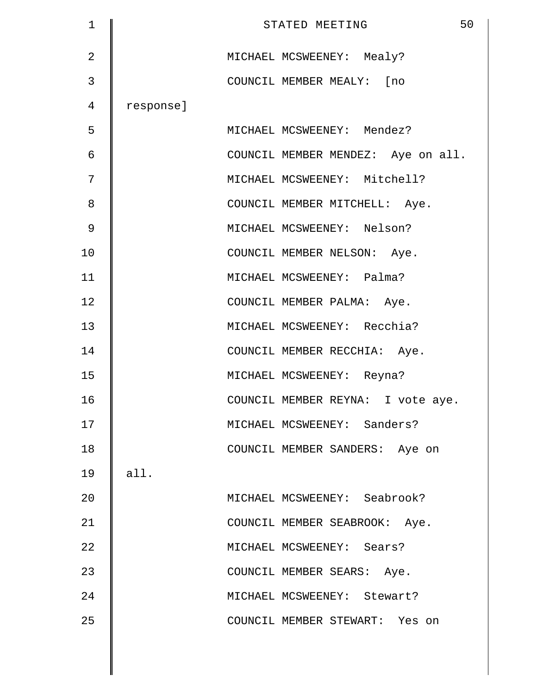| $\mathbf 1$    |           | 50<br>STATED MEETING               |
|----------------|-----------|------------------------------------|
| $\overline{2}$ |           | MICHAEL MCSWEENEY: Mealy?          |
| 3              |           | COUNCIL MEMBER MEALY: [no          |
| 4              | response] |                                    |
| 5              |           | MICHAEL MCSWEENEY: Mendez?         |
| 6              |           | COUNCIL MEMBER MENDEZ: Aye on all. |
| 7              |           | MICHAEL MCSWEENEY: Mitchell?       |
| 8              |           | COUNCIL MEMBER MITCHELL: Aye.      |
| $\mathsf 9$    |           | MICHAEL MCSWEENEY: Nelson?         |
| 10             |           | COUNCIL MEMBER NELSON: Aye.        |
| 11             |           | MICHAEL MCSWEENEY: Palma?          |
| 12             |           | COUNCIL MEMBER PALMA: Aye.         |
| 13             |           | MICHAEL MCSWEENEY: Recchia?        |
| 14             |           | COUNCIL MEMBER RECCHIA: Aye.       |
| 15             |           | MICHAEL MCSWEENEY: Reyna?          |
| 16             |           | COUNCIL MEMBER REYNA: I vote aye.  |
| 17             |           | MICHAEL MCSWEENEY: Sanders?        |
| 18             |           | COUNCIL MEMBER SANDERS: Aye on     |
| 19             | all.      |                                    |
| 20             |           | MICHAEL MCSWEENEY: Seabrook?       |
| 21             |           | COUNCIL MEMBER SEABROOK: Aye.      |
| 22             |           | MICHAEL MCSWEENEY: Sears?          |
| 23             |           | COUNCIL MEMBER SEARS: Aye.         |
| 24             |           | MICHAEL MCSWEENEY: Stewart?        |
| 25             |           | COUNCIL MEMBER STEWART: Yes on     |
|                |           |                                    |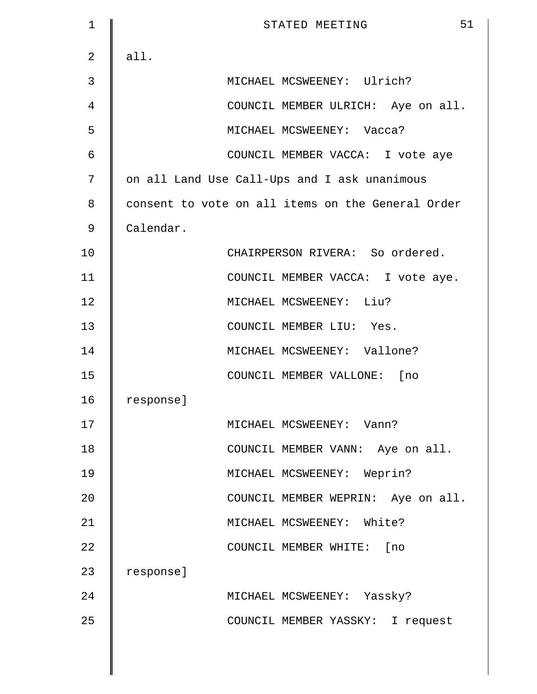| $\mathbf 1$    | 51<br>STATED MEETING                              |
|----------------|---------------------------------------------------|
| $\overline{a}$ | all.                                              |
| 3              | MICHAEL MCSWEENEY: Ulrich?                        |
| $\overline{4}$ | COUNCIL MEMBER ULRICH: Aye on all.                |
| 5              | MICHAEL MCSWEENEY: Vacca?                         |
| 6              | COUNCIL MEMBER VACCA: I vote aye                  |
| 7              | on all Land Use Call-Ups and I ask unanimous      |
| 8              | consent to vote on all items on the General Order |
| 9              | Calendar.                                         |
| 10             | CHAIRPERSON RIVERA: So ordered.                   |
| 11             | COUNCIL MEMBER VACCA: I vote aye.                 |
| 12             | MICHAEL MCSWEENEY: Liu?                           |
| 13             | COUNCIL MEMBER LIU: Yes.                          |
| 14             | MICHAEL MCSWEENEY: Vallone?                       |
| 15             | COUNCIL MEMBER VALLONE: [no                       |
| 16             | response]                                         |
| 17             | MICHAEL MCSWEENEY: Vann?                          |
| 18             | COUNCIL MEMBER VANN: Aye on all.                  |
| 19             | MICHAEL MCSWEENEY: Weprin?                        |
| 20             | COUNCIL MEMBER WEPRIN: Aye on all.                |
| 21             | MICHAEL MCSWEENEY: White?                         |
| 22             | COUNCIL MEMBER WHITE: [no                         |
| 23             | response]                                         |
| 24             | MICHAEL MCSWEENEY: Yassky?                        |
| 25             | COUNCIL MEMBER YASSKY: I request                  |
|                |                                                   |
|                |                                                   |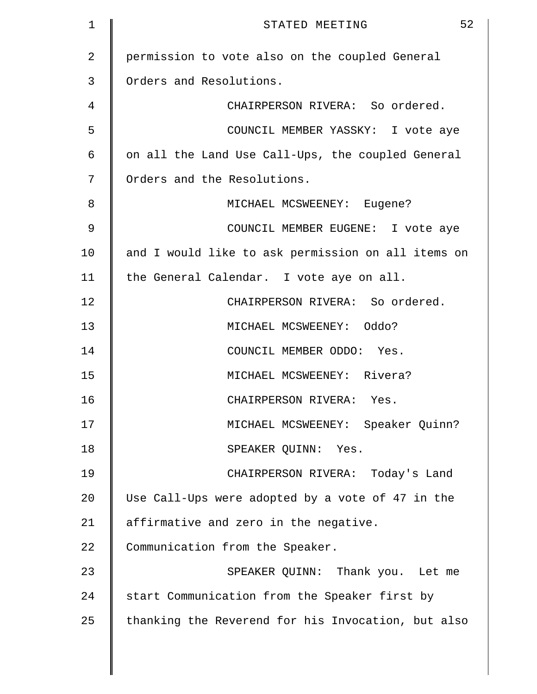| $\mathbf 1$    | 52<br>STATED MEETING                               |
|----------------|----------------------------------------------------|
| $\overline{2}$ | permission to vote also on the coupled General     |
| 3              | Orders and Resolutions.                            |
| 4              | CHAIRPERSON RIVERA: So ordered.                    |
| 5              | COUNCIL MEMBER YASSKY: I vote aye                  |
| 6              | on all the Land Use Call-Ups, the coupled General  |
| 7              | Orders and the Resolutions.                        |
| 8              | MICHAEL MCSWEENEY: Eugene?                         |
| 9              | COUNCIL MEMBER EUGENE: I vote aye                  |
| 10             | and I would like to ask permission on all items on |
| 11             | the General Calendar. I vote aye on all.           |
| 12             | CHAIRPERSON RIVERA: So ordered.                    |
| 13             | MICHAEL MCSWEENEY: Oddo?                           |
| 14             | COUNCIL MEMBER ODDO: Yes.                          |
| 15             | MICHAEL MCSWEENEY: Rivera?                         |
| 16             | CHAIRPERSON RIVERA: Yes.                           |
| 17             | MICHAEL MCSWEENEY: Speaker Quinn?                  |
| 18             | SPEAKER QUINN: Yes.                                |
| 19             | CHAIRPERSON RIVERA: Today's Land                   |
| 20             | Use Call-Ups were adopted by a vote of 47 in the   |
| 21             | affirmative and zero in the negative.              |
| 22             | Communication from the Speaker.                    |
| 23             | SPEAKER QUINN: Thank you. Let me                   |
| 24             | start Communication from the Speaker first by      |
| 25             | thanking the Reverend for his Invocation, but also |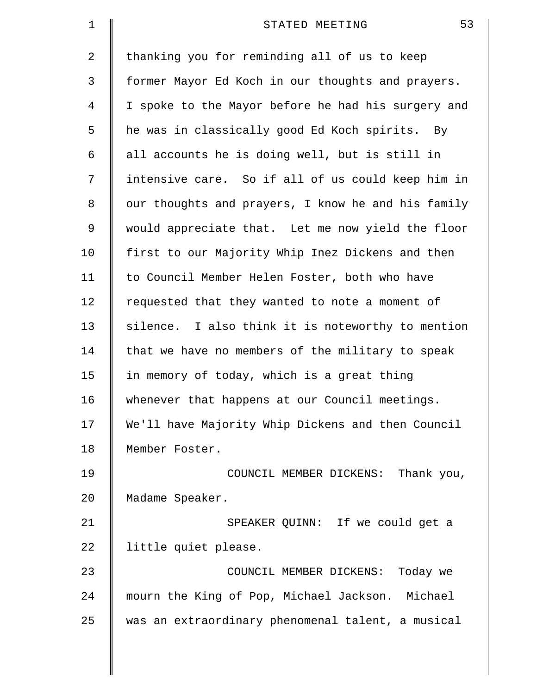| $\mathbf 1$    | 53<br>STATED MEETING                               |
|----------------|----------------------------------------------------|
| $\overline{a}$ | thanking you for reminding all of us to keep       |
| 3              | former Mayor Ed Koch in our thoughts and prayers.  |
| 4              | I spoke to the Mayor before he had his surgery and |
| 5              | he was in classically good Ed Koch spirits. By     |
| 6              | all accounts he is doing well, but is still in     |
| 7              | intensive care. So if all of us could keep him in  |
| 8              | our thoughts and prayers, I know he and his family |
| 9              | would appreciate that. Let me now yield the floor  |
| 10             | first to our Majority Whip Inez Dickens and then   |
| 11             | to Council Member Helen Foster, both who have      |
| 12             | requested that they wanted to note a moment of     |
| 13             | silence. I also think it is noteworthy to mention  |
| 14             | that we have no members of the military to speak   |
| 15             | in memory of today, which is a great thing         |
| 16             | whenever that happens at our Council meetings.     |
| 17             | We'll have Majority Whip Dickens and then Council  |
| 18             | Member Foster.                                     |
| 19             | COUNCIL MEMBER DICKENS: Thank you,                 |
| 20             | Madame Speaker.                                    |
| 21             | SPEAKER QUINN: If we could get a                   |
| 22             | little quiet please.                               |
| 23             | COUNCIL MEMBER DICKENS: Today we                   |
| 24             | mourn the King of Pop, Michael Jackson. Michael    |
| 25             | was an extraordinary phenomenal talent, a musical  |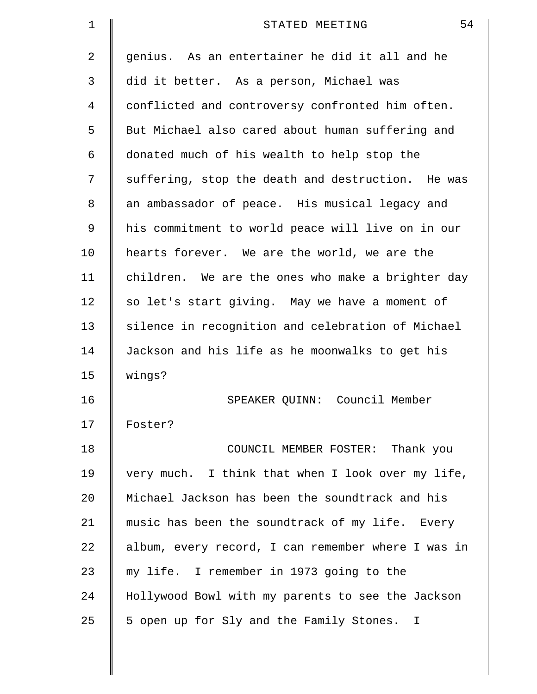| 1  | 54<br>STATED MEETING                               |
|----|----------------------------------------------------|
| 2  | genius. As an entertainer he did it all and he     |
| 3  | did it better. As a person, Michael was            |
| 4  | conflicted and controversy confronted him often.   |
| 5  | But Michael also cared about human suffering and   |
| 6  | donated much of his wealth to help stop the        |
| 7  | suffering, stop the death and destruction. He was  |
| 8  | an ambassador of peace. His musical legacy and     |
| 9  | his commitment to world peace will live on in our  |
| 10 | hearts forever. We are the world, we are the       |
| 11 | children. We are the ones who make a brighter day  |
| 12 | so let's start giving. May we have a moment of     |
| 13 | silence in recognition and celebration of Michael  |
| 14 | Jackson and his life as he moonwalks to get his    |
| 15 | wings?                                             |
| 16 | Council Member<br>SPEAKER QUINN:                   |
| 17 | Foster?                                            |
| 18 | COUNCIL MEMBER FOSTER: Thank you                   |
| 19 | very much. I think that when I look over my life,  |
| 20 | Michael Jackson has been the soundtrack and his    |
| 21 | music has been the soundtrack of my life. Every    |
| 22 | album, every record, I can remember where I was in |
| 23 | my life. I remember in 1973 going to the           |
| 24 | Hollywood Bowl with my parents to see the Jackson  |
| 25 | 5 open up for Sly and the Family Stones. I         |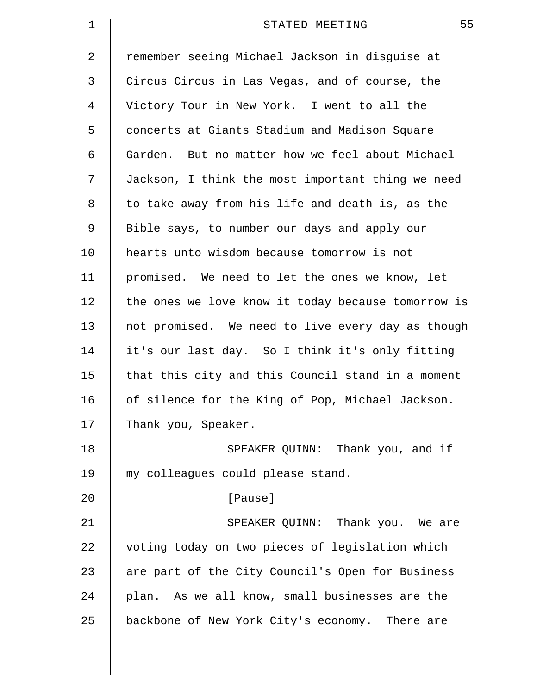| 1  | 55<br>STATED MEETING                               |
|----|----------------------------------------------------|
| 2  | remember seeing Michael Jackson in disguise at     |
| 3  | Circus Circus in Las Vegas, and of course, the     |
| 4  | Victory Tour in New York. I went to all the        |
| 5  | concerts at Giants Stadium and Madison Square      |
| 6  | Garden. But no matter how we feel about Michael    |
| 7  | Jackson, I think the most important thing we need  |
| 8  | to take away from his life and death is, as the    |
| 9  | Bible says, to number our days and apply our       |
| 10 | hearts unto wisdom because tomorrow is not         |
| 11 | promised. We need to let the ones we know, let     |
| 12 | the ones we love know it today because tomorrow is |
| 13 | not promised. We need to live every day as though  |
| 14 | it's our last day. So I think it's only fitting    |
| 15 | that this city and this Council stand in a moment  |
| 16 | of silence for the King of Pop, Michael Jackson.   |
| 17 | Thank you, Speaker.                                |
| 18 | SPEAKER QUINN: Thank you, and if                   |
| 19 | my colleagues could please stand.                  |
| 20 | [Pause]                                            |
| 21 | SPEAKER QUINN: Thank you. We are                   |
| 22 | voting today on two pieces of legislation which    |
| 23 | are part of the City Council's Open for Business   |
| 24 | plan. As we all know, small businesses are the     |
| 25 | backbone of New York City's economy. There are     |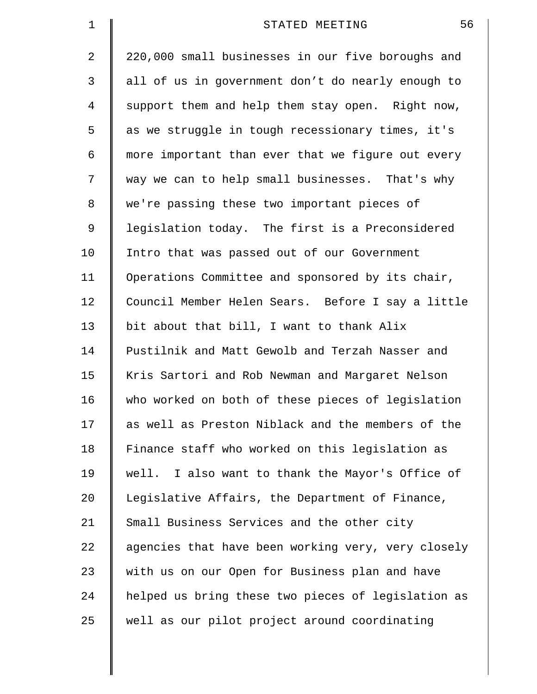| $\mathbf 1$    | 56<br>STATED MEETING                               |
|----------------|----------------------------------------------------|
| $\overline{2}$ | 220,000 small businesses in our five boroughs and  |
| $\mathsf{3}$   | all of us in government don't do nearly enough to  |
| $\overline{4}$ | support them and help them stay open. Right now,   |
| 5              | as we struggle in tough recessionary times, it's   |
| 6              | more important than ever that we figure out every  |
| 7              | way we can to help small businesses. That's why    |
| 8              | we're passing these two important pieces of        |
| $\overline{9}$ | legislation today. The first is a Preconsidered    |
| 10             | Intro that was passed out of our Government        |
| 11             | Operations Committee and sponsored by its chair,   |
| 12             | Council Member Helen Sears. Before I say a little  |
| 13             | bit about that bill, I want to thank Alix          |
| 14             | Pustilnik and Matt Gewolb and Terzah Nasser and    |
| 15             | Kris Sartori and Rob Newman and Margaret Nelson    |
| 16             | who worked on both of these pieces of legislation  |
| 17             | as well as Preston Niblack and the members of the  |
| 18             | Finance staff who worked on this legislation as    |
| 19             | well. I also want to thank the Mayor's Office of   |
| 20             | Legislative Affairs, the Department of Finance,    |
| 21             | Small Business Services and the other city         |
| 22             | agencies that have been working very, very closely |
| 23             | with us on our Open for Business plan and have     |
| 24             | helped us bring these two pieces of legislation as |
| 25             | well as our pilot project around coordinating      |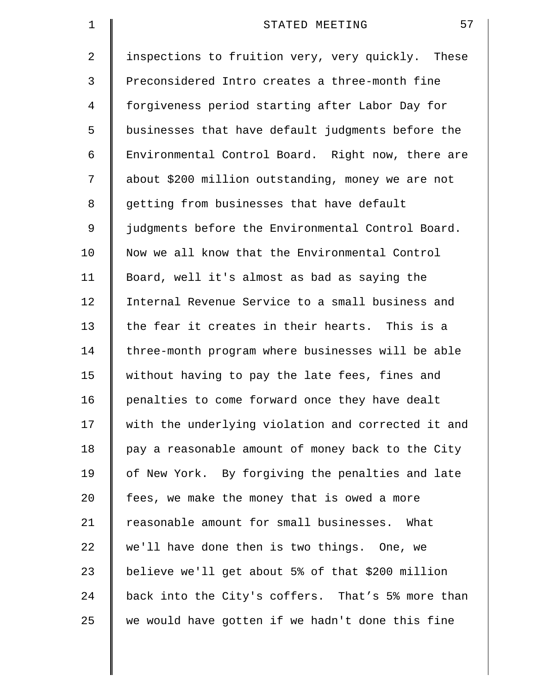| $\mathbf 1$    | 57<br>STATED MEETING                               |
|----------------|----------------------------------------------------|
| $\overline{a}$ | inspections to fruition very, very quickly. These  |
| 3              | Preconsidered Intro creates a three-month fine     |
| 4              | forgiveness period starting after Labor Day for    |
| 5              | businesses that have default judgments before the  |
| 6              | Environmental Control Board. Right now, there are  |
| 7              | about \$200 million outstanding, money we are not  |
| 8              | getting from businesses that have default          |
| 9              | judgments before the Environmental Control Board.  |
| 10             | Now we all know that the Environmental Control     |
| 11             | Board, well it's almost as bad as saying the       |
| 12             | Internal Revenue Service to a small business and   |
| 13             | the fear it creates in their hearts. This is a     |
| 14             | three-month program where businesses will be able  |
| 15             | without having to pay the late fees, fines and     |
| 16             | penalties to come forward once they have dealt     |
| 17             | with the underlying violation and corrected it and |
| 18             | pay a reasonable amount of money back to the City  |
| 19             | of New York. By forgiving the penalties and late   |
| 20             | fees, we make the money that is owed a more        |
| 21             | reasonable amount for small businesses. What       |
| 22             | we'll have done then is two things. One, we        |
| 23             | believe we'll get about 5% of that \$200 million   |
| 24             | back into the City's coffers. That's 5% more than  |
| 25             | we would have gotten if we hadn't done this fine   |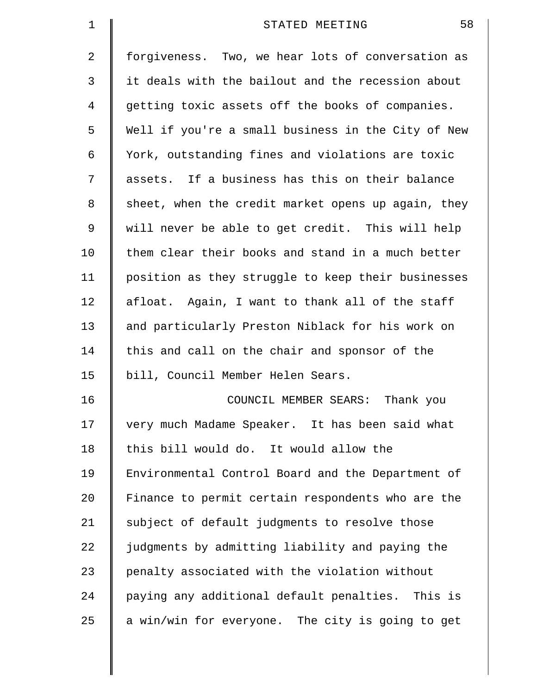| $\mathbf 1$ | 58<br>STATED MEETING                               |
|-------------|----------------------------------------------------|
| 2           | forgiveness. Two, we hear lots of conversation as  |
| 3           | it deals with the bailout and the recession about  |
| 4           | getting toxic assets off the books of companies.   |
| 5           | Well if you're a small business in the City of New |
| 6           | York, outstanding fines and violations are toxic   |
| 7           | assets. If a business has this on their balance    |
| 8           | sheet, when the credit market opens up again, they |
| 9           | will never be able to get credit. This will help   |
| 10          | them clear their books and stand in a much better  |
| 11          | position as they struggle to keep their businesses |
| 12          | afloat. Again, I want to thank all of the staff    |
| 13          | and particularly Preston Niblack for his work on   |
| 14          | this and call on the chair and sponsor of the      |
| 15          | bill, Council Member Helen Sears.                  |
| 16          | COUNCIL MEMBER SEARS: Thank you                    |
| 17          | very much Madame Speaker. It has been said what    |
| 18          | this bill would do. It would allow the             |
| 19          | Environmental Control Board and the Department of  |
| 20          | Finance to permit certain respondents who are the  |
| 21          | subject of default judgments to resolve those      |
| 22          | judgments by admitting liability and paying the    |
| 23          | penalty associated with the violation without      |
| 24          | paying any additional default penalties. This is   |
| 25          | a win/win for everyone. The city is going to get   |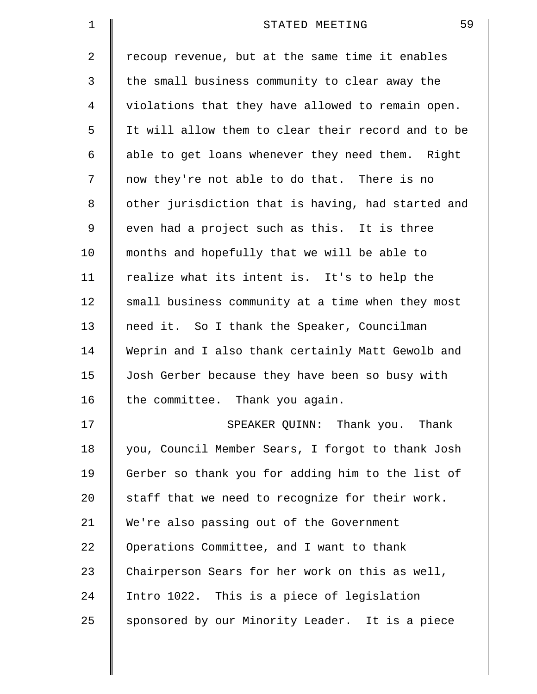| 1  | 59<br>STATED MEETING                               |
|----|----------------------------------------------------|
| 2  | recoup revenue, but at the same time it enables    |
| 3  | the small business community to clear away the     |
| 4  | violations that they have allowed to remain open.  |
| 5  | It will allow them to clear their record and to be |
| 6  | able to get loans whenever they need them. Right   |
| 7  | now they're not able to do that. There is no       |
| 8  | other jurisdiction that is having, had started and |
| 9  | even had a project such as this. It is three       |
| 10 | months and hopefully that we will be able to       |
| 11 | realize what its intent is. It's to help the       |
| 12 | small business community at a time when they most  |
| 13 | need it. So I thank the Speaker, Councilman        |
| 14 | Weprin and I also thank certainly Matt Gewolb and  |
| 15 | Josh Gerber because they have been so busy with    |
| 16 | the committee. Thank you again.                    |
| 17 | SPEAKER QUINN: Thank you. Thank                    |
| 18 | you, Council Member Sears, I forgot to thank Josh  |
| 19 | Gerber so thank you for adding him to the list of  |
| 20 | staff that we need to recognize for their work.    |
| 21 | We're also passing out of the Government           |
| 22 | Operations Committee, and I want to thank          |
| 23 | Chairperson Sears for her work on this as well,    |
| 24 | Intro 1022. This is a piece of legislation         |
| 25 | sponsored by our Minority Leader. It is a piece    |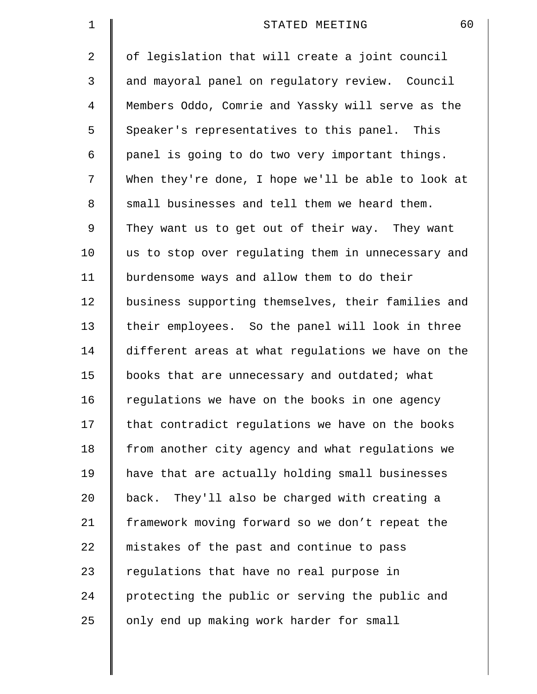| $\mathbf 1$    | 60<br>STATED MEETING                               |
|----------------|----------------------------------------------------|
| 2              | of legislation that will create a joint council    |
| 3              | and mayoral panel on regulatory review. Council    |
| $\overline{4}$ | Members Oddo, Comrie and Yassky will serve as the  |
| 5              | Speaker's representatives to this panel. This      |
| 6              | panel is going to do two very important things.    |
| 7              | When they're done, I hope we'll be able to look at |
| 8              | small businesses and tell them we heard them.      |
| 9              | They want us to get out of their way. They want    |
| 10             | us to stop over regulating them in unnecessary and |
| 11             | burdensome ways and allow them to do their         |
| 12             | business supporting themselves, their families and |
| 13             | their employees. So the panel will look in three   |
| 14             | different areas at what regulations we have on the |
| 15             | books that are unnecessary and outdated; what      |
| 16             | regulations we have on the books in one agency     |
| 17             | that contradict regulations we have on the books   |
| 18             | from another city agency and what regulations we   |
| 19             | have that are actually holding small businesses    |
| 20             | They'll also be charged with creating a<br>back.   |
| 21             | framework moving forward so we don't repeat the    |
| 22             | mistakes of the past and continue to pass          |
| 23             | regulations that have no real purpose in           |
| 24             | protecting the public or serving the public and    |
| 25             | only end up making work harder for small           |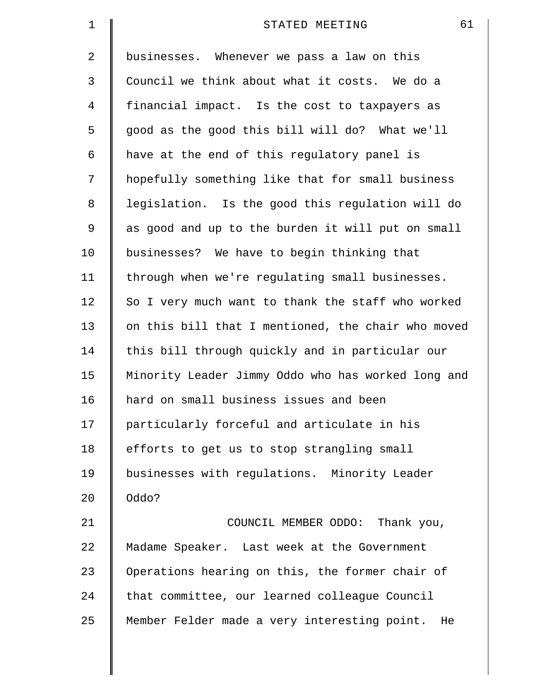| $\mathbf 1$ | 61<br>STATED MEETING                               |
|-------------|----------------------------------------------------|
| 2           | businesses. Whenever we pass a law on this         |
| 3           | Council we think about what it costs. We do a      |
| 4           | financial impact. Is the cost to taxpayers as      |
| 5           | good as the good this bill will do? What we'll     |
| 6           | have at the end of this regulatory panel is        |
| 7           | hopefully something like that for small business   |
| 8           | legislation. Is the good this regulation will do   |
| 9           | as good and up to the burden it will put on small  |
| 10          | businesses? We have to begin thinking that         |
| 11          | through when we're regulating small businesses.    |
| 12          | So I very much want to thank the staff who worked  |
| 13          | on this bill that I mentioned, the chair who moved |
| 14          | this bill through quickly and in particular our    |
| 15          | Minority Leader Jimmy Oddo who has worked long and |
| 16          | hard on small business issues and been             |
| 17          | particularly forceful and articulate in his        |
| 18          | efforts to get us to stop strangling small         |
| 19          | businesses with regulations. Minority Leader       |
| 20          | Oddo?                                              |
| 21          | COUNCIL MEMBER ODDO: Thank you,                    |
| 22          | Madame Speaker. Last week at the Government        |
| 23          | Operations hearing on this, the former chair of    |
| 24          | that committee, our learned colleague Council      |
| 25          | Member Felder made a very interesting point. He    |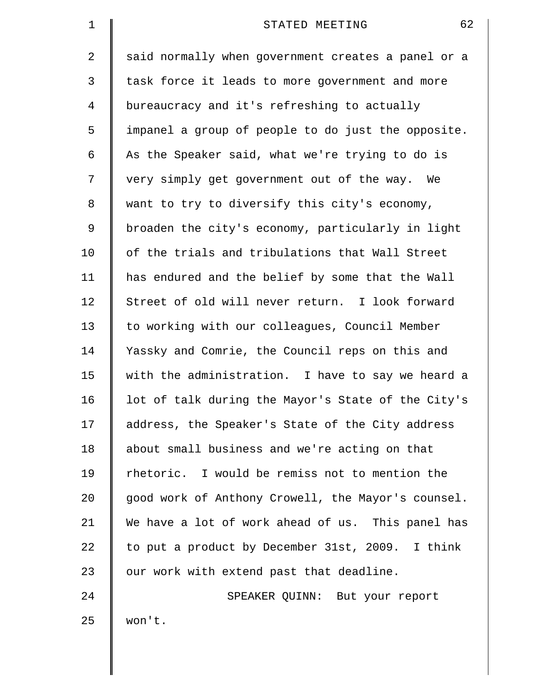| $\mathbf 1$    | 62<br>STATED MEETING                               |
|----------------|----------------------------------------------------|
| $\overline{2}$ | said normally when government creates a panel or a |
| $\mathfrak{Z}$ | task force it leads to more government and more    |
| 4              | bureaucracy and it's refreshing to actually        |
| 5              | impanel a group of people to do just the opposite. |
| 6              | As the Speaker said, what we're trying to do is    |
| 7              | very simply get government out of the way. We      |
| 8              | want to try to diversify this city's economy,      |
| $\mathsf 9$    | broaden the city's economy, particularly in light  |
| 10             | of the trials and tribulations that Wall Street    |
| 11             | has endured and the belief by some that the Wall   |
| 12             | Street of old will never return. I look forward    |
| 13             | to working with our colleagues, Council Member     |
| 14             | Yassky and Comrie, the Council reps on this and    |
| 15             | with the administration. I have to say we heard a  |
| 16             | lot of talk during the Mayor's State of the City's |
| 17             | address, the Speaker's State of the City address   |
| 18             | about small business and we're acting on that      |
| 19             | rhetoric. I would be remiss not to mention the     |
| 20             | good work of Anthony Crowell, the Mayor's counsel. |
| 21             | We have a lot of work ahead of us. This panel has  |
| 22             | to put a product by December 31st, 2009. I think   |
| 23             | our work with extend past that deadline.           |
| 24             | SPEAKER QUINN: But your report                     |
| 25             | won't.                                             |
|                |                                                    |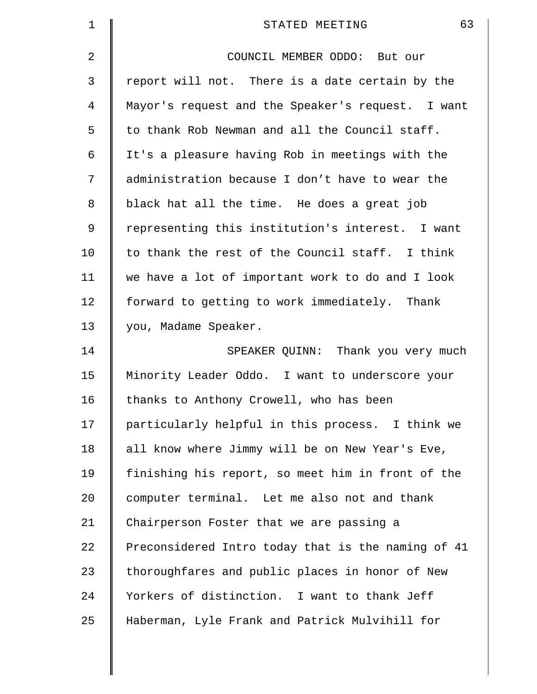| $\mathbf 1$    | 63<br>STATED MEETING                               |
|----------------|----------------------------------------------------|
| $\overline{2}$ | COUNCIL MEMBER ODDO: But our                       |
| 3              | report will not. There is a date certain by the    |
| 4              | Mayor's request and the Speaker's request. I want  |
| 5              | to thank Rob Newman and all the Council staff.     |
| 6              | It's a pleasure having Rob in meetings with the    |
| 7              | administration because I don't have to wear the    |
| 8              | black hat all the time. He does a great job        |
| 9              | representing this institution's interest. I want   |
| 10             | to thank the rest of the Council staff. I think    |
| 11             | we have a lot of important work to do and I look   |
| 12             | forward to getting to work immediately. Thank      |
| 13             | you, Madame Speaker.                               |
| 14             | SPEAKER QUINN: Thank you very much                 |
| 15             | Minority Leader Oddo. I want to underscore your    |
| 16             | thanks to Anthony Crowell, who has been            |
| 17             | particularly helpful in this process. I think we   |
| 18             | all know where Jimmy will be on New Year's Eve,    |
| 19             | finishing his report, so meet him in front of the  |
| 20             | computer terminal. Let me also not and thank       |
| 21             | Chairperson Foster that we are passing a           |
| 22             | Preconsidered Intro today that is the naming of 41 |
| 23             | thoroughfares and public places in honor of New    |
| 24             | Yorkers of distinction. I want to thank Jeff       |
| 25             | Haberman, Lyle Frank and Patrick Mulvihill for     |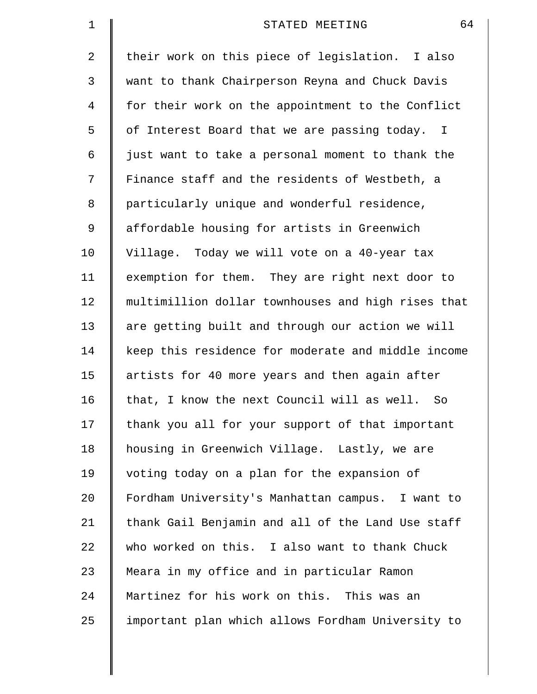| $\mathbf 1$ | 64<br>STATED MEETING                               |
|-------------|----------------------------------------------------|
| 2           | their work on this piece of legislation. I also    |
| 3           | want to thank Chairperson Reyna and Chuck Davis    |
| 4           | for their work on the appointment to the Conflict  |
| 5           | of Interest Board that we are passing today. I     |
| 6           | just want to take a personal moment to thank the   |
| 7           | Finance staff and the residents of Westbeth, a     |
| 8           | particularly unique and wonderful residence,       |
| 9           | affordable housing for artists in Greenwich        |
| 10          | Village. Today we will vote on a 40-year tax       |
| 11          | exemption for them. They are right next door to    |
| 12          | multimillion dollar townhouses and high rises that |
| 13          | are getting built and through our action we will   |
| 14          | keep this residence for moderate and middle income |
| 15          | artists for 40 more years and then again after     |
| 16          | that, I know the next Council will as well. So     |
| 17          | thank you all for your support of that important   |
| 18          | housing in Greenwich Village. Lastly, we are       |
| 19          | voting today on a plan for the expansion of        |
| $20 \,$     | Fordham University's Manhattan campus. I want to   |
| 21          | thank Gail Benjamin and all of the Land Use staff  |
| 22          | who worked on this. I also want to thank Chuck     |
| 23          | Meara in my office and in particular Ramon         |
| 24          | Martinez for his work on this. This was an         |
| 25          | important plan which allows Fordham University to  |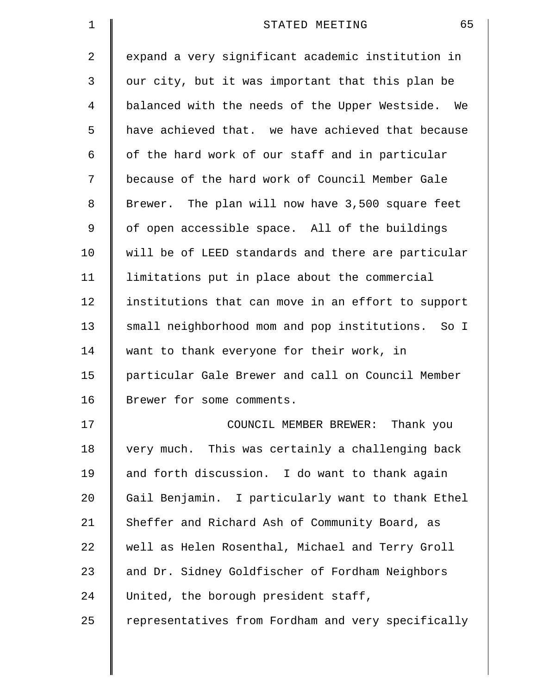| 1  | 65<br>STATED MEETING                               |
|----|----------------------------------------------------|
| 2  | expand a very significant academic institution in  |
| 3  | our city, but it was important that this plan be   |
| 4  | balanced with the needs of the Upper Westside. We  |
| 5  | have achieved that. we have achieved that because  |
| 6  | of the hard work of our staff and in particular    |
| 7  | because of the hard work of Council Member Gale    |
| 8  | Brewer. The plan will now have 3,500 square feet   |
| 9  | of open accessible space. All of the buildings     |
| 10 | will be of LEED standards and there are particular |
| 11 | limitations put in place about the commercial      |
| 12 | institutions that can move in an effort to support |
| 13 | small neighborhood mom and pop institutions. So I  |
| 14 | want to thank everyone for their work, in          |
| 15 | particular Gale Brewer and call on Council Member  |
| 16 | Brewer for some comments.                          |
| 17 | COUNCIL MEMBER BREWER: Thank you                   |
| 18 | very much. This was certainly a challenging back   |
| 19 | and forth discussion. I do want to thank again     |
| 20 | Gail Benjamin. I particularly want to thank Ethel  |
| 21 | Sheffer and Richard Ash of Community Board, as     |
| 22 | well as Helen Rosenthal, Michael and Terry Groll   |
| 23 | and Dr. Sidney Goldfischer of Fordham Neighbors    |
| 24 | United, the borough president staff,               |
| 25 | representatives from Fordham and very specifically |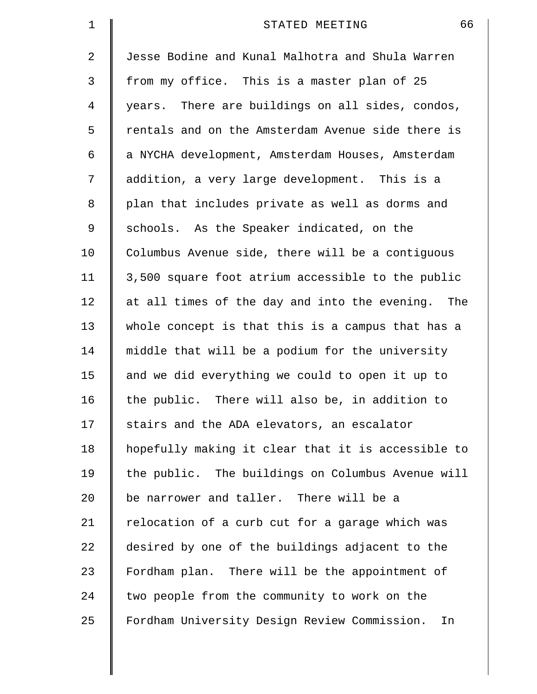| $\mathbf 1$    | 66<br>STATED MEETING                               |
|----------------|----------------------------------------------------|
| $\overline{a}$ | Jesse Bodine and Kunal Malhotra and Shula Warren   |
| 3              | from my office. This is a master plan of 25        |
| $\overline{4}$ | years. There are buildings on all sides, condos,   |
| 5              | rentals and on the Amsterdam Avenue side there is  |
| 6              | a NYCHA development, Amsterdam Houses, Amsterdam   |
| 7              | addition, a very large development. This is a      |
| 8              | plan that includes private as well as dorms and    |
| 9              | schools. As the Speaker indicated, on the          |
| 10             | Columbus Avenue side, there will be a contiguous   |
| 11             | 3,500 square foot atrium accessible to the public  |
| 12             | at all times of the day and into the evening. The  |
| 13             | whole concept is that this is a campus that has a  |
| 14             | middle that will be a podium for the university    |
| 15             | and we did everything we could to open it up to    |
| 16             | the public. There will also be, in addition to     |
| 17             | stairs and the ADA elevators, an escalator         |
| 18             | hopefully making it clear that it is accessible to |
| 19             | the public. The buildings on Columbus Avenue will  |
| 20             | be narrower and taller. There will be a            |
| 21             | relocation of a curb cut for a garage which was    |
| 22             | desired by one of the buildings adjacent to the    |
| 23             | Fordham plan. There will be the appointment of     |
| 24             | two people from the community to work on the       |
| 25             | Fordham University Design Review Commission.<br>In |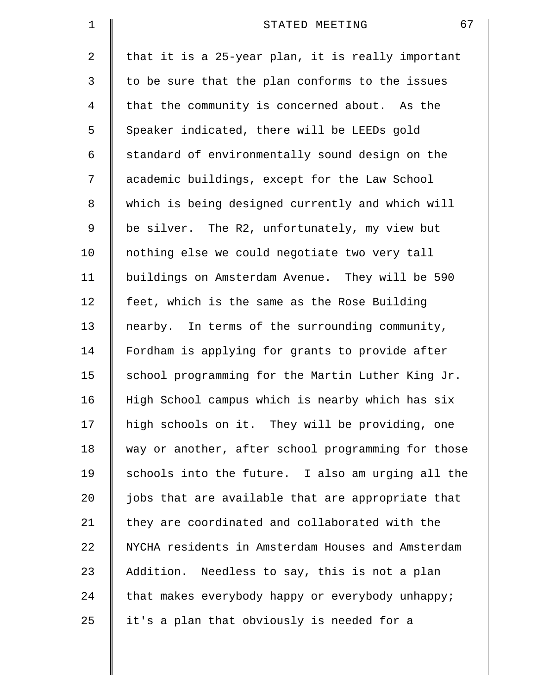| $\mathbf 1$    | 67<br>STATED MEETING                               |
|----------------|----------------------------------------------------|
| 2              | that it is a 25-year plan, it is really important  |
| 3              | to be sure that the plan conforms to the issues    |
| $\overline{4}$ | that the community is concerned about. As the      |
| 5              | Speaker indicated, there will be LEEDs gold        |
| 6              | standard of environmentally sound design on the    |
| 7              | academic buildings, except for the Law School      |
| 8              | which is being designed currently and which will   |
| 9              | be silver. The R2, unfortunately, my view but      |
| 10             | nothing else we could negotiate two very tall      |
| 11             | buildings on Amsterdam Avenue. They will be 590    |
| 12             | feet, which is the same as the Rose Building       |
| 13             | nearby. In terms of the surrounding community,     |
| 14             | Fordham is applying for grants to provide after    |
| 15             | school programming for the Martin Luther King Jr.  |
| 16             | High School campus which is nearby which has six   |
| 17             | high schools on it. They will be providing, one    |
| 18             | way or another, after school programming for those |
| 19             | schools into the future. I also am urging all the  |
| 20             | jobs that are available that are appropriate that  |
| 21             | they are coordinated and collaborated with the     |
| 22             | NYCHA residents in Amsterdam Houses and Amsterdam  |
| 23             | Addition. Needless to say, this is not a plan      |
| 24             | that makes everybody happy or everybody unhappy;   |
| 25             | it's a plan that obviously is needed for a         |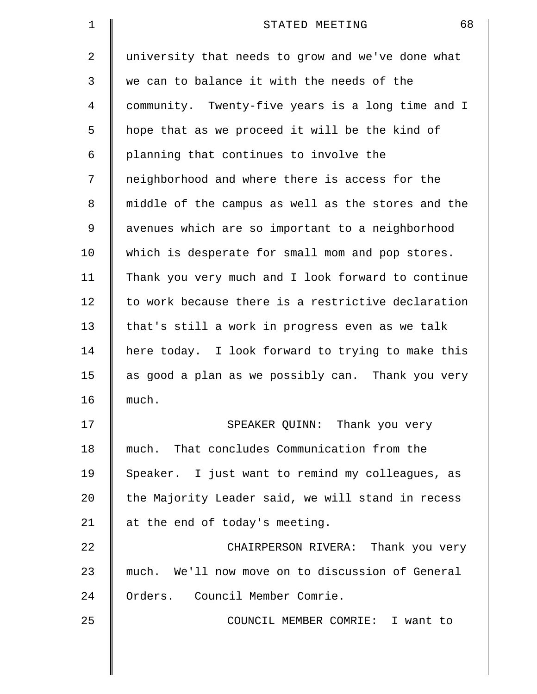| $\mathbf 1$ | 68<br>STATED MEETING                               |
|-------------|----------------------------------------------------|
| 2           | university that needs to grow and we've done what  |
| 3           | we can to balance it with the needs of the         |
| 4           | community. Twenty-five years is a long time and I  |
| 5           | hope that as we proceed it will be the kind of     |
| 6           | planning that continues to involve the             |
| 7           | neighborhood and where there is access for the     |
| 8           | middle of the campus as well as the stores and the |
| 9           | avenues which are so important to a neighborhood   |
| 10          | which is desperate for small mom and pop stores.   |
| 11          | Thank you very much and I look forward to continue |
| 12          | to work because there is a restrictive declaration |
| 13          | that's still a work in progress even as we talk    |
| 14          | here today. I look forward to trying to make this  |
| 15          | as good a plan as we possibly can. Thank you very  |
| 16          | much.                                              |
| 17          | SPEAKER QUINN: Thank you very                      |
| 18          | much. That concludes Communication from the        |
| 19          | Speaker. I just want to remind my colleagues, as   |
| 20          | the Majority Leader said, we will stand in recess  |
| 21          | at the end of today's meeting.                     |
| 22          | CHAIRPERSON RIVERA: Thank you very                 |
| 23          | much. We'll now move on to discussion of General   |
| 24          | Orders. Council Member Comrie.                     |
| 25          | COUNCIL MEMBER COMRIE: I want to                   |
|             |                                                    |
|             |                                                    |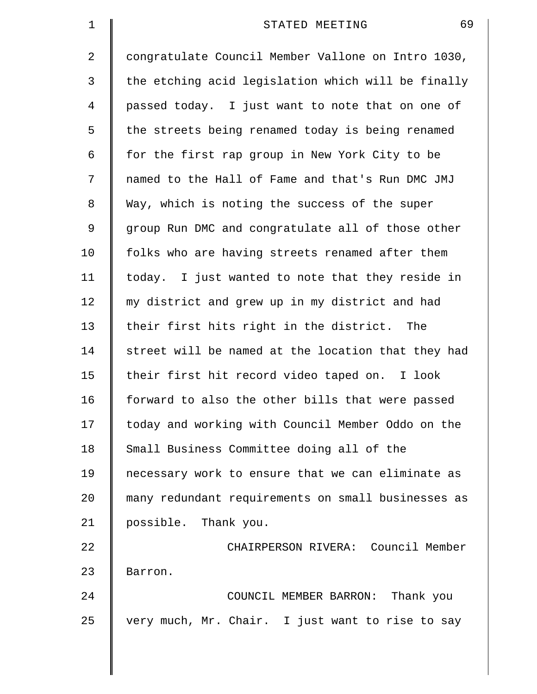| $\mathbf 1$    | 69<br>STATED MEETING                               |
|----------------|----------------------------------------------------|
| $\overline{a}$ | congratulate Council Member Vallone on Intro 1030, |
| 3              | the etching acid legislation which will be finally |
| 4              | passed today. I just want to note that on one of   |
| 5              | the streets being renamed today is being renamed   |
| 6              | for the first rap group in New York City to be     |
| 7              | named to the Hall of Fame and that's Run DMC JMJ   |
| 8              | Way, which is noting the success of the super      |
| 9              | group Run DMC and congratulate all of those other  |
| 10             | folks who are having streets renamed after them    |
| 11             | today. I just wanted to note that they reside in   |
| 12             | my district and grew up in my district and had     |
| 13             | their first hits right in the district. The        |
| 14             | street will be named at the location that they had |
| 15             | their first hit record video taped on. I look      |
| 16             | forward to also the other bills that were passed   |
| 17             | today and working with Council Member Oddo on the  |
| 18             | Small Business Committee doing all of the          |
| 19             | necessary work to ensure that we can eliminate as  |
| 20             | many redundant requirements on small businesses as |
| 21             | possible. Thank you.                               |
| 22             | CHAIRPERSON RIVERA: Council Member                 |
| 23             | Barron.                                            |
| 24             | COUNCIL MEMBER BARRON: Thank you                   |
| 25             | very much, Mr. Chair. I just want to rise to say   |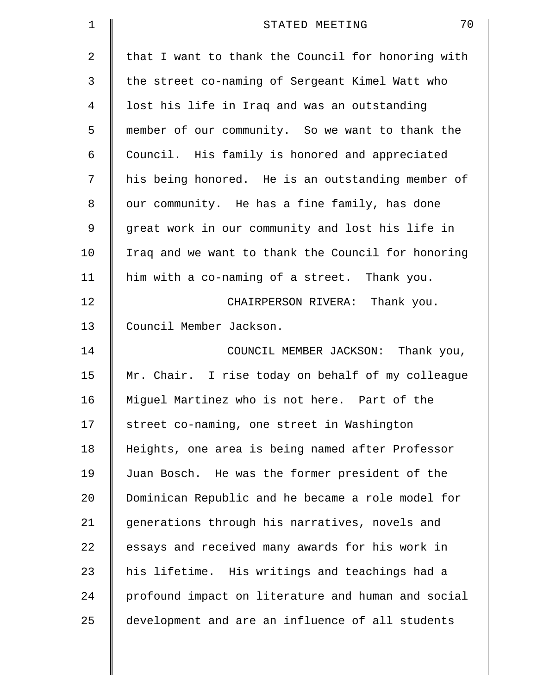| $\mathbf 1$ | 70<br>STATED MEETING                               |
|-------------|----------------------------------------------------|
| 2           | that I want to thank the Council for honoring with |
| 3           | the street co-naming of Sergeant Kimel Watt who    |
| 4           | lost his life in Iraq and was an outstanding       |
| 5           | member of our community. So we want to thank the   |
| 6           | Council. His family is honored and appreciated     |
| 7           | his being honored. He is an outstanding member of  |
| 8           | our community. He has a fine family, has done      |
| 9           | great work in our community and lost his life in   |
| 10          | Iraq and we want to thank the Council for honoring |
| 11          | him with a co-naming of a street. Thank you.       |
| 12          | CHAIRPERSON RIVERA: Thank you.                     |
| 13          | Council Member Jackson.                            |
| 14          | COUNCIL MEMBER JACKSON: Thank you,                 |
| 15          | Mr. Chair. I rise today on behalf of my colleague  |
| 16          | Miguel Martinez who is not here. Part of the       |
| 17          | street co-naming, one street in Washington         |
| 18          | Heights, one area is being named after Professor   |
| 19          | Juan Bosch. He was the former president of the     |
| 20          | Dominican Republic and he became a role model for  |
| 21          | generations through his narratives, novels and     |
| 22          | essays and received many awards for his work in    |
| 23          | his lifetime. His writings and teachings had a     |
| 24          | profound impact on literature and human and social |
| 25          | development and are an influence of all students   |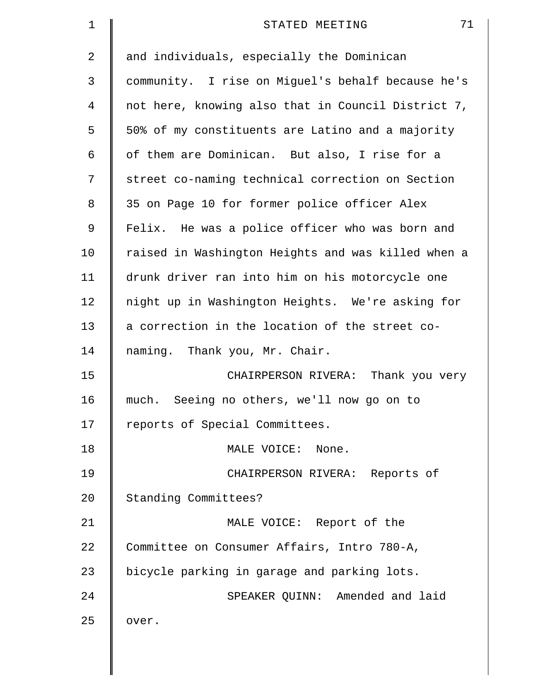| 1              | 71<br>STATED MEETING                               |
|----------------|----------------------------------------------------|
| $\overline{2}$ | and individuals, especially the Dominican          |
| 3              | community. I rise on Miguel's behalf because he's  |
| 4              | not here, knowing also that in Council District 7, |
| 5              | 50% of my constituents are Latino and a majority   |
| 6              | of them are Dominican. But also, I rise for a      |
| 7              | street co-naming technical correction on Section   |
| 8              | 35 on Page 10 for former police officer Alex       |
| $\mathsf 9$    | Felix. He was a police officer who was born and    |
| 10             | raised in Washington Heights and was killed when a |
| 11             | drunk driver ran into him on his motorcycle one    |
| 12             | night up in Washington Heights. We're asking for   |
| 13             | a correction in the location of the street co-     |
| 14             | naming. Thank you, Mr. Chair.                      |
| 15             | CHAIRPERSON RIVERA: Thank you very                 |
| 16             | Seeing no others, we'll now go on to<br>much.      |
| 17             | reports of Special Committees.                     |
| 18             | MALE VOICE: None.                                  |
| 19             | CHAIRPERSON RIVERA: Reports of                     |
| 20             | Standing Committees?                               |
| 21             | MALE VOICE: Report of the                          |
| 22             | Committee on Consumer Affairs, Intro 780-A,        |
| 23             | bicycle parking in garage and parking lots.        |
| 24             | SPEAKER QUINN: Amended and laid                    |
| 25             | over.                                              |
|                |                                                    |

║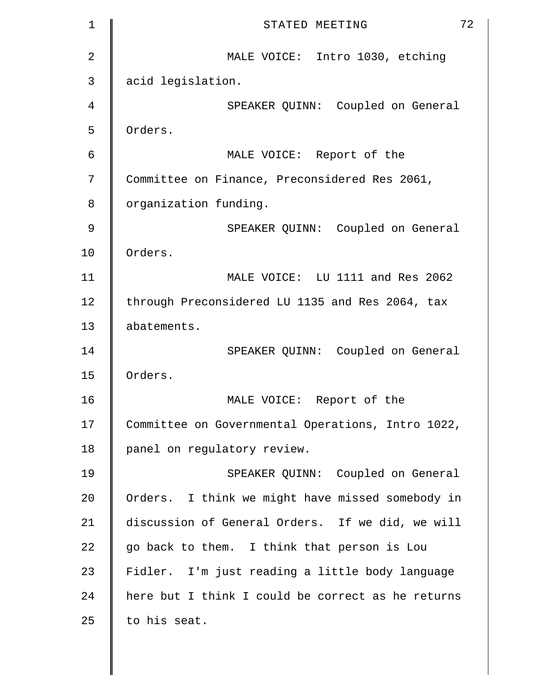| $\mathbf 1$    | 72<br>STATED MEETING                              |
|----------------|---------------------------------------------------|
| $\overline{2}$ | MALE VOICE: Intro 1030, etching                   |
| 3              | acid legislation.                                 |
| 4              | SPEAKER QUINN: Coupled on General                 |
| 5              | Orders.                                           |
| 6              | MALE VOICE: Report of the                         |
| 7              | Committee on Finance, Preconsidered Res 2061,     |
| 8              | organization funding.                             |
| 9              | SPEAKER QUINN: Coupled on General                 |
| 10             | Orders.                                           |
| 11             | MALE VOICE: LU 1111 and Res 2062                  |
| 12             | through Preconsidered LU 1135 and Res 2064, tax   |
| 13             | abatements.                                       |
| 14             | SPEAKER QUINN: Coupled on General                 |
| 15             | Orders.                                           |
| 16             | MALE VOICE: Report of the                         |
| 17             | Committee on Governmental Operations, Intro 1022, |
| 18             | panel on regulatory review.                       |
| 19             | SPEAKER QUINN: Coupled on General                 |
| 20             | Orders. I think we might have missed somebody in  |
| 21             | discussion of General Orders. If we did, we will  |
| 22             | go back to them. I think that person is Lou       |
| 23             | Fidler. I'm just reading a little body language   |
| 24             | here but I think I could be correct as he returns |
| 25             | to his seat.                                      |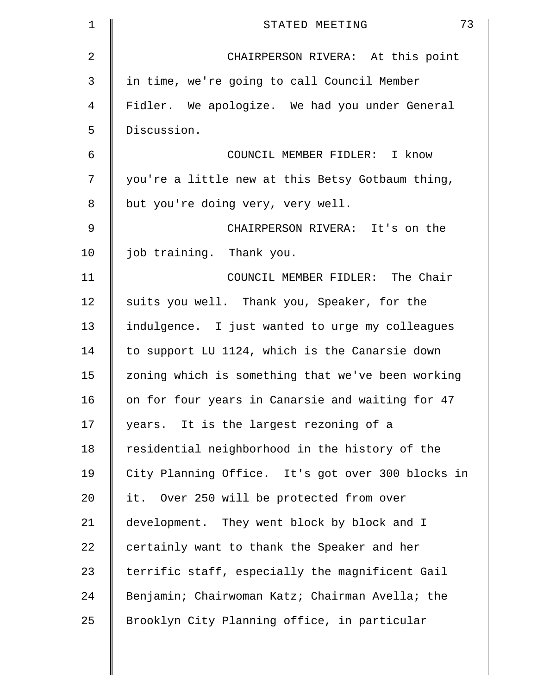| 1              | 73<br>STATED MEETING                              |
|----------------|---------------------------------------------------|
| 2              | CHAIRPERSON RIVERA: At this point                 |
| 3              | in time, we're going to call Council Member       |
| $\overline{4}$ | Fidler. We apologize. We had you under General    |
| 5              | Discussion.                                       |
| 6              | COUNCIL MEMBER FIDLER: I know                     |
| 7              | you're a little new at this Betsy Gotbaum thing,  |
| 8              | but you're doing very, very well.                 |
| 9              | CHAIRPERSON RIVERA: It's on the                   |
| 10             | job training. Thank you.                          |
| 11             | COUNCIL MEMBER FIDLER: The Chair                  |
| 12             | suits you well. Thank you, Speaker, for the       |
| 13             | indulgence. I just wanted to urge my colleagues   |
| 14             | to support LU 1124, which is the Canarsie down    |
| 15             | zoning which is something that we've been working |
| 16             | on for four years in Canarsie and waiting for 47  |
| 17             | years. It is the largest rezoning of a            |
| 18             | residential neighborhood in the history of the    |
| 19             | City Planning Office. It's got over 300 blocks in |
| 20             | it. Over 250 will be protected from over          |
| 21             | development. They went block by block and I       |
| 22             | certainly want to thank the Speaker and her       |
| 23             | terrific staff, especially the magnificent Gail   |
| 24             | Benjamin; Chairwoman Katz; Chairman Avella; the   |
| 25             | Brooklyn City Planning office, in particular      |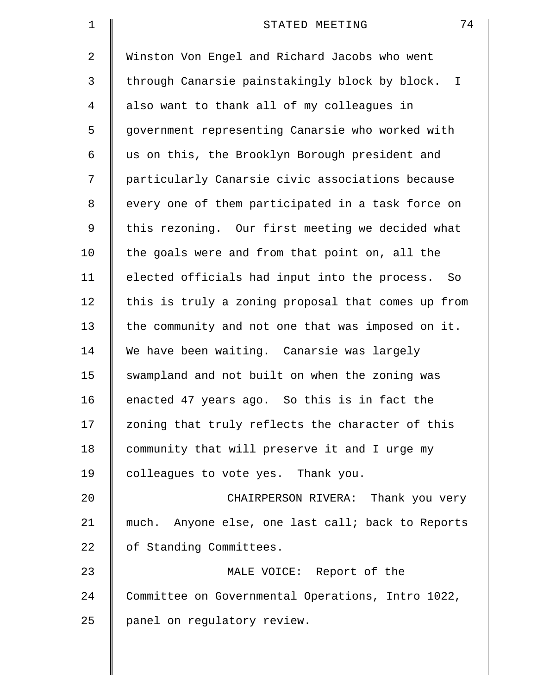| 1  | 74<br>STATED MEETING                               |
|----|----------------------------------------------------|
| 2  | Winston Von Engel and Richard Jacobs who went      |
| 3  | through Canarsie painstakingly block by block. I   |
| 4  | also want to thank all of my colleagues in         |
| 5  | government representing Canarsie who worked with   |
| 6  | us on this, the Brooklyn Borough president and     |
| 7  | particularly Canarsie civic associations because   |
| 8  | every one of them participated in a task force on  |
| 9  | this rezoning. Our first meeting we decided what   |
| 10 | the goals were and from that point on, all the     |
| 11 | elected officials had input into the process. So   |
| 12 | this is truly a zoning proposal that comes up from |
| 13 | the community and not one that was imposed on it.  |
| 14 | We have been waiting. Canarsie was largely         |
| 15 | swampland and not built on when the zoning was     |
| 16 | enacted 47 years ago. So this is in fact the       |
| 17 | zoning that truly reflects the character of this   |
| 18 | community that will preserve it and I urge my      |
| 19 | colleagues to vote yes. Thank you.                 |
| 20 | CHAIRPERSON RIVERA: Thank you very                 |
| 21 | much. Anyone else, one last call; back to Reports  |
| 22 | of Standing Committees.                            |
| 23 | MALE VOICE: Report of the                          |
| 24 | Committee on Governmental Operations, Intro 1022,  |
| 25 | panel on regulatory review.                        |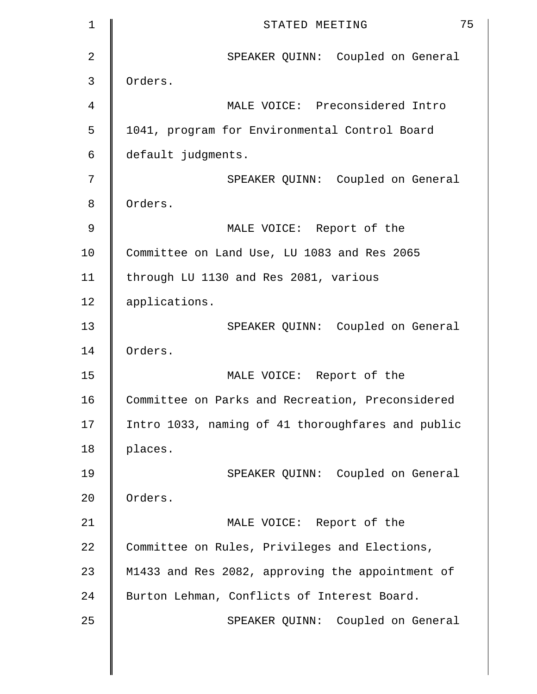| $\mathbf 1$    | 75<br>STATED MEETING                              |  |
|----------------|---------------------------------------------------|--|
| $\overline{a}$ | SPEAKER QUINN: Coupled on General                 |  |
| 3              | Orders.                                           |  |
| 4              | MALE VOICE: Preconsidered Intro                   |  |
| 5              | 1041, program for Environmental Control Board     |  |
| 6              | default judgments.                                |  |
| 7              | SPEAKER QUINN: Coupled on General                 |  |
| 8              | Orders.                                           |  |
| 9              | MALE VOICE: Report of the                         |  |
| 10             | Committee on Land Use, LU 1083 and Res 2065       |  |
| 11             | through LU 1130 and Res 2081, various             |  |
| 12             | applications.                                     |  |
| 13             | SPEAKER QUINN: Coupled on General                 |  |
| 14             | Orders.                                           |  |
| 15             | MALE VOICE: Report of the                         |  |
| 16             | Committee on Parks and Recreation, Preconsidered  |  |
| 17             | Intro 1033, naming of 41 thoroughfares and public |  |
| 18             | places.                                           |  |
| 19             | SPEAKER QUINN: Coupled on General                 |  |
| 20             | Orders.                                           |  |
| 21             | MALE VOICE: Report of the                         |  |
| 22             | Committee on Rules, Privileges and Elections,     |  |
| 23             | M1433 and Res 2082, approving the appointment of  |  |
| 24             | Burton Lehman, Conflicts of Interest Board.       |  |
| 25             | SPEAKER QUINN: Coupled on General                 |  |
|                |                                                   |  |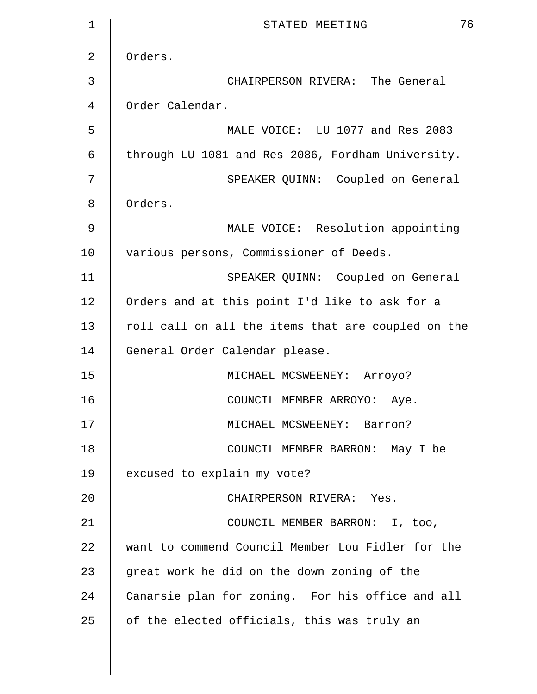| 1             | 76<br>STATED MEETING                               |
|---------------|----------------------------------------------------|
| 2             | Orders.                                            |
| 3             | CHAIRPERSON RIVERA: The General                    |
| 4             | Order Calendar.                                    |
| 5             | MALE VOICE: LU 1077 and Res 2083                   |
| 6             | through LU 1081 and Res 2086, Fordham University.  |
| 7             | SPEAKER QUINN: Coupled on General                  |
| 8             | Orders.                                            |
| $\mathcal{G}$ | MALE VOICE: Resolution appointing                  |
| 10            | various persons, Commissioner of Deeds.            |
| 11            | SPEAKER QUINN: Coupled on General                  |
| 12            | Orders and at this point I'd like to ask for a     |
| 13            | roll call on all the items that are coupled on the |
| 14            | General Order Calendar please.                     |
| 15            | MICHAEL MCSWEENEY: Arroyo?                         |
| 16            | COUNCIL MEMBER ARROYO: Aye.                        |
| 17            | MICHAEL MCSWEENEY: Barron?                         |
| 18            | COUNCIL MEMBER BARRON: May I be                    |
| 19            | excused to explain my vote?                        |
| 20            | CHAIRPERSON RIVERA: Yes.                           |
| 21            | COUNCIL MEMBER BARRON: I, too,                     |
| 22            | want to commend Council Member Lou Fidler for the  |
| 23            | great work he did on the down zoning of the        |
| 24            | Canarsie plan for zoning. For his office and all   |
| 25            | of the elected officials, this was truly an        |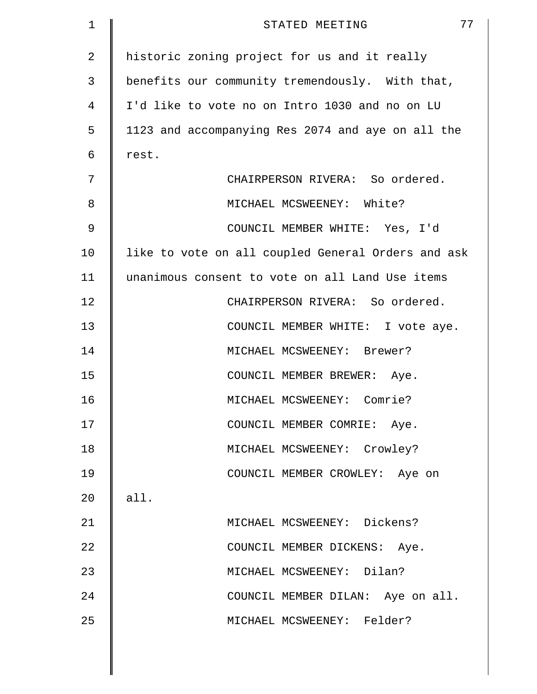| 1              | 77<br>STATED MEETING                               |
|----------------|----------------------------------------------------|
| $\overline{2}$ | historic zoning project for us and it really       |
| 3              | benefits our community tremendously. With that,    |
| 4              | I'd like to vote no on Intro 1030 and no on LU     |
| 5              | 1123 and accompanying Res 2074 and aye on all the  |
| 6              | rest.                                              |
| 7              | CHAIRPERSON RIVERA: So ordered.                    |
| 8              | MICHAEL MCSWEENEY: White?                          |
| 9              | COUNCIL MEMBER WHITE: Yes, I'd                     |
| 10             | like to vote on all coupled General Orders and ask |
| 11             | unanimous consent to vote on all Land Use items    |
| 12             | CHAIRPERSON RIVERA: So ordered.                    |
| 13             | COUNCIL MEMBER WHITE: I vote aye.                  |
| 14             | MICHAEL MCSWEENEY: Brewer?                         |
| 15             | COUNCIL MEMBER BREWER: Aye.                        |
| 16             | MICHAEL MCSWEENEY: Comrie?                         |
| 17             | COUNCIL MEMBER COMRIE: Aye.                        |
| 18             | MICHAEL MCSWEENEY: Crowley?                        |
| 19             | COUNCIL MEMBER CROWLEY: Aye on                     |
| 20             | all.                                               |
| 21             | MICHAEL MCSWEENEY: Dickens?                        |
| 22             | COUNCIL MEMBER DICKENS: Aye.                       |
| 23             | MICHAEL MCSWEENEY: Dilan?                          |
| 24             | COUNCIL MEMBER DILAN: Aye on all.                  |
| 25             | MICHAEL MCSWEENEY: Felder?                         |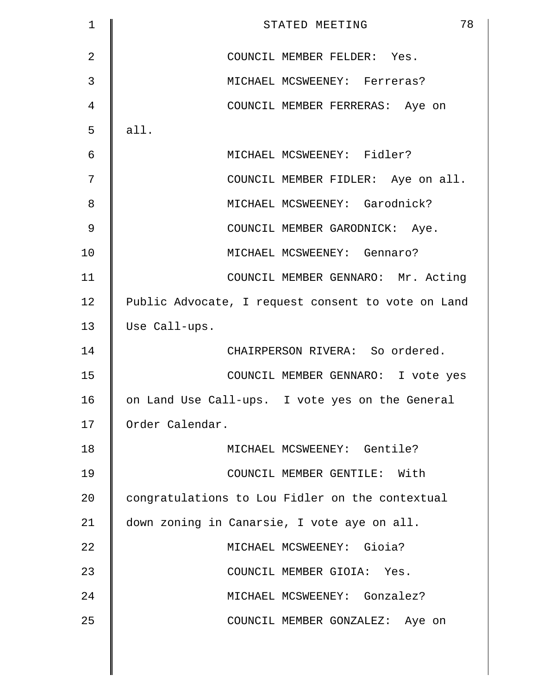| $\mathbf 1$    | 78<br>STATED MEETING                               |
|----------------|----------------------------------------------------|
| $\overline{2}$ | COUNCIL MEMBER FELDER: Yes.                        |
| 3              | MICHAEL MCSWEENEY: Ferreras?                       |
| 4              | COUNCIL MEMBER FERRERAS: Aye on                    |
| 5              | all.                                               |
| 6              | MICHAEL MCSWEENEY: Fidler?                         |
| 7              | COUNCIL MEMBER FIDLER: Aye on all.                 |
| 8              | MICHAEL MCSWEENEY: Garodnick?                      |
| $\mathcal{G}$  | COUNCIL MEMBER GARODNICK: Aye.                     |
| 10             | MICHAEL MCSWEENEY: Gennaro?                        |
| 11             | COUNCIL MEMBER GENNARO: Mr. Acting                 |
| 12             | Public Advocate, I request consent to vote on Land |
| 13             | Use Call-ups.                                      |
| 14             | CHAIRPERSON RIVERA: So ordered.                    |
| 15             | COUNCIL MEMBER GENNARO: I vote yes                 |
| 16             | on Land Use Call-ups. I vote yes on the General    |
| 17             | Order Calendar.                                    |
| 18             | MICHAEL MCSWEENEY: Gentile?                        |
| 19             | COUNCIL MEMBER GENTILE: With                       |
| 20             | congratulations to Lou Fidler on the contextual    |
| 21             | down zoning in Canarsie, I vote aye on all.        |
| 22             | MICHAEL MCSWEENEY: Gioia?                          |
| 23             | COUNCIL MEMBER GIOIA: Yes.                         |
| 24             | MICHAEL MCSWEENEY: Gonzalez?                       |
| 25             | COUNCIL MEMBER GONZALEZ: Aye on                    |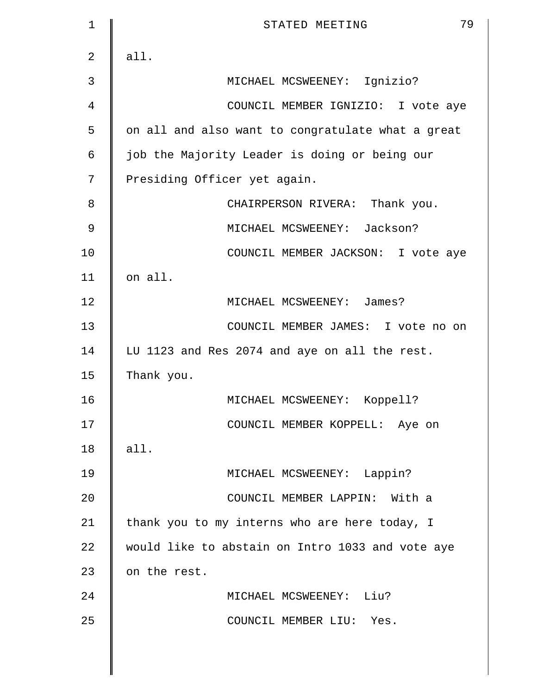| 1  | 79<br>STATED MEETING                              |
|----|---------------------------------------------------|
| 2  | all.                                              |
| 3  | MICHAEL MCSWEENEY: Ignizio?                       |
| 4  | COUNCIL MEMBER IGNIZIO: I vote aye                |
| 5  | on all and also want to congratulate what a great |
| 6  | job the Majority Leader is doing or being our     |
| 7  | Presiding Officer yet again.                      |
| 8  | CHAIRPERSON RIVERA: Thank you.                    |
| 9  | MICHAEL MCSWEENEY: Jackson?                       |
| 10 | COUNCIL MEMBER JACKSON: I vote aye                |
| 11 | on all.                                           |
| 12 | MICHAEL MCSWEENEY: James?                         |
| 13 | COUNCIL MEMBER JAMES: I vote no on                |
| 14 | LU 1123 and Res 2074 and aye on all the rest.     |
| 15 | Thank you.                                        |
| 16 | MICHAEL MCSWEENEY: Koppell?                       |
| 17 | COUNCIL MEMBER KOPPELL: Aye on                    |
| 18 | all.                                              |
| 19 | MICHAEL MCSWEENEY: Lappin?                        |
| 20 | COUNCIL MEMBER LAPPIN: With a                     |
| 21 | thank you to my interns who are here today, I     |
| 22 | would like to abstain on Intro 1033 and vote aye  |
| 23 | on the rest.                                      |
| 24 | MICHAEL MCSWEENEY: Liu?                           |
| 25 | COUNCIL MEMBER LIU: Yes.                          |
|    |                                                   |
|    |                                                   |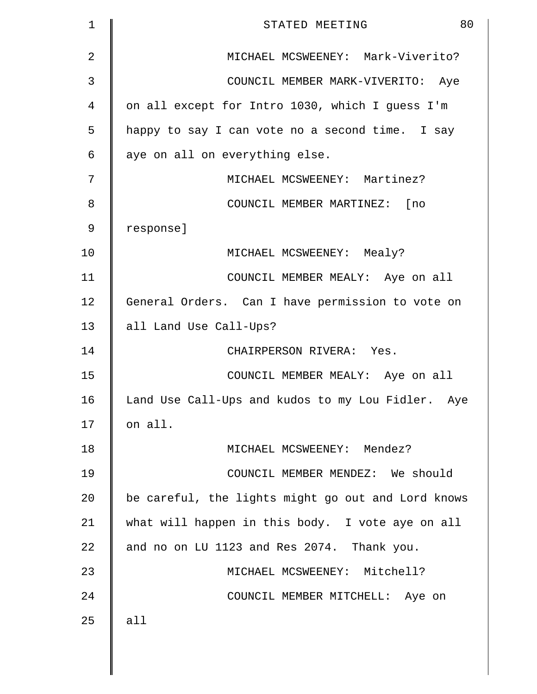| $\mathbf 1$ | 80<br>STATED MEETING                               |
|-------------|----------------------------------------------------|
| 2           | MICHAEL MCSWEENEY: Mark-Viverito?                  |
| 3           | COUNCIL MEMBER MARK-VIVERITO: Aye                  |
| 4           | on all except for Intro 1030, which I guess I'm    |
| 5           | happy to say I can vote no a second time. I say    |
| 6           | aye on all on everything else.                     |
| 7           | MICHAEL MCSWEENEY: Martinez?                       |
| 8           | COUNCIL MEMBER MARTINEZ: [no                       |
| $\mathsf 9$ | response]                                          |
| 10          | MICHAEL MCSWEENEY: Mealy?                          |
| 11          | COUNCIL MEMBER MEALY: Aye on all                   |
| 12          | General Orders. Can I have permission to vote on   |
| 13          | all Land Use Call-Ups?                             |
| 14          | CHAIRPERSON RIVERA: Yes.                           |
| 15          | COUNCIL MEMBER MEALY: Aye on all                   |
| 16          | Land Use Call-Ups and kudos to my Lou Fidler. Aye  |
| 17          | on all.                                            |
| 18          | MICHAEL MCSWEENEY: Mendez?                         |
| 19          | COUNCIL MEMBER MENDEZ: We should                   |
| 20          | be careful, the lights might go out and Lord knows |
| 21          | what will happen in this body. I vote aye on all   |
| 22          | and no on LU 1123 and Res 2074. Thank you.         |
| 23          | MICHAEL MCSWEENEY: Mitchell?                       |
| 24          | COUNCIL MEMBER MITCHELL: Aye on                    |
| 25          | a11                                                |
|             |                                                    |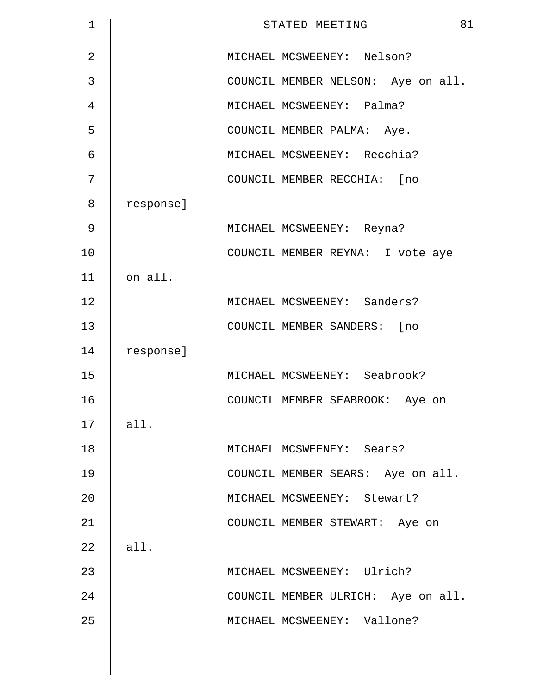| $\mathbf 1$    |           | 81<br>STATED MEETING               |
|----------------|-----------|------------------------------------|
| $\overline{2}$ |           | MICHAEL MCSWEENEY: Nelson?         |
| 3              |           | COUNCIL MEMBER NELSON: Aye on all. |
| 4              |           | MICHAEL MCSWEENEY: Palma?          |
| 5              |           | COUNCIL MEMBER PALMA: Aye.         |
| 6              |           | MICHAEL MCSWEENEY: Recchia?        |
| 7              |           | COUNCIL MEMBER RECCHIA: [no        |
| 8              | response] |                                    |
| $\mathsf 9$    |           | MICHAEL MCSWEENEY: Reyna?          |
| 10             |           | COUNCIL MEMBER REYNA: I vote aye   |
| 11             | on all.   |                                    |
| 12             |           | MICHAEL MCSWEENEY: Sanders?        |
| 13             |           | COUNCIL MEMBER SANDERS: [no        |
| 14             | response] |                                    |
| 15             |           | MICHAEL MCSWEENEY: Seabrook?       |
| 16             |           | COUNCIL MEMBER SEABROOK: Aye on    |
| 17             | all.      |                                    |
| 18             |           | MICHAEL MCSWEENEY: Sears?          |
| 19             |           | COUNCIL MEMBER SEARS: Aye on all.  |
| 20             |           | MICHAEL MCSWEENEY: Stewart?        |
| 21             |           | COUNCIL MEMBER STEWART: Aye on     |
| 22             | all.      |                                    |
| 23             |           | MICHAEL MCSWEENEY: Ulrich?         |
| 24             |           | COUNCIL MEMBER ULRICH: Aye on all. |
| 25             |           | MICHAEL MCSWEENEY: Vallone?        |
|                |           |                                    |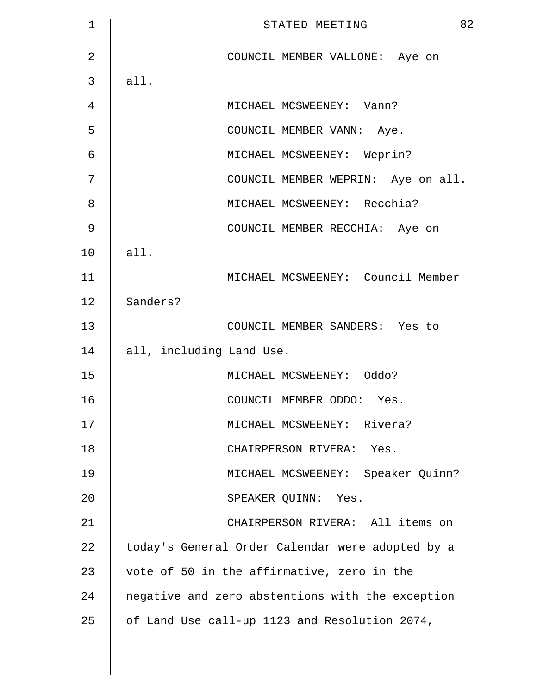| 1              | 82<br>STATED MEETING                             |
|----------------|--------------------------------------------------|
| $\overline{2}$ | COUNCIL MEMBER VALLONE: Aye on                   |
| 3              | all.                                             |
| 4              | MICHAEL MCSWEENEY: Vann?                         |
| 5              | COUNCIL MEMBER VANN: Aye.                        |
| 6              | MICHAEL MCSWEENEY: Weprin?                       |
| 7              | COUNCIL MEMBER WEPRIN: Aye on all.               |
| 8              | MICHAEL MCSWEENEY: Recchia?                      |
| 9              | COUNCIL MEMBER RECCHIA: Aye on                   |
| 10             | all.                                             |
| 11             | MICHAEL MCSWEENEY: Council Member                |
| 12             | Sanders?                                         |
| 13             | COUNCIL MEMBER SANDERS: Yes to                   |
| 14             | all, including Land Use.                         |
| 15             | MICHAEL MCSWEENEY: Oddo?                         |
| 16             | COUNCIL MEMBER ODDO: Yes.                        |
| 17             | MICHAEL MCSWEENEY: Rivera?                       |
| 18             | CHAIRPERSON RIVERA: Yes.                         |
| 19             | MICHAEL MCSWEENEY: Speaker Quinn?                |
| 20             | SPEAKER OUINN: Yes.                              |
| 21             | CHAIRPERSON RIVERA: All items on                 |
| 22             | today's General Order Calendar were adopted by a |
| 23             | vote of 50 in the affirmative, zero in the       |
| 24             | negative and zero abstentions with the exception |
| 25             | of Land Use call-up 1123 and Resolution 2074,    |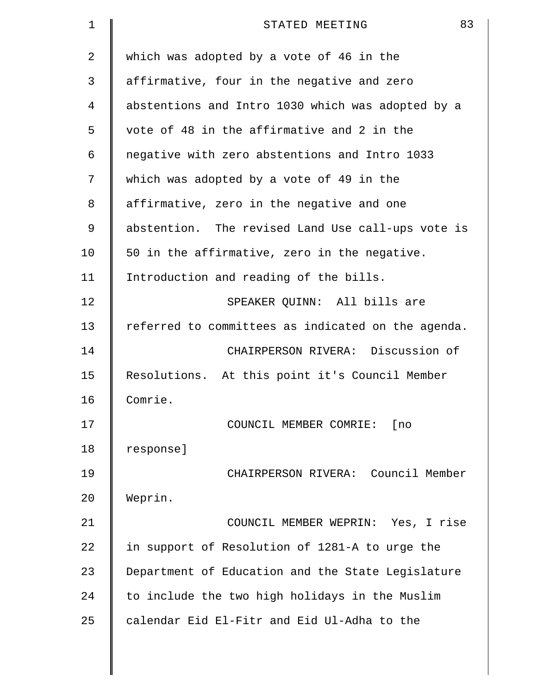| 1  | 83<br>STATED MEETING                               |
|----|----------------------------------------------------|
| 2  | which was adopted by a vote of 46 in the           |
| 3  | affirmative, four in the negative and zero         |
| 4  | abstentions and Intro 1030 which was adopted by a  |
| 5  | vote of 48 in the affirmative and 2 in the         |
| 6  | negative with zero abstentions and Intro 1033      |
| 7  | which was adopted by a vote of 49 in the           |
| 8  | affirmative, zero in the negative and one          |
| 9  | abstention. The revised Land Use call-ups vote is  |
| 10 | 50 in the affirmative, zero in the negative.       |
| 11 | Introduction and reading of the bills.             |
| 12 | SPEAKER QUINN: All bills are                       |
| 13 | referred to committees as indicated on the agenda. |
| 14 | CHAIRPERSON RIVERA: Discussion of                  |
| 15 | Resolutions. At this point it's Council Member     |
| 16 | Comrie.                                            |
| 17 | COUNCIL MEMBER COMRIE: [no                         |
| 18 | response]                                          |
| 19 | CHAIRPERSON RIVERA: Council Member                 |
| 20 | Weprin.                                            |
| 21 | COUNCIL MEMBER WEPRIN: Yes, I rise                 |
| 22 | in support of Resolution of 1281-A to urge the     |
| 23 | Department of Education and the State Legislature  |
| 24 | to include the two high holidays in the Muslim     |
| 25 | calendar Eid El-Fitr and Eid Ul-Adha to the        |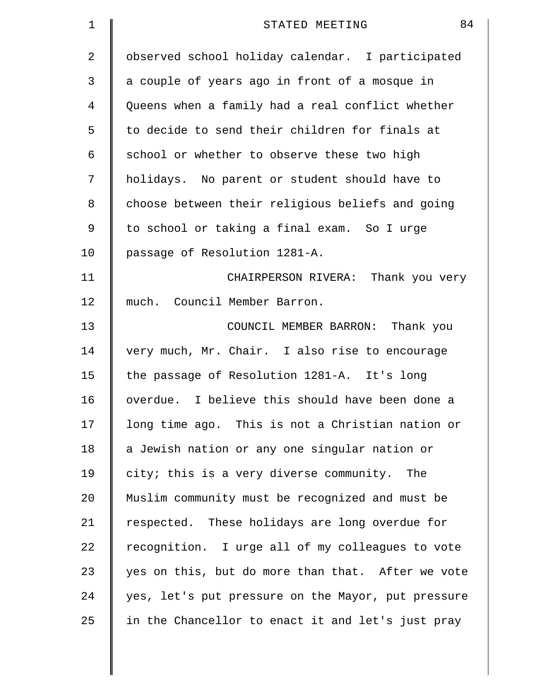| $\mathbf 1$ | STATED MEETING                                     | 84 |
|-------------|----------------------------------------------------|----|
| 2           | observed school holiday calendar. I participated   |    |
| 3           | a couple of years ago in front of a mosque in      |    |
| 4           | Queens when a family had a real conflict whether   |    |
| 5           | to decide to send their children for finals at     |    |
| 6           | school or whether to observe these two high        |    |
| 7           | holidays. No parent or student should have to      |    |
| 8           | choose between their religious beliefs and going   |    |
| 9           | to school or taking a final exam. So I urge        |    |
| 10          | passage of Resolution 1281-A.                      |    |
| 11          | CHAIRPERSON RIVERA: Thank you very                 |    |
| 12          | much. Council Member Barron.                       |    |
| 13          | COUNCIL MEMBER BARRON: Thank you                   |    |
| 14          | very much, Mr. Chair. I also rise to encourage     |    |
| 15          | the passage of Resolution 1281-A. It's long        |    |
| 16          | overdue. I believe this should have been done a    |    |
| 17          | long time ago. This is not a Christian nation or   |    |
| 18          | a Jewish nation or any one singular nation or      |    |
| 19          | city; this is a very diverse community. The        |    |
| 20          | Muslim community must be recognized and must be    |    |
| 21          | respected. These holidays are long overdue for     |    |
| 22          | recognition. I urge all of my colleagues to vote   |    |
| 23          | yes on this, but do more than that. After we vote  |    |
| 24          | yes, let's put pressure on the Mayor, put pressure |    |
| 25          | in the Chancellor to enact it and let's just pray  |    |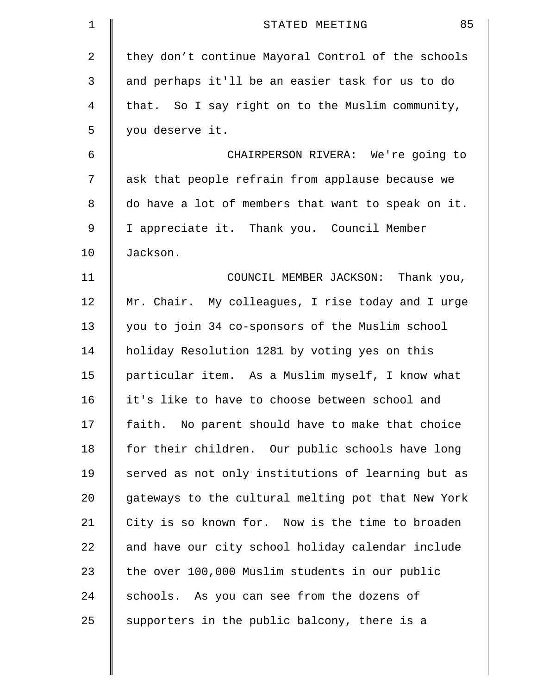| $\mathbf 1$ | 85<br>STATED MEETING                               |
|-------------|----------------------------------------------------|
| 2           | they don't continue Mayoral Control of the schools |
| 3           | and perhaps it'll be an easier task for us to do   |
| 4           | that. So I say right on to the Muslim community,   |
| 5           | you deserve it.                                    |
| 6           | CHAIRPERSON RIVERA: We're going to                 |
| 7           | ask that people refrain from applause because we   |
| 8           | do have a lot of members that want to speak on it. |
| 9           | I appreciate it. Thank you. Council Member         |
| 10          | Jackson.                                           |
| 11          | COUNCIL MEMBER JACKSON: Thank you,                 |
| 12          | Mr. Chair. My colleagues, I rise today and I urge  |
| 13          | you to join 34 co-sponsors of the Muslim school    |
| 14          | holiday Resolution 1281 by voting yes on this      |
| 15          | particular item. As a Muslim myself, I know what   |
| 16          | it's like to have to choose between school and     |
| 17          | faith. No parent should have to make that choice   |
| 18          | for their children. Our public schools have long   |
| 19          | served as not only institutions of learning but as |
| 20          | gateways to the cultural melting pot that New York |
| 21          | City is so known for. Now is the time to broaden   |
| 22          | and have our city school holiday calendar include  |
| 23          | the over 100,000 Muslim students in our public     |
| 24          | schools. As you can see from the dozens of         |
| 25          | supporters in the public balcony, there is a       |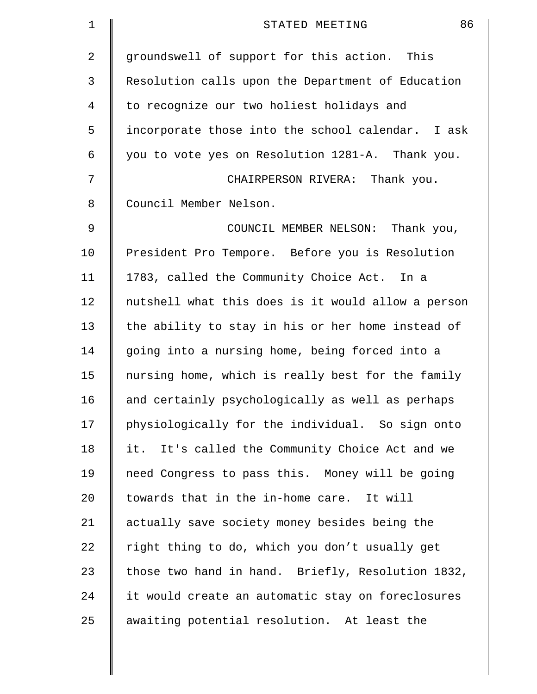| $\mathbf 1$ | 86<br>STATED MEETING                               |
|-------------|----------------------------------------------------|
| 2           | groundswell of support for this action. This       |
| 3           | Resolution calls upon the Department of Education  |
| 4           | to recognize our two holiest holidays and          |
| 5           | incorporate those into the school calendar. I ask  |
| 6           | you to vote yes on Resolution 1281-A. Thank you.   |
| 7           | CHAIRPERSON RIVERA: Thank you.                     |
| 8           | Council Member Nelson.                             |
| 9           | COUNCIL MEMBER NELSON: Thank you,                  |
| 10          | President Pro Tempore. Before you is Resolution    |
| 11          | 1783, called the Community Choice Act. In a        |
| 12          | nutshell what this does is it would allow a person |
| 13          | the ability to stay in his or her home instead of  |
| 14          | going into a nursing home, being forced into a     |
| 15          | nursing home, which is really best for the family  |
| 16          | and certainly psychologically as well as perhaps   |
| 17          | physiologically for the individual. So sign onto   |
| 18          | it. It's called the Community Choice Act and we    |
| 19          | need Congress to pass this. Money will be going    |
| 20          | towards that in the in-home care. It will          |
| 21          | actually save society money besides being the      |
| 22          | right thing to do, which you don't usually get     |
| 23          | those two hand in hand. Briefly, Resolution 1832,  |
| 24          | it would create an automatic stay on foreclosures  |
| 25          | awaiting potential resolution. At least the        |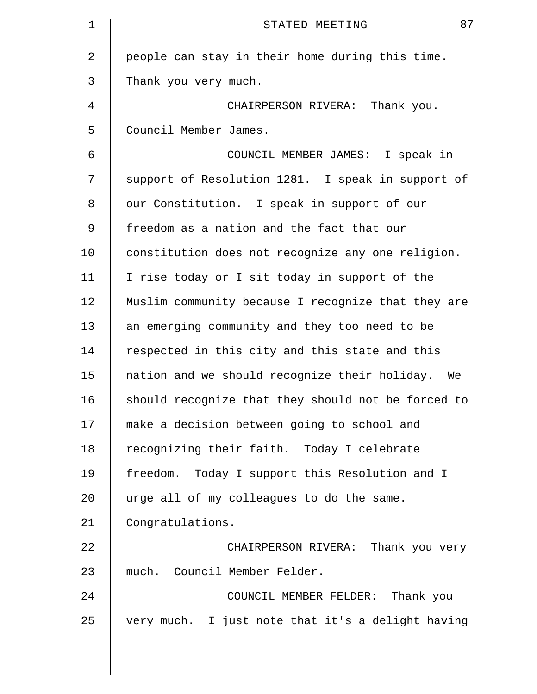| $\mathbf 1$ | 87<br>STATED MEETING                               |
|-------------|----------------------------------------------------|
| 2           | people can stay in their home during this time.    |
| 3           | Thank you very much.                               |
| 4           | CHAIRPERSON RIVERA: Thank you.                     |
| 5           | Council Member James.                              |
| 6           | COUNCIL MEMBER JAMES: I speak in                   |
| 7           | support of Resolution 1281. I speak in support of  |
| 8           | our Constitution. I speak in support of our        |
| 9           | freedom as a nation and the fact that our          |
| 10          | constitution does not recognize any one religion.  |
| 11          | I rise today or I sit today in support of the      |
| 12          | Muslim community because I recognize that they are |
| 13          | an emerging community and they too need to be      |
| 14          | respected in this city and this state and this     |
| 15          | nation and we should recognize their holiday. We   |
| 16          | should recognize that they should not be forced to |
| 17          | make a decision between going to school and        |
| 18          | recognizing their faith. Today I celebrate         |
| 19          | freedom. Today I support this Resolution and I     |
| 20          | urge all of my colleagues to do the same.          |
| 21          | Congratulations.                                   |
| 22          | CHAIRPERSON RIVERA: Thank you very                 |
| 23          | much. Council Member Felder.                       |
| 24          | COUNCIL MEMBER FELDER: Thank you                   |
| 25          | very much. I just note that it's a delight having  |
|             |                                                    |

║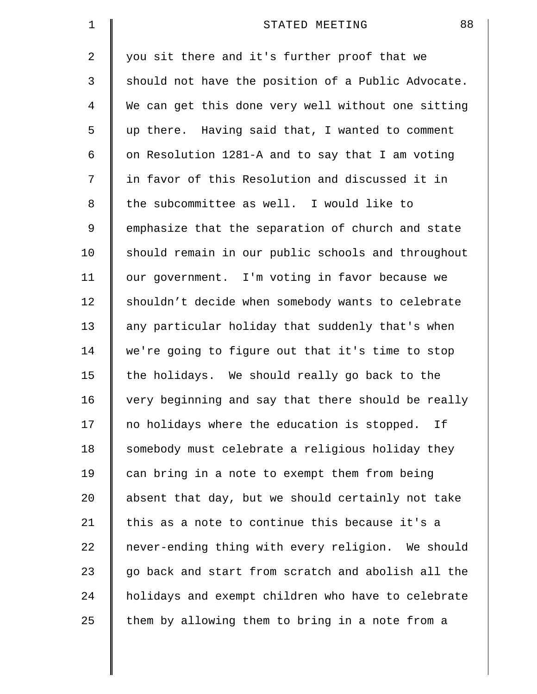| $\mathbf 1$    | 88<br>STATED MEETING                               |
|----------------|----------------------------------------------------|
| $\overline{2}$ | you sit there and it's further proof that we       |
| 3              | should not have the position of a Public Advocate. |
| 4              | We can get this done very well without one sitting |
| 5              | up there. Having said that, I wanted to comment    |
| 6              | on Resolution 1281-A and to say that I am voting   |
| 7              | in favor of this Resolution and discussed it in    |
| 8              | the subcommittee as well. I would like to          |
| 9              | emphasize that the separation of church and state  |
| 10             | should remain in our public schools and throughout |
| 11             | our government. I'm voting in favor because we     |
| 12             | shouldn't decide when somebody wants to celebrate  |
| 13             | any particular holiday that suddenly that's when   |
| 14             | we're going to figure out that it's time to stop   |
| 15             | the holidays. We should really go back to the      |
| 16             | very beginning and say that there should be really |
| 17             | no holidays where the education is stopped.<br>If  |
| 18             | somebody must celebrate a religious holiday they   |
| 19             | can bring in a note to exempt them from being      |
| 20             | absent that day, but we should certainly not take  |
| 21             | this as a note to continue this because it's a     |
| 22             | never-ending thing with every religion. We should  |
| 23             | go back and start from scratch and abolish all the |
| 24             | holidays and exempt children who have to celebrate |
| 25             | them by allowing them to bring in a note from a    |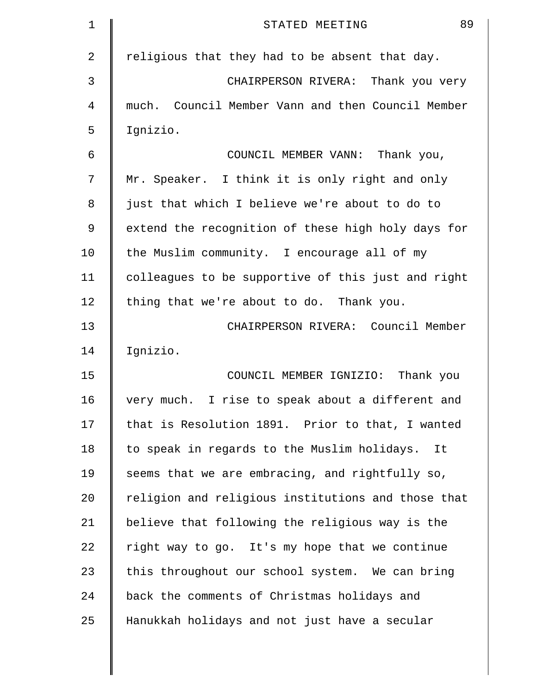| $\mathbf 1$    | 89<br>STATED MEETING                                |
|----------------|-----------------------------------------------------|
| $\overline{a}$ | religious that they had to be absent that day.      |
| 3              | CHAIRPERSON RIVERA: Thank you very                  |
| 4              | much. Council Member Vann and then Council Member   |
| 5              | Ignizio.                                            |
| 6              | COUNCIL MEMBER VANN: Thank you,                     |
| 7              | Mr. Speaker. I think it is only right and only      |
| 8              | just that which I believe we're about to do to      |
| 9              | extend the recognition of these high holy days for  |
| 10             | the Muslim community. I encourage all of my         |
| 11             | colleagues to be supportive of this just and right  |
| 12             | thing that we're about to do. Thank you.            |
| 13             | CHAIRPERSON RIVERA: Council Member                  |
| 14             | Ignizio.                                            |
| 15             | COUNCIL MEMBER IGNIZIO: Thank you                   |
| 16             | I rise to speak about a different and<br>very much. |
| 17             | that is Resolution 1891. Prior to that, I wanted    |
| 18             | to speak in regards to the Muslim holidays. It      |
| 19             | seems that we are embracing, and rightfully so,     |
| 20             | religion and religious institutions and those that  |
| 21             | believe that following the religious way is the     |
| 22             | right way to go. It's my hope that we continue      |
| 23             | this throughout our school system. We can bring     |
| 24             | back the comments of Christmas holidays and         |
| 25             | Hanukkah holidays and not just have a secular       |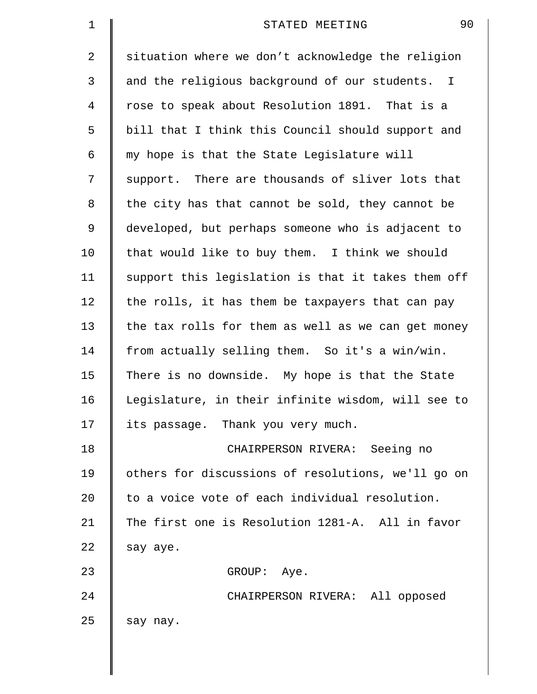| $\mathbf 1$    | 90<br>STATED MEETING                               |
|----------------|----------------------------------------------------|
| $\overline{2}$ | situation where we don't acknowledge the religion  |
| 3              | and the religious background of our students. I    |
| 4              | rose to speak about Resolution 1891. That is a     |
| 5              | bill that I think this Council should support and  |
| 6              | my hope is that the State Legislature will         |
| 7              | support. There are thousands of sliver lots that   |
| 8              | the city has that cannot be sold, they cannot be   |
| 9              | developed, but perhaps someone who is adjacent to  |
| 10             | that would like to buy them. I think we should     |
| 11             | support this legislation is that it takes them off |
| 12             | the rolls, it has them be taxpayers that can pay   |
| 13             | the tax rolls for them as well as we can get money |
| 14             | from actually selling them. So it's a win/win.     |
| 15             | There is no downside. My hope is that the State    |
| 16             | Legislature, in their infinite wisdom, will see to |
| 17             | its passage. Thank you very much.                  |
| 18             | CHAIRPERSON RIVERA: Seeing no                      |
| 19             | others for discussions of resolutions, we'll go on |
| 20             | to a voice vote of each individual resolution.     |
| 21             | The first one is Resolution 1281-A. All in favor   |
| 22             | say aye.                                           |
| 23             | GROUP: Aye.                                        |
| 24             | CHAIRPERSON RIVERA: All opposed                    |
| 25             | say nay.                                           |
|                |                                                    |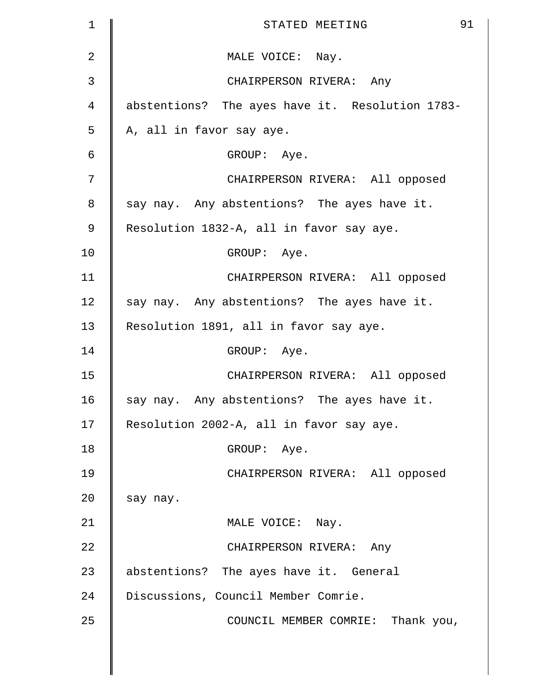| $\mathbf 1$    | 91<br>STATED MEETING                            |
|----------------|-------------------------------------------------|
| $\overline{2}$ | MALE VOICE: Nay.                                |
| 3              | CHAIRPERSON RIVERA: Any                         |
| 4              | abstentions? The ayes have it. Resolution 1783- |
| 5              | A, all in favor say aye.                        |
| 6              | GROUP: Aye.                                     |
| 7              | CHAIRPERSON RIVERA: All opposed                 |
| 8              | say nay. Any abstentions? The ayes have it.     |
| 9              | Resolution 1832-A, all in favor say aye.        |
| 10             | GROUP: Aye.                                     |
| 11             | CHAIRPERSON RIVERA: All opposed                 |
| 12             | say nay. Any abstentions? The ayes have it.     |
| 13             | Resolution 1891, all in favor say aye.          |
| 14             | GROUP: Aye.                                     |
| 15             | CHAIRPERSON RIVERA: All opposed                 |
| 16             | say nay. Any abstentions? The ayes have it.     |
| 17             | Resolution 2002-A, all in favor say aye.        |
| 18             | GROUP: Aye.                                     |
| 19             | CHAIRPERSON RIVERA: All opposed                 |
| 20             | say nay.                                        |
| 21             | MALE VOICE: Nay.                                |
| 22             | CHAIRPERSON RIVERA: Any                         |
| 23             | abstentions? The ayes have it. General          |
| 24             | Discussions, Council Member Comrie.             |
| 25             | COUNCIL MEMBER COMRIE: Thank you,               |
|                |                                                 |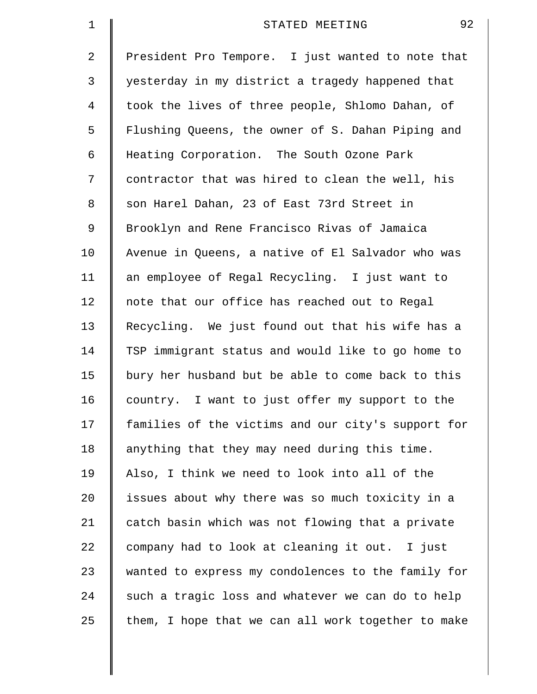| $\mathbf 1$    | 92<br>STATED MEETING                               |
|----------------|----------------------------------------------------|
| 2              | President Pro Tempore. I just wanted to note that  |
| 3              | yesterday in my district a tragedy happened that   |
| $\overline{4}$ | took the lives of three people, Shlomo Dahan, of   |
| 5              | Flushing Queens, the owner of S. Dahan Piping and  |
| 6              | Heating Corporation. The South Ozone Park          |
| 7              | contractor that was hired to clean the well, his   |
| 8              | son Harel Dahan, 23 of East 73rd Street in         |
| 9              | Brooklyn and Rene Francisco Rivas of Jamaica       |
| 10             | Avenue in Queens, a native of El Salvador who was  |
| 11             | an employee of Regal Recycling. I just want to     |
| 12             | note that our office has reached out to Regal      |
| 13             | Recycling. We just found out that his wife has a   |
| 14             | TSP immigrant status and would like to go home to  |
| 15             | bury her husband but be able to come back to this  |
| 16             | country. I want to just offer my support to the    |
| 17             | families of the victims and our city's support for |
| 18             | anything that they may need during this time.      |
| 19             | Also, I think we need to look into all of the      |
| 20             | issues about why there was so much toxicity in a   |
| 21             | catch basin which was not flowing that a private   |
| 22             | company had to look at cleaning it out. I just     |
| 23             | wanted to express my condolences to the family for |
| 24             | such a tragic loss and whatever we can do to help  |
| 25             | them, I hope that we can all work together to make |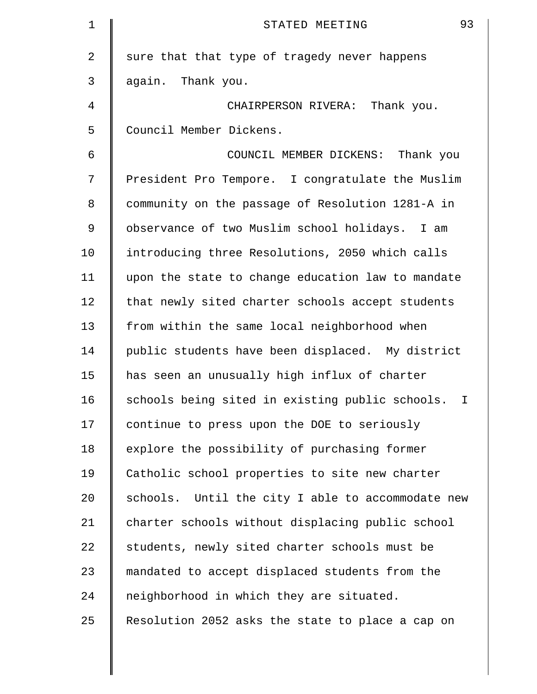| $\mathbf 1$    | 93<br>STATED MEETING                                            |
|----------------|-----------------------------------------------------------------|
| $\overline{a}$ | sure that that type of tragedy never happens                    |
| 3              | again. Thank you.                                               |
| 4              | CHAIRPERSON RIVERA: Thank you.                                  |
| 5              | Council Member Dickens.                                         |
| 6              | COUNCIL MEMBER DICKENS: Thank you                               |
| 7              | President Pro Tempore. I congratulate the Muslim                |
| 8              | community on the passage of Resolution 1281-A in                |
| 9              | observance of two Muslim school holidays. I am                  |
| 10             | introducing three Resolutions, 2050 which calls                 |
| 11             | upon the state to change education law to mandate               |
| 12             | that newly sited charter schools accept students                |
| 13             | from within the same local neighborhood when                    |
| 14             | public students have been displaced. My district                |
| 15             | has seen an unusually high influx of charter                    |
| 16             | schools being sited in existing public schools.<br>$\mathbf{I}$ |
| 17             | continue to press upon the DOE to seriously                     |
| 18             | explore the possibility of purchasing former                    |
| 19             | Catholic school properties to site new charter                  |
| $20 \,$        | schools. Until the city I able to accommodate new               |
| 21             | charter schools without displacing public school                |
| 22             | students, newly sited charter schools must be                   |
| 23             | mandated to accept displaced students from the                  |
| 24             | neighborhood in which they are situated.                        |
| 25             | Resolution 2052 asks the state to place a cap on                |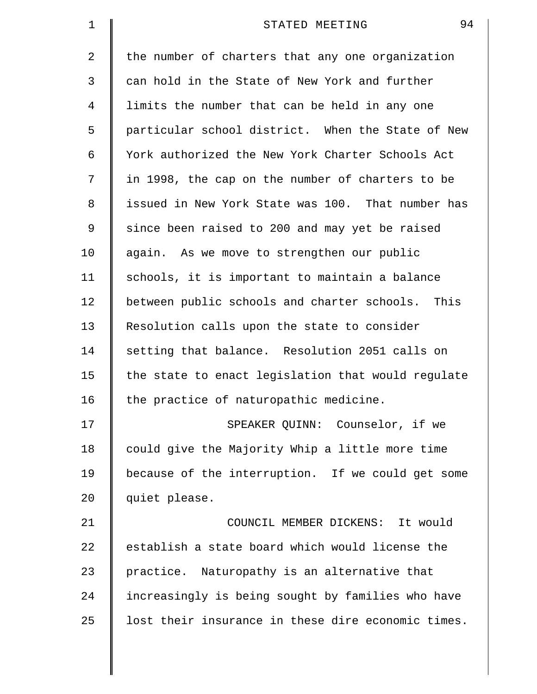| 1  | 94<br>STATED MEETING                               |
|----|----------------------------------------------------|
| 2  | the number of charters that any one organization   |
| 3  | can hold in the State of New York and further      |
| 4  | limits the number that can be held in any one      |
| 5  | particular school district. When the State of New  |
| 6  | York authorized the New York Charter Schools Act   |
| 7  | in 1998, the cap on the number of charters to be   |
| 8  | issued in New York State was 100. That number has  |
| 9  | since been raised to 200 and may yet be raised     |
| 10 | again. As we move to strengthen our public         |
| 11 | schools, it is important to maintain a balance     |
| 12 | between public schools and charter schools. This   |
| 13 | Resolution calls upon the state to consider        |
| 14 | setting that balance. Resolution 2051 calls on     |
| 15 | the state to enact legislation that would regulate |
| 16 | the practice of naturopathic medicine.             |
| 17 | SPEAKER QUINN: Counselor, if we                    |
| 18 | could give the Majority Whip a little more time    |
| 19 | because of the interruption. If we could get some  |
| 20 | quiet please.                                      |
| 21 | COUNCIL MEMBER DICKENS: It would                   |
| 22 | establish a state board which would license the    |
| 23 | practice. Naturopathy is an alternative that       |
| 24 | increasingly is being sought by families who have  |
| 25 | lost their insurance in these dire economic times. |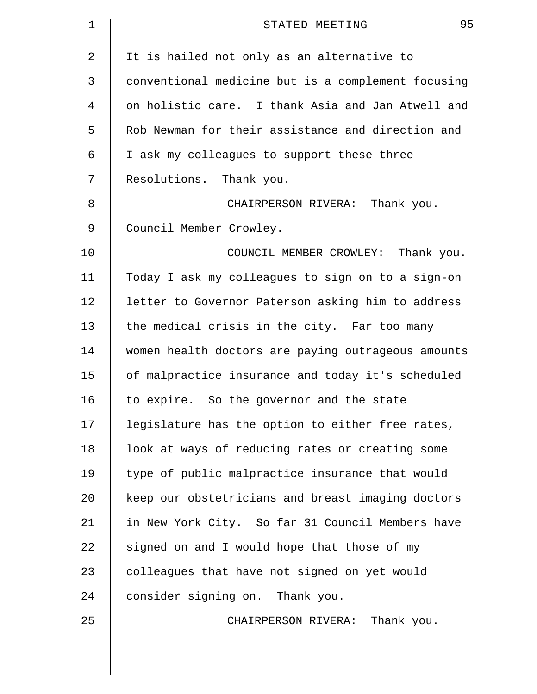| 1           | 95<br>STATED MEETING                               |
|-------------|----------------------------------------------------|
| 2           | It is hailed not only as an alternative to         |
| 3           | conventional medicine but is a complement focusing |
| 4           | on holistic care. I thank Asia and Jan Atwell and  |
| 5           | Rob Newman for their assistance and direction and  |
| 6           | I ask my colleagues to support these three         |
| 7           | Resolutions. Thank you.                            |
| 8           | CHAIRPERSON RIVERA: Thank you.                     |
| $\mathsf 9$ | Council Member Crowley.                            |
| 10          | COUNCIL MEMBER CROWLEY: Thank you.                 |
| 11          | Today I ask my colleagues to sign on to a sign-on  |
| 12          | letter to Governor Paterson asking him to address  |
| 13          | the medical crisis in the city. Far too many       |
| 14          | women health doctors are paying outrageous amounts |
| 15          | of malpractice insurance and today it's scheduled  |
| 16          | to expire. So the governor and the state           |
| 17          | legislature has the option to either free rates,   |
| 18          | look at ways of reducing rates or creating some    |
| 19          | type of public malpractice insurance that would    |
| 20          | keep our obstetricians and breast imaging doctors  |
| 21          | in New York City. So far 31 Council Members have   |
| 22          | signed on and I would hope that those of my        |
| 23          | colleagues that have not signed on yet would       |
| 24          | consider signing on. Thank you.                    |
| 25          | CHAIRPERSON RIVERA: Thank you.                     |
|             |                                                    |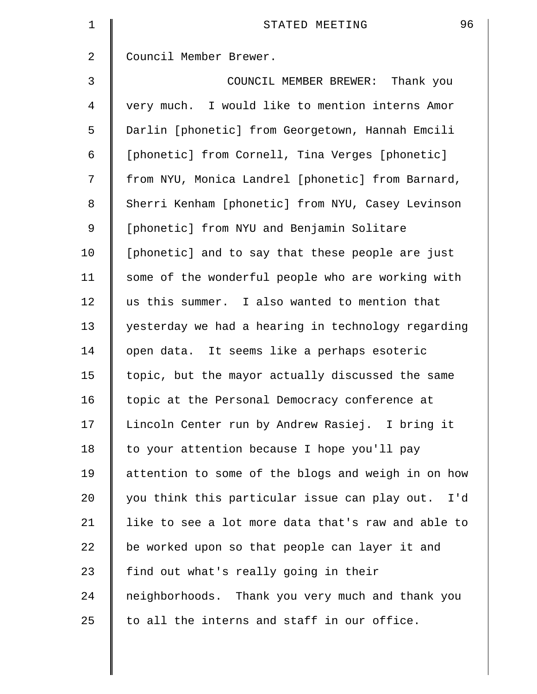| $\mathbf 1$ | 96<br>STATED MEETING                                 |
|-------------|------------------------------------------------------|
| 2           | Council Member Brewer.                               |
| 3           | COUNCIL MEMBER BREWER: Thank you                     |
| 4           | very much. I would like to mention interns Amor      |
| 5           | Darlin [phonetic] from Georgetown, Hannah Emcili     |
| 6           | [phonetic] from Cornell, Tina Verges [phonetic]      |
| 7           | from NYU, Monica Landrel [phonetic] from Barnard,    |
| 8           | Sherri Kenham [phonetic] from NYU, Casey Levinson    |
| 9           | [phonetic] from NYU and Benjamin Solitare            |
| 10          | [phonetic] and to say that these people are just     |
| 11          | some of the wonderful people who are working with    |
| 12          | us this summer. I also wanted to mention that        |
| 13          | yesterday we had a hearing in technology regarding   |
| 14          | open data. It seems like a perhaps esoteric          |
| 15          | topic, but the mayor actually discussed the same     |
| 16          | topic at the Personal Democracy conference at        |
| 17          | Lincoln Center run by Andrew Rasiej. I bring it      |
| 18          | to your attention because I hope you'll pay          |
| 19          | attention to some of the blogs and weigh in on how   |
| 20          | you think this particular issue can play out.<br>I'd |
| 21          | like to see a lot more data that's raw and able to   |
| 22          | be worked upon so that people can layer it and       |
| 23          | find out what's really going in their                |
| 24          | neighborhoods. Thank you very much and thank you     |
| 25          | to all the interns and staff in our office.          |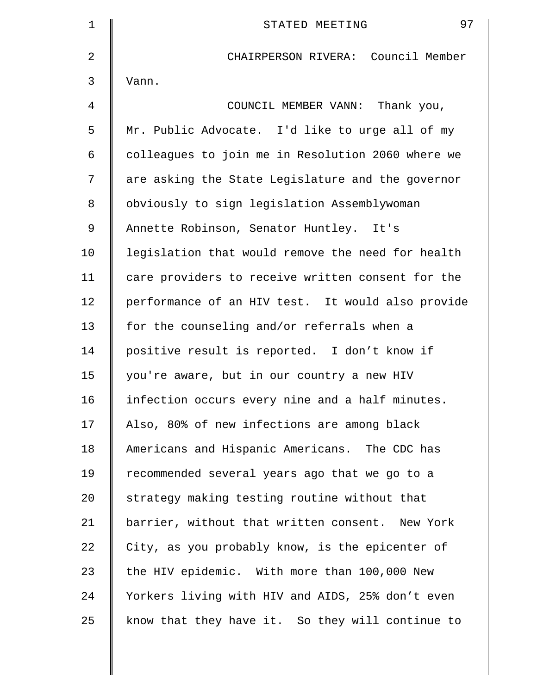| 1  | 97<br>STATED MEETING                              |  |  |  |  |
|----|---------------------------------------------------|--|--|--|--|
| 2  | CHAIRPERSON RIVERA: Council Member                |  |  |  |  |
| 3  | Vann.                                             |  |  |  |  |
| 4  | COUNCIL MEMBER VANN: Thank you,                   |  |  |  |  |
| 5  | Mr. Public Advocate. I'd like to urge all of my   |  |  |  |  |
| 6  | colleagues to join me in Resolution 2060 where we |  |  |  |  |
| 7  | are asking the State Legislature and the governor |  |  |  |  |
| 8  | obviously to sign legislation Assemblywoman       |  |  |  |  |
| 9  | Annette Robinson, Senator Huntley. It's           |  |  |  |  |
| 10 | legislation that would remove the need for health |  |  |  |  |
| 11 | care providers to receive written consent for the |  |  |  |  |
| 12 | performance of an HIV test. It would also provide |  |  |  |  |
| 13 | for the counseling and/or referrals when a        |  |  |  |  |
| 14 | positive result is reported. I don't know if      |  |  |  |  |
| 15 | you're aware, but in our country a new HIV        |  |  |  |  |
| 16 | infection occurs every nine and a half minutes.   |  |  |  |  |
| 17 | Also, 80% of new infections are among black       |  |  |  |  |
| 18 | Americans and Hispanic Americans. The CDC has     |  |  |  |  |
| 19 | recommended several years ago that we go to a     |  |  |  |  |
| 20 | strategy making testing routine without that      |  |  |  |  |
| 21 | barrier, without that written consent. New York   |  |  |  |  |
| 22 | City, as you probably know, is the epicenter of   |  |  |  |  |
| 23 | the HIV epidemic. With more than 100,000 New      |  |  |  |  |
| 24 | Yorkers living with HIV and AIDS, 25% don't even  |  |  |  |  |
| 25 | know that they have it. So they will continue to  |  |  |  |  |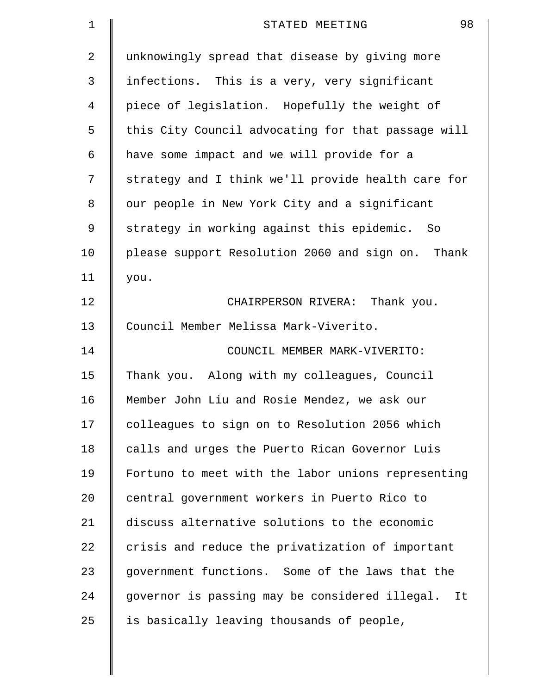| $\mathbf 1$ | 98<br>STATED MEETING                               |  |  |  |  |  |
|-------------|----------------------------------------------------|--|--|--|--|--|
| 2           | unknowingly spread that disease by giving more     |  |  |  |  |  |
| 3           | infections. This is a very, very significant       |  |  |  |  |  |
| 4           | piece of legislation. Hopefully the weight of      |  |  |  |  |  |
| 5           | this City Council advocating for that passage will |  |  |  |  |  |
| 6           | have some impact and we will provide for a         |  |  |  |  |  |
| 7           | strategy and I think we'll provide health care for |  |  |  |  |  |
| 8           | our people in New York City and a significant      |  |  |  |  |  |
| 9           | strategy in working against this epidemic. So      |  |  |  |  |  |
| 10          | please support Resolution 2060 and sign on. Thank  |  |  |  |  |  |
| 11          | you.                                               |  |  |  |  |  |
| 12          | CHAIRPERSON RIVERA: Thank you.                     |  |  |  |  |  |
| 13          | Council Member Melissa Mark-Viverito.              |  |  |  |  |  |
| 14          | COUNCIL MEMBER MARK-VIVERITO:                      |  |  |  |  |  |
| 15          | Thank you. Along with my colleagues, Council       |  |  |  |  |  |
| 16          | Member John Liu and Rosie Mendez, we ask our       |  |  |  |  |  |
| 17          | colleagues to sign on to Resolution 2056 which     |  |  |  |  |  |
| 18          | calls and urges the Puerto Rican Governor Luis     |  |  |  |  |  |
| 19          | Fortuno to meet with the labor unions representing |  |  |  |  |  |
| 20          | central government workers in Puerto Rico to       |  |  |  |  |  |
| 21          | discuss alternative solutions to the economic      |  |  |  |  |  |
| 22          | crisis and reduce the privatization of important   |  |  |  |  |  |
| 23          | government functions. Some of the laws that the    |  |  |  |  |  |
| 24          | governor is passing may be considered illegal. It  |  |  |  |  |  |
| 25          | is basically leaving thousands of people,          |  |  |  |  |  |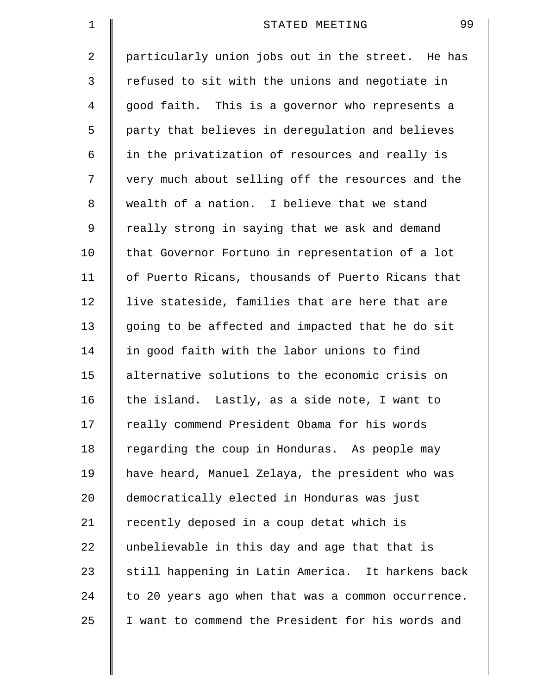| $\mathbf 1$    | 99<br>STATED MEETING                               |  |  |  |  |  |
|----------------|----------------------------------------------------|--|--|--|--|--|
| 2              | particularly union jobs out in the street. He has  |  |  |  |  |  |
| 3              | refused to sit with the unions and negotiate in    |  |  |  |  |  |
| $\overline{4}$ | good faith. This is a governor who represents a    |  |  |  |  |  |
| 5              | party that believes in deregulation and believes   |  |  |  |  |  |
| 6              | in the privatization of resources and really is    |  |  |  |  |  |
| 7              | very much about selling off the resources and the  |  |  |  |  |  |
| 8              | wealth of a nation. I believe that we stand        |  |  |  |  |  |
| 9              | really strong in saying that we ask and demand     |  |  |  |  |  |
| 10             | that Governor Fortuno in representation of a lot   |  |  |  |  |  |
| 11             | of Puerto Ricans, thousands of Puerto Ricans that  |  |  |  |  |  |
| 12             | live stateside, families that are here that are    |  |  |  |  |  |
| 13             | going to be affected and impacted that he do sit   |  |  |  |  |  |
| 14             | in good faith with the labor unions to find        |  |  |  |  |  |
| 15             | alternative solutions to the economic crisis on    |  |  |  |  |  |
| 16             | the island. Lastly, as a side note, I want to      |  |  |  |  |  |
| 17             | really commend President Obama for his words       |  |  |  |  |  |
| 18             | regarding the coup in Honduras. As people may      |  |  |  |  |  |
| 19             | have heard, Manuel Zelaya, the president who was   |  |  |  |  |  |
| 20             | democratically elected in Honduras was just        |  |  |  |  |  |
| 21             | recently deposed in a coup detat which is          |  |  |  |  |  |
| 22             | unbelievable in this day and age that that is      |  |  |  |  |  |
| 23             | still happening in Latin America. It harkens back  |  |  |  |  |  |
| 24             | to 20 years ago when that was a common occurrence. |  |  |  |  |  |
| 25             | I want to commend the President for his words and  |  |  |  |  |  |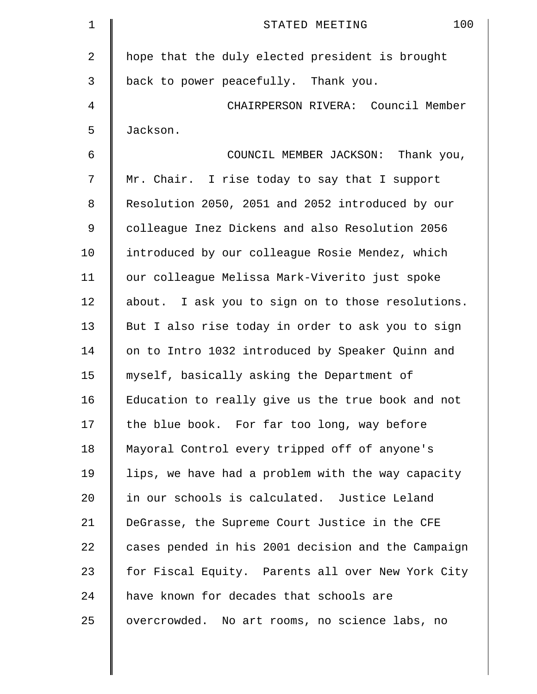| $\mathbf 1$    | 100<br>STATED MEETING                              |  |  |  |  |  |
|----------------|----------------------------------------------------|--|--|--|--|--|
| $\overline{a}$ | hope that the duly elected president is brought    |  |  |  |  |  |
| 3              | back to power peacefully. Thank you.               |  |  |  |  |  |
| 4              | CHAIRPERSON RIVERA: Council Member                 |  |  |  |  |  |
| 5              | Jackson.                                           |  |  |  |  |  |
| 6              | Thank you,<br>COUNCIL MEMBER JACKSON:              |  |  |  |  |  |
| 7              | Mr. Chair. I rise today to say that I support      |  |  |  |  |  |
| 8              | Resolution 2050, 2051 and 2052 introduced by our   |  |  |  |  |  |
| 9              | colleague Inez Dickens and also Resolution 2056    |  |  |  |  |  |
| 10             | introduced by our colleague Rosie Mendez, which    |  |  |  |  |  |
| 11             | our colleague Melissa Mark-Viverito just spoke     |  |  |  |  |  |
| 12             | about. I ask you to sign on to those resolutions.  |  |  |  |  |  |
| 13             | But I also rise today in order to ask you to sign  |  |  |  |  |  |
| 14             | on to Intro 1032 introduced by Speaker Quinn and   |  |  |  |  |  |
| 15             | myself, basically asking the Department of         |  |  |  |  |  |
| 16             | Education to really give us the true book and not  |  |  |  |  |  |
| 17             | the blue book. For far too long, way before        |  |  |  |  |  |
| 18             | Mayoral Control every tripped off of anyone's      |  |  |  |  |  |
| 19             | lips, we have had a problem with the way capacity  |  |  |  |  |  |
| 20             | in our schools is calculated. Justice Leland       |  |  |  |  |  |
| 21             | DeGrasse, the Supreme Court Justice in the CFE     |  |  |  |  |  |
| 22             | cases pended in his 2001 decision and the Campaign |  |  |  |  |  |
| 23             | for Fiscal Equity. Parents all over New York City  |  |  |  |  |  |
| 24             | have known for decades that schools are            |  |  |  |  |  |
| 25             | overcrowded. No art rooms, no science labs, no     |  |  |  |  |  |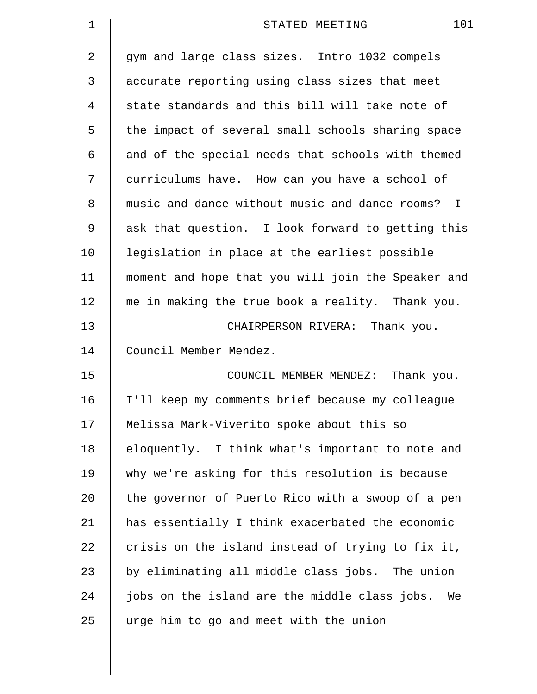| 1  | 101<br>STATED MEETING                              |  |  |  |  |  |
|----|----------------------------------------------------|--|--|--|--|--|
| 2  | gym and large class sizes. Intro 1032 compels      |  |  |  |  |  |
| 3  | accurate reporting using class sizes that meet     |  |  |  |  |  |
| 4  | state standards and this bill will take note of    |  |  |  |  |  |
| 5  | the impact of several small schools sharing space  |  |  |  |  |  |
| 6  | and of the special needs that schools with themed  |  |  |  |  |  |
| 7  | curriculums have. How can you have a school of     |  |  |  |  |  |
| 8  | music and dance without music and dance rooms? I   |  |  |  |  |  |
| 9  | ask that question. I look forward to getting this  |  |  |  |  |  |
| 10 | legislation in place at the earliest possible      |  |  |  |  |  |
| 11 | moment and hope that you will join the Speaker and |  |  |  |  |  |
| 12 | me in making the true book a reality. Thank you.   |  |  |  |  |  |
| 13 | CHAIRPERSON RIVERA: Thank you.                     |  |  |  |  |  |
| 14 | Council Member Mendez.                             |  |  |  |  |  |
| 15 | COUNCIL MEMBER MENDEZ: Thank you.                  |  |  |  |  |  |
| 16 | I'll keep my comments brief because my colleague   |  |  |  |  |  |
| 17 | Melissa Mark-Viverito spoke about this so          |  |  |  |  |  |
| 18 | eloquently. I think what's important to note and   |  |  |  |  |  |
| 19 | why we're asking for this resolution is because    |  |  |  |  |  |
| 20 | the governor of Puerto Rico with a swoop of a pen  |  |  |  |  |  |
| 21 | has essentially I think exacerbated the economic   |  |  |  |  |  |
| 22 | crisis on the island instead of trying to fix it,  |  |  |  |  |  |
| 23 | by eliminating all middle class jobs. The union    |  |  |  |  |  |
| 24 | jobs on the island are the middle class jobs. We   |  |  |  |  |  |
| 25 | urge him to go and meet with the union             |  |  |  |  |  |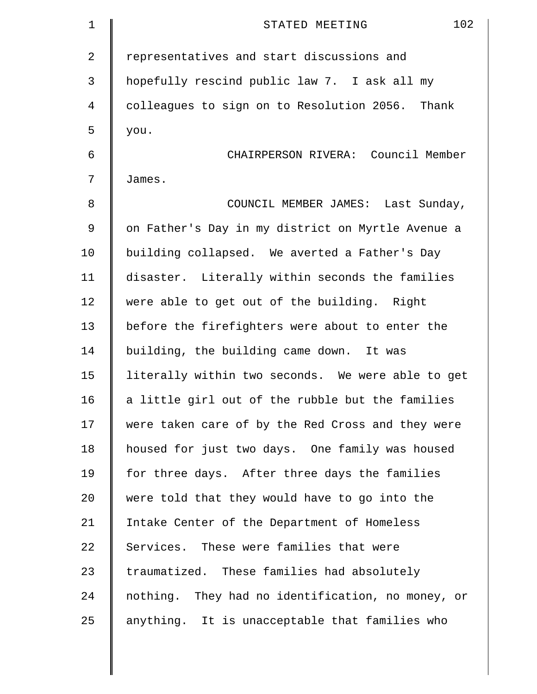| $\mathbf 1$    | 102<br>STATED MEETING                             |  |  |  |  |  |
|----------------|---------------------------------------------------|--|--|--|--|--|
| $\overline{2}$ | representatives and start discussions and         |  |  |  |  |  |
| 3              | hopefully rescind public law 7. I ask all my      |  |  |  |  |  |
| 4              | colleagues to sign on to Resolution 2056. Thank   |  |  |  |  |  |
| 5              | you.                                              |  |  |  |  |  |
| 6              | CHAIRPERSON RIVERA: Council Member                |  |  |  |  |  |
| 7              | James.                                            |  |  |  |  |  |
| 8              | COUNCIL MEMBER JAMES: Last Sunday,                |  |  |  |  |  |
| $\mathsf 9$    | on Father's Day in my district on Myrtle Avenue a |  |  |  |  |  |
| 10             | building collapsed. We averted a Father's Day     |  |  |  |  |  |
| 11             | disaster. Literally within seconds the families   |  |  |  |  |  |
| 12             | were able to get out of the building. Right       |  |  |  |  |  |
| 13             | before the firefighters were about to enter the   |  |  |  |  |  |
| 14             | building, the building came down. It was          |  |  |  |  |  |
| 15             | literally within two seconds. We were able to get |  |  |  |  |  |
| 16             | a little girl out of the rubble but the families  |  |  |  |  |  |
| 17             | were taken care of by the Red Cross and they were |  |  |  |  |  |
| 18             | housed for just two days. One family was housed   |  |  |  |  |  |
| 19             | for three days. After three days the families     |  |  |  |  |  |
| 20             | were told that they would have to go into the     |  |  |  |  |  |
| 21             | Intake Center of the Department of Homeless       |  |  |  |  |  |
| 22             | Services. These were families that were           |  |  |  |  |  |
| 23             | traumatized. These families had absolutely        |  |  |  |  |  |
| 24             | nothing. They had no identification, no money, or |  |  |  |  |  |
| 25             | anything. It is unacceptable that families who    |  |  |  |  |  |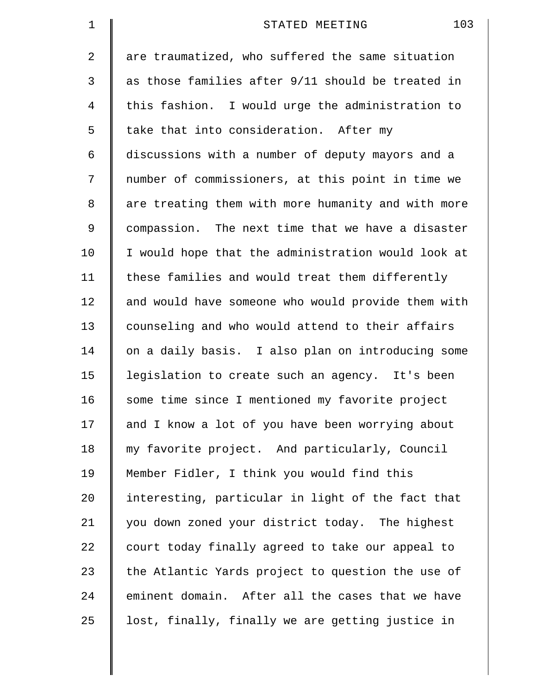| $\mathbf 1$ | 103<br>STATED MEETING                              |  |  |  |  |  |
|-------------|----------------------------------------------------|--|--|--|--|--|
| 2           | are traumatized, who suffered the same situation   |  |  |  |  |  |
| 3           | as those families after 9/11 should be treated in  |  |  |  |  |  |
| 4           | this fashion. I would urge the administration to   |  |  |  |  |  |
| 5           | take that into consideration. After my             |  |  |  |  |  |
| 6           | discussions with a number of deputy mayors and a   |  |  |  |  |  |
| 7           | number of commissioners, at this point in time we  |  |  |  |  |  |
| 8           | are treating them with more humanity and with more |  |  |  |  |  |
| 9           | compassion. The next time that we have a disaster  |  |  |  |  |  |
| 10          | I would hope that the administration would look at |  |  |  |  |  |
| 11          | these families and would treat them differently    |  |  |  |  |  |
| 12          | and would have someone who would provide them with |  |  |  |  |  |
| 13          | counseling and who would attend to their affairs   |  |  |  |  |  |
| 14          | on a daily basis. I also plan on introducing some  |  |  |  |  |  |
| 15          | legislation to create such an agency. It's been    |  |  |  |  |  |
| 16          | some time since I mentioned my favorite project    |  |  |  |  |  |
| 17          | and I know a lot of you have been worrying about   |  |  |  |  |  |
| 18          | my favorite project. And particularly, Council     |  |  |  |  |  |
| 19          | Member Fidler, I think you would find this         |  |  |  |  |  |
| 20          | interesting, particular in light of the fact that  |  |  |  |  |  |
| 21          | you down zoned your district today. The highest    |  |  |  |  |  |
| 22          | court today finally agreed to take our appeal to   |  |  |  |  |  |
| 23          | the Atlantic Yards project to question the use of  |  |  |  |  |  |
| 24          | eminent domain. After all the cases that we have   |  |  |  |  |  |
| 25          | lost, finally, finally we are getting justice in   |  |  |  |  |  |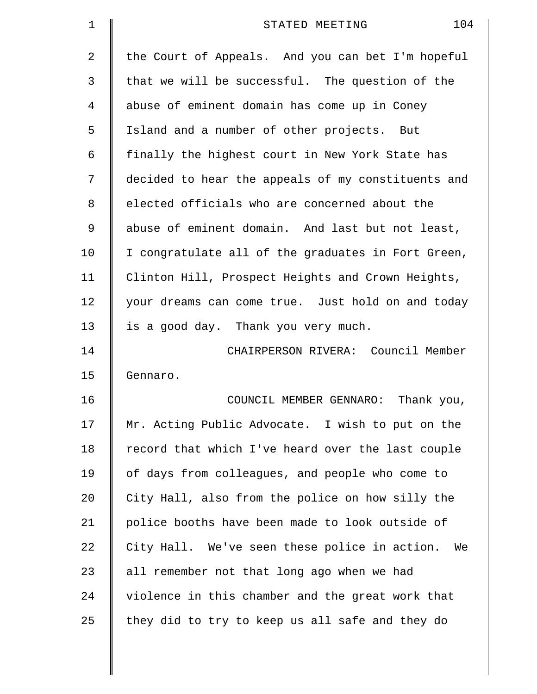| 1  | 104<br>STATED MEETING                              |  |  |  |  |  |
|----|----------------------------------------------------|--|--|--|--|--|
| 2  | the Court of Appeals. And you can bet I'm hopeful  |  |  |  |  |  |
| 3  | that we will be successful. The question of the    |  |  |  |  |  |
| 4  | abuse of eminent domain has come up in Coney       |  |  |  |  |  |
| 5  | Island and a number of other projects. But         |  |  |  |  |  |
| 6  | finally the highest court in New York State has    |  |  |  |  |  |
| 7  | decided to hear the appeals of my constituents and |  |  |  |  |  |
| 8  | elected officials who are concerned about the      |  |  |  |  |  |
| 9  | abuse of eminent domain. And last but not least,   |  |  |  |  |  |
| 10 | I congratulate all of the graduates in Fort Green, |  |  |  |  |  |
| 11 | Clinton Hill, Prospect Heights and Crown Heights,  |  |  |  |  |  |
| 12 | your dreams can come true. Just hold on and today  |  |  |  |  |  |
| 13 | is a good day. Thank you very much.                |  |  |  |  |  |
| 14 | CHAIRPERSON RIVERA: Council Member                 |  |  |  |  |  |
| 15 | Gennaro.                                           |  |  |  |  |  |
| 16 | COUNCIL MEMBER GENNARO:<br>Thank you,              |  |  |  |  |  |
| 17 | Mr. Acting Public Advocate. I wish to put on the   |  |  |  |  |  |
| 18 | record that which I've heard over the last couple  |  |  |  |  |  |
| 19 | of days from colleagues, and people who come to    |  |  |  |  |  |
| 20 | City Hall, also from the police on how silly the   |  |  |  |  |  |
| 21 | police booths have been made to look outside of    |  |  |  |  |  |
| 22 | City Hall. We've seen these police in action. We   |  |  |  |  |  |
| 23 | all remember not that long ago when we had         |  |  |  |  |  |
| 24 | violence in this chamber and the great work that   |  |  |  |  |  |
| 25 | they did to try to keep us all safe and they do    |  |  |  |  |  |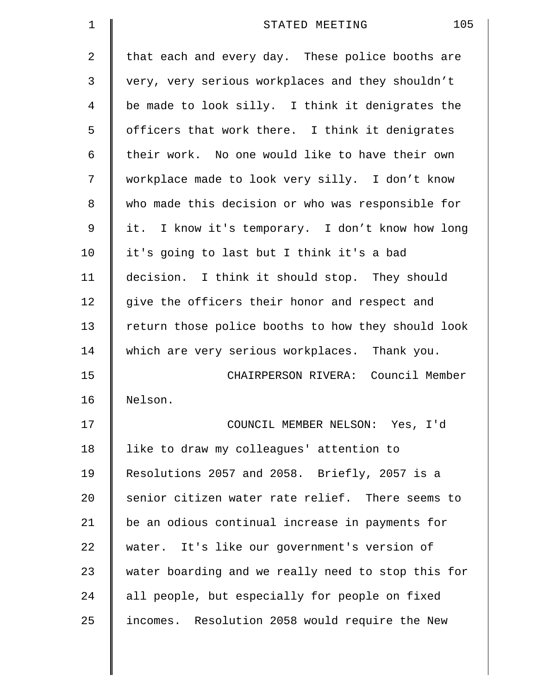| $\mathbf 1$    | 105<br>STATED MEETING                              |  |  |  |  |  |
|----------------|----------------------------------------------------|--|--|--|--|--|
| $\overline{2}$ | that each and every day. These police booths are   |  |  |  |  |  |
| 3              | very, very serious workplaces and they shouldn't   |  |  |  |  |  |
| $\overline{4}$ | be made to look silly. I think it denigrates the   |  |  |  |  |  |
| 5              | officers that work there. I think it denigrates    |  |  |  |  |  |
| 6              | their work. No one would like to have their own    |  |  |  |  |  |
| 7              | workplace made to look very silly. I don't know    |  |  |  |  |  |
| 8              | who made this decision or who was responsible for  |  |  |  |  |  |
| 9              | it. I know it's temporary. I don't know how long   |  |  |  |  |  |
| 10             | it's going to last but I think it's a bad          |  |  |  |  |  |
| 11             | decision. I think it should stop. They should      |  |  |  |  |  |
| 12             | give the officers their honor and respect and      |  |  |  |  |  |
| 13             | return those police booths to how they should look |  |  |  |  |  |
| 14             | which are very serious workplaces. Thank you.      |  |  |  |  |  |
| 15             | CHAIRPERSON RIVERA: Council Member                 |  |  |  |  |  |
| 16             | Nelson.                                            |  |  |  |  |  |
| 17             | COUNCIL MEMBER NELSON: Yes, I'd                    |  |  |  |  |  |
| 18             | like to draw my colleagues' attention to           |  |  |  |  |  |
| 19             | Resolutions 2057 and 2058. Briefly, 2057 is a      |  |  |  |  |  |
| 20             | senior citizen water rate relief. There seems to   |  |  |  |  |  |
| 21             | be an odious continual increase in payments for    |  |  |  |  |  |
| 22             | water. It's like our government's version of       |  |  |  |  |  |
| 23             | water boarding and we really need to stop this for |  |  |  |  |  |
| 24             | all people, but especially for people on fixed     |  |  |  |  |  |
| 25             | incomes. Resolution 2058 would require the New     |  |  |  |  |  |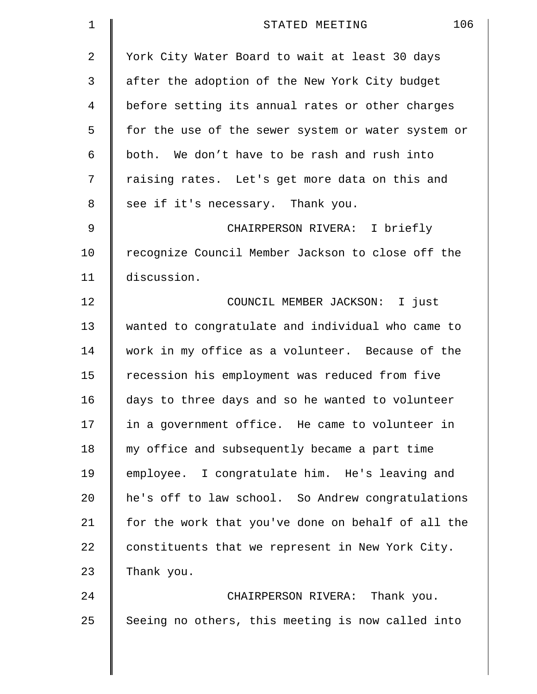| $\mathbf 1$    | 106<br>STATED MEETING                              |  |  |  |  |  |
|----------------|----------------------------------------------------|--|--|--|--|--|
| $\overline{2}$ | York City Water Board to wait at least 30 days     |  |  |  |  |  |
| 3              | after the adoption of the New York City budget     |  |  |  |  |  |
| 4              | before setting its annual rates or other charges   |  |  |  |  |  |
| 5              | for the use of the sewer system or water system or |  |  |  |  |  |
| 6              | both. We don't have to be rash and rush into       |  |  |  |  |  |
| 7              | raising rates. Let's get more data on this and     |  |  |  |  |  |
| 8              | see if it's necessary. Thank you.                  |  |  |  |  |  |
| $\mathsf 9$    | CHAIRPERSON RIVERA: I briefly                      |  |  |  |  |  |
| 10             | recognize Council Member Jackson to close off the  |  |  |  |  |  |
| 11             | discussion.                                        |  |  |  |  |  |
| 12             | COUNCIL MEMBER JACKSON: I just                     |  |  |  |  |  |
| 13             | wanted to congratulate and individual who came to  |  |  |  |  |  |
| 14             | work in my office as a volunteer. Because of the   |  |  |  |  |  |
| 15             | recession his employment was reduced from five     |  |  |  |  |  |
| 16             | days to three days and so he wanted to volunteer   |  |  |  |  |  |
| 17             | in a government office. He came to volunteer in    |  |  |  |  |  |
| 18             | my office and subsequently became a part time      |  |  |  |  |  |
| 19             | employee. I congratulate him. He's leaving and     |  |  |  |  |  |
| 20             | he's off to law school. So Andrew congratulations  |  |  |  |  |  |
| 21             | for the work that you've done on behalf of all the |  |  |  |  |  |
| 22             | constituents that we represent in New York City.   |  |  |  |  |  |
| 23             | Thank you.                                         |  |  |  |  |  |
| 24             | CHAIRPERSON RIVERA: Thank you.                     |  |  |  |  |  |
| 25             | Seeing no others, this meeting is now called into  |  |  |  |  |  |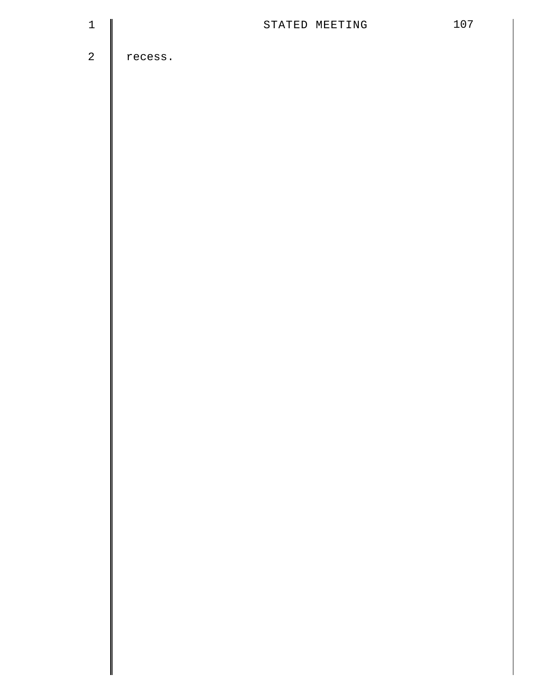| $\mathbf 1$ |         | STATED MEETING | 107 |
|-------------|---------|----------------|-----|
| $\sqrt{2}$  | recess. |                |     |
|             |         |                |     |
|             |         |                |     |
|             |         |                |     |
|             |         |                |     |
|             |         |                |     |
|             |         |                |     |
|             |         |                |     |
|             |         |                |     |
|             |         |                |     |
|             |         |                |     |
|             |         |                |     |
|             |         |                |     |
|             |         |                |     |
|             |         |                |     |
|             |         |                |     |
|             |         |                |     |
|             |         |                |     |
|             |         |                |     |
|             |         |                |     |
|             |         |                |     |
|             |         |                |     |
|             |         |                |     |
|             |         |                |     |